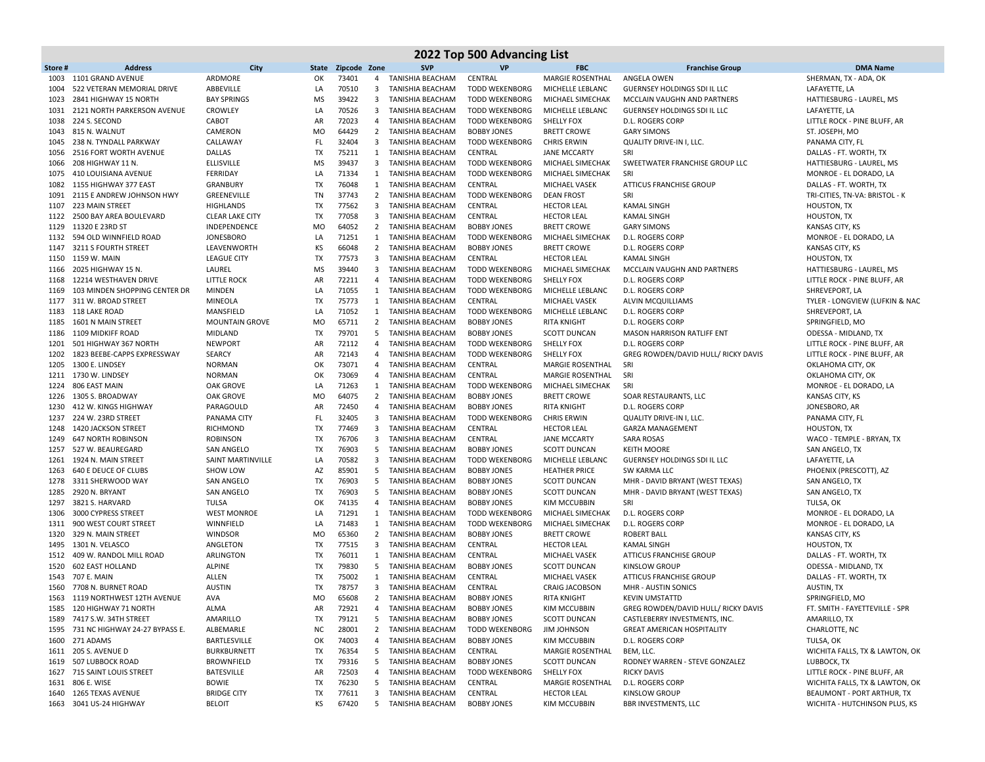| 2022 Top 500 Advancing List |                                                      |                                  |                 |                    |                         |                                        |                                                |                                             |                                                              |                                                      |  |
|-----------------------------|------------------------------------------------------|----------------------------------|-----------------|--------------------|-------------------------|----------------------------------------|------------------------------------------------|---------------------------------------------|--------------------------------------------------------------|------------------------------------------------------|--|
| Store#                      | <b>Address</b>                                       | City                             |                 | State Zipcode Zone |                         | <b>SVP</b>                             | <b>VP</b>                                      | <b>FBC</b>                                  | <b>Franchise Group</b>                                       | <b>DMA Name</b>                                      |  |
| 1003                        | 1101 GRAND AVENUE                                    | ARDMORE                          | OK              | 73401              | 4                       | TANISHIA BEACHAM                       | CENTRAL                                        | <b>MARGIE ROSENTHAL</b>                     | ANGELA OWEN                                                  | SHERMAN, TX - ADA, OK                                |  |
| 1004                        | 522 VETERAN MEMORIAL DRIVE                           | ABBEVILLE                        | LA              | 70510              | $\overline{\mathbf{3}}$ | TANISHIA BEACHAM                       | <b>TODD WEKENBORG</b>                          | MICHELLE LEBLANC                            | GUERNSEY HOLDINGS SDI IL LLC                                 | LAFAYETTE. LA                                        |  |
| 1023                        | 2841 HIGHWAY 15 NORTH                                | <b>BAY SPRINGS</b>               | <b>MS</b>       | 39422              | $\overline{\mathbf{3}}$ | TANISHIA BEACHAM                       | <b>TODD WEKENBORG</b>                          | MICHAEL SIMECHAK                            | MCCLAIN VAUGHN AND PARTNERS                                  | HATTIESBURG - LAUREL, MS                             |  |
| 1031                        | 2121 NORTH PARKERSON AVENUE                          | <b>CROWLEY</b>                   | LA              | 70526              | 3                       | TANISHIA BEACHAM                       | <b>TODD WEKENBORG</b>                          | MICHELLE LEBLANC                            | <b>GUERNSEY HOLDINGS SDI IL LLC</b>                          | LAFAYETTE, LA                                        |  |
| 1038                        | 224 S. SECOND                                        | CABOT                            | AR              | 72023              | $\overline{4}$          | TANISHIA BEACHAM                       | <b>TODD WEKENBORG</b>                          | <b>SHELLY FOX</b>                           | <b>D.L. ROGERS CORP</b>                                      | LITTLE ROCK - PINE BLUFF, AR                         |  |
| 1043                        | 815 N. WALNUT                                        | CAMERON                          | <b>MO</b>       | 64429              | $\overline{2}$          | <b>TANISHIA BEACHAM</b>                | <b>BOBBY JONES</b>                             | <b>BRETT CROWE</b>                          | <b>GARY SIMONS</b>                                           | ST. JOSEPH, MO                                       |  |
| 1045                        | 238 N. TYNDALL PARKWAY                               | CALLAWAY                         | <b>FL</b>       | 32404              | 3                       | TANISHIA BEACHAM                       | <b>TODD WEKENBORG</b>                          | <b>CHRIS ERWIN</b>                          | QUALITY DRIVE-IN I, LLC.                                     | PANAMA CITY, FL                                      |  |
| 1056                        | 2516 FORT WORTH AVENUE                               | DALLAS                           | TX              | 75211              | 1                       | TANISHIA BEACHAM                       | CENTRAL                                        | <b>JANE MCCARTY</b>                         | SRI                                                          | DALLAS - FT. WORTH, TX                               |  |
| 1066                        | 208 HIGHWAY 11 N.                                    | ELLISVILLE                       | <b>MS</b>       | 39437              | $\overline{3}$          | TANISHIA BEACHAM                       | <b>TODD WEKENBORG</b>                          | MICHAEL SIMECHAK                            | SWEETWATER FRANCHISE GROUP LLC                               | HATTIESBURG - LAUREL, MS                             |  |
| 1075                        | 410 LOUISIANA AVENUE                                 | FERRIDAY                         | LA              | 71334              | 1                       | TANISHIA BEACHAM                       | <b>TODD WEKENBORG</b>                          | MICHAEL SIMECHAK                            | SRI                                                          | MONROE - EL DORADO, LA                               |  |
| 1082                        | 1155 HIGHWAY 377 EAST                                | <b>GRANBURY</b>                  | TX              | 76048              | 1                       | TANISHIA BEACHAM                       | CENTRAL                                        | <b>MICHAEL VASEK</b>                        | <b>ATTICUS FRANCHISE GROUP</b>                               | DALLAS - FT. WORTH, TX                               |  |
| 1091                        | 2115 E ANDREW JOHNSON HWY                            | GREENEVILLE                      | TN              | 37743              |                         | 2 TANISHIA BEACHAM                     | <b>TODD WEKENBORG</b>                          | <b>DEAN FROST</b>                           | SRI                                                          | TRI-CITIES, TN-VA: BRISTOL - K                       |  |
| 1107                        | 223 MAIN STREET                                      | <b>HIGHLANDS</b>                 | TX              | 77562              | 3                       | <b>TANISHIA BEACHAM</b>                | CENTRAL                                        | <b>HECTOR LEAL</b>                          | <b>KAMAL SINGH</b>                                           | HOUSTON, TX                                          |  |
| 1122                        | 2500 BAY AREA BOULEVARD                              | <b>CLEAR LAKE CITY</b>           | TX              | 77058              | $\overline{3}$          | TANISHIA BEACHAM                       | CENTRAL                                        | <b>HECTOR LEAL</b>                          | <b>KAMAL SINGH</b>                                           | <b>HOUSTON, TX</b>                                   |  |
| 1129                        | 11320 E 23RD ST                                      | INDEPENDENCE                     | <b>MO</b>       | 64052              | $\overline{2}$          | <b>TANISHIA BEACHAM</b>                | <b>BOBBY JONES</b>                             | <b>BRETT CROWE</b>                          | <b>GARY SIMONS</b>                                           | KANSAS CITY, KS                                      |  |
| 1132                        | 594 OLD WINNFIELD ROAD                               | <b>JONESBORO</b>                 | LA              | 71251              | 1                       | TANISHIA BEACHAM                       | <b>TODD WEKENBORG</b>                          | MICHAEL SIMECHAK                            | <b>D.L. ROGERS CORP</b>                                      | MONROE - EL DORADO, LA                               |  |
| 1147                        | 3211 S FOURTH STREET                                 | LEAVENWORTH                      | KS              | 66048              | $\overline{2}$          | TANISHIA BEACHAM                       | <b>BOBBY JONES</b>                             | <b>BRETT CROWE</b>                          | <b>D.L. ROGERS CORP</b>                                      | KANSAS CITY, KS                                      |  |
| 1150                        | 1159 W. MAIN                                         | <b>LEAGUE CITY</b>               | TX              | 77573              | $\overline{\mathbf{3}}$ | <b>TANISHIA BEACHAM</b>                | CENTRAL                                        | <b>HECTOR LEAL</b>                          | KAMAL SINGH                                                  | HOUSTON, TX                                          |  |
| 1166                        | 2025 HIGHWAY 15 N.                                   | LAUREL                           | <b>MS</b>       | 39440              | $\overline{3}$          | TANISHIA BEACHAM                       | <b>TODD WEKENBORG</b>                          | MICHAEL SIMECHAK                            | MCCLAIN VAUGHN AND PARTNERS                                  | HATTIESBURG - LAUREL, MS                             |  |
| 1168                        | 12214 WESTHAVEN DRIVE                                | <b>LITTLE ROCK</b>               | AR              | 72211              | 4                       | <b>TANISHIA BEACHAM</b>                | <b>TODD WEKENBORG</b>                          | <b>SHELLY FOX</b>                           | <b>D.L. ROGERS CORP</b>                                      | LITTLE ROCK - PINE BLUFF, AR                         |  |
| 1169                        | 103 MINDEN SHOPPING CENTER DR                        | <b>MINDEN</b>                    | LA              | 71055              | 1                       | TANISHIA BEACHAM                       | <b>TODD WEKENBORG</b>                          | MICHELLE LEBLANC                            | D.L. ROGERS CORP                                             | SHREVEPORT, LA                                       |  |
| 1177                        | 311 W. BROAD STREET                                  | <b>MINEOLA</b>                   | TX              | 75773              | 1                       | TANISHIA BEACHAM                       | CENTRAL<br><b>TODD WEKENBORG</b>               | <b>MICHAEL VASEK</b><br>MICHELLE LEBLANC    | ALVIN MCQUILLIAMS                                            | TYLER - LONGVIEW (LUFKIN & NAC                       |  |
| 1183                        | 118 LAKE ROAD<br>1601 N MAIN STREET                  | MANSFIELD                        | LA              | 71052<br>65711     | 1                       | TANISHIA BEACHAM<br>2 TANISHIA BEACHAM |                                                |                                             | <b>D.L. ROGERS CORP</b>                                      | SHREVEPORT, LA                                       |  |
| 1185                        | 1109 MIDKIFF ROAD                                    | <b>MOUNTAIN GROVE</b><br>MIDLAND | <b>MO</b><br>TX | 79701              | -5                      | TANISHIA BEACHAM                       | <b>BOBBY JONES</b><br><b>BOBBY JONES</b>       | <b>RITA KNIGHT</b><br><b>SCOTT DUNCAN</b>   | <b>D.L. ROGERS CORP</b>                                      | SPRINGFIELD, MO                                      |  |
| 1186                        |                                                      | <b>NEWPORT</b>                   | AR              | 72112              | $\overline{4}$          | <b>TANISHIA BEACHAM</b>                |                                                | <b>SHELLY FOX</b>                           | <b>MASON HARRISON RATLIFF ENT</b><br><b>D.L. ROGERS CORP</b> | ODESSA - MIDLAND, TX<br>LITTLE ROCK - PINE BLUFF, AR |  |
| 1201<br>1202                | 501 HIGHWAY 367 NORTH<br>1823 BEEBE-CAPPS EXPRESSWAY |                                  | AR              | 72143              | $\overline{4}$          |                                        | <b>TODD WEKENBORG</b><br><b>TODD WEKENBORG</b> | <b>SHELLY FOX</b>                           |                                                              |                                                      |  |
|                             | 1300 E. LINDSEY                                      | SEARCY<br><b>NORMAN</b>          | OK              |                    | 4                       | TANISHIA BEACHAM                       |                                                |                                             | GREG ROWDEN/DAVID HULL/ RICKY DAVIS<br>SRI                   | LITTLE ROCK - PINE BLUFF, AR                         |  |
| 1205                        | 1211 1730 W. LINDSEY                                 | <b>NORMAN</b>                    | OK              | 73071<br>73069     | 4                       | TANISHIA BEACHAM<br>TANISHIA BEACHAM   | CENTRAL<br>CENTRAL                             | MARGIE ROSENTHAL<br><b>MARGIE ROSENTHAL</b> | SRI                                                          | OKLAHOMA CITY, OK<br>OKLAHOMA CITY, OK               |  |
| 1224                        | 806 EAST MAIN                                        | <b>OAK GROVE</b>                 | LA              | 71263              | 1                       | TANISHIA BEACHAM                       | <b>TODD WEKENBORG</b>                          | MICHAEL SIMECHAK                            | SRI                                                          | MONROE - EL DORADO, LA                               |  |
| 1226                        | 1305 S. BROADWAY                                     | OAK GROVE                        | <b>MO</b>       | 64075              |                         | 2 TANISHIA BEACHAM                     | <b>BOBBY JONES</b>                             | <b>BRETT CROWE</b>                          | SOAR RESTAURANTS, LLC                                        | KANSAS CITY, KS                                      |  |
| 1230                        | 412 W. KINGS HIGHWAY                                 | PARAGOULD                        | AR              | 72450              | $\overline{4}$          | TANISHIA BEACHAM                       | <b>BOBBY JONES</b>                             | <b>RITA KNIGHT</b>                          | <b>D.L. ROGERS CORP</b>                                      | JONESBORO, AR                                        |  |
| 1237                        | 224 W. 23RD STREET                                   | PANAMA CITY                      | <b>FL</b>       | 32405              | $\overline{3}$          | TANISHIA BEACHAM                       | <b>TODD WEKENBORG</b>                          | <b>CHRIS ERWIN</b>                          | QUALITY DRIVE-IN I, LLC.                                     | PANAMA CITY, FL                                      |  |
| 1248                        | 1420 JACKSON STREET                                  | <b>RICHMOND</b>                  | TX              | 77469              | $\overline{\mathbf{3}}$ | TANISHIA BEACHAM                       | CENTRAL                                        | <b>HECTOR LEAL</b>                          | <b>GARZA MANAGEMENT</b>                                      | HOUSTON, TX                                          |  |
| 1249                        | <b>647 NORTH ROBINSON</b>                            | <b>ROBINSON</b>                  | TX              | 76706              | $\overline{3}$          | TANISHIA BEACHAM                       | CENTRAL                                        | <b>JANE MCCARTY</b>                         | <b>SARA ROSAS</b>                                            | WACO - TEMPLE - BRYAN, TX                            |  |
| 1257                        | 527 W. BEAUREGARD                                    | <b>SAN ANGELO</b>                | TX              | 76903              | 5                       | TANISHIA BEACHAM                       | <b>BOBBY JONES</b>                             | <b>SCOTT DUNCAN</b>                         | <b>KEITH MOORE</b>                                           | SAN ANGELO, TX                                       |  |
| 1261                        | 1924 N. MAIN STREET                                  | SAINT MARTINVILLE                | LA              | 70582              | $\overline{\mathbf{3}}$ | TANISHIA BEACHAM                       | <b>TODD WEKENBORG</b>                          | MICHELLE LEBLANC                            | GUERNSEY HOLDINGS SDI IL LLC                                 | LAFAYETTE, LA                                        |  |
| 1263                        | 640 E DEUCE OF CLUBS                                 | <b>SHOW LOW</b>                  | AZ              | 85901              | 5                       | TANISHIA BEACHAM                       | <b>BOBBY JONES</b>                             | <b>HEATHER PRICE</b>                        | SW KARMA LLC                                                 | PHOENIX (PRESCOTT), AZ                               |  |
| 1278                        | 3311 SHERWOOD WAY                                    | <b>SAN ANGELO</b>                | TX              | 76903              | 5                       | TANISHIA BEACHAM                       | <b>BOBBY JONES</b>                             | <b>SCOTT DUNCAN</b>                         | MHR - DAVID BRYANT (WEST TEXAS)                              | SAN ANGELO, TX                                       |  |
| 1285                        | 2920 N. BRYANT                                       | <b>SAN ANGELO</b>                | TX              | 76903              | 5                       | TANISHIA BEACHAM                       | <b>BOBBY JONES</b>                             | <b>SCOTT DUNCAN</b>                         | MHR - DAVID BRYANT (WEST TEXAS)                              | SAN ANGELO, TX                                       |  |
| 1297                        | 3821 S. HARVARD                                      | <b>TULSA</b>                     | OK              | 74135              | $\overline{4}$          | TANISHIA BEACHAM                       | <b>BOBBY JONES</b>                             | KIM MCCUBBIN                                | SRI                                                          | TULSA, OK                                            |  |
| 1306                        | 3000 CYPRESS STREET                                  | <b>WEST MONROE</b>               | LA              | 71291              | 1                       | TANISHIA BEACHAM                       | <b>TODD WEKENBORG</b>                          | MICHAEL SIMECHAK                            | <b>D.L. ROGERS CORP</b>                                      | MONROE - EL DORADO, LA                               |  |
| 1311                        | 900 WEST COURT STREET                                | WINNFIELD                        | LA              | 71483              |                         | 1 TANISHIA BEACHAM                     | <b>TODD WEKENBORG</b>                          | MICHAEL SIMECHAK                            | <b>D.L. ROGERS CORP</b>                                      | MONROE - EL DORADO, LA                               |  |
| 1320                        | 329 N. MAIN STREET                                   | <b>WINDSOR</b>                   | <b>MO</b>       | 65360              | 2                       | TANISHIA BEACHAM                       | <b>BOBBY JONES</b>                             | <b>BRETT CROWE</b>                          | <b>ROBERT BALL</b>                                           | KANSAS CITY, KS                                      |  |
| 1495                        | 1301 N. VELASCO                                      | ANGLETON                         | TX              | 77515              | $\overline{3}$          | TANISHIA BEACHAM                       | CENTRAL                                        | <b>HECTOR LEAL</b>                          | <b>KAMAL SINGH</b>                                           | HOUSTON, TX                                          |  |
| 1512                        | 409 W. RANDOL MILL ROAD                              | ARLINGTON                        | TX              | 76011              | 1                       | <b>TANISHIA BEACHAM</b>                | CENTRAL                                        | MICHAEL VASEK                               | <b>ATTICUS FRANCHISE GROUP</b>                               | DALLAS - FT. WORTH, TX                               |  |
| 1520                        | 602 EAST HOLLAND                                     | <b>ALPINE</b>                    | TX              | 79830              | 5                       | TANISHIA BEACHAM                       | <b>BOBBY JONES</b>                             | <b>SCOTT DUNCAN</b>                         | <b>KINSLOW GROUP</b>                                         | ODESSA - MIDLAND, TX                                 |  |
| 1543                        | 707 E. MAIN                                          | ALLEN                            | TX              | 75002              | 1                       | TANISHIA BEACHAM                       | CENTRAL                                        | MICHAEL VASEK                               | <b>ATTICUS FRANCHISE GROUP</b>                               | DALLAS - FT. WORTH, TX                               |  |
| 1560                        | 7708 N. BURNET ROAD                                  | <b>AUSTIN</b>                    | TX              | 78757              | 3                       | TANISHIA BEACHAM                       | CENTRAL                                        | <b>CRAIG JACOBSON</b>                       | MHR - AUSTIN SONICS                                          | AUSTIN, TX                                           |  |
|                             | 1563 1119 NORTHWEST 12TH AVENUE                      | AVA                              | <b>MO</b>       | 65608              |                         | 2 TANISHIA BEACHAM                     | <b>BOBBY JONES</b>                             | <b>RITA KNIGHT</b>                          | <b>KEVIN UMSTATTD</b>                                        | SPRINGFIELD, MO                                      |  |
|                             | 1585 120 HIGHWAY 71 NORTH                            | ALMA                             | AR              | 72921              | 4                       | TANISHIA BEACHAM                       | <b>BOBBY JONES</b>                             | KIM MCCUBBIN                                | GREG ROWDEN/DAVID HULL/ RICKY DAVIS                          | FT. SMITH - FAYETTEVILLE - SPR                       |  |
|                             | 1589 7417 S.W. 34TH STREET                           | AMARILLO                         | TX              | 79121              |                         | 5 TANISHIA BEACHAM                     | <b>BOBBY JONES</b>                             | <b>SCOTT DUNCAN</b>                         | CASTLEBERRY INVESTMENTS, INC.                                | AMARILLO, TX                                         |  |
|                             | 1595 731 NC HIGHWAY 24-27 BYPASS E.                  | ALBEMARLE                        | ΝC              | 28001              | $\overline{2}$          | TANISHIA BEACHAM                       | <b>TODD WEKENBORG</b>                          | JIM JOHNSON                                 | <b>GREAT AMERICAN HOSPITALITY</b>                            | CHARLOTTE, NC                                        |  |
|                             | 1600 271 ADAMS                                       | BARTLESVILLE                     | OK              | 74003              | 4                       | TANISHIA BEACHAM                       | <b>BOBBY JONES</b>                             | KIM MCCUBBIN                                | D.L. ROGERS CORP                                             | TULSA, OK                                            |  |
|                             | 1611 205 S. AVENUE D                                 | <b>BURKBURNETT</b>               | TX              | 76354              |                         | 5 TANISHIA BEACHAM                     | CENTRAL                                        | <b>MARGIE ROSENTHAL</b>                     | BEM, LLC.                                                    | WICHITA FALLS, TX & LAWTON, OK                       |  |
|                             | 1619 507 LUBBOCK ROAD                                | <b>BROWNFIELD</b>                | TX              | 79316              | 5                       | TANISHIA BEACHAM                       | <b>BOBBY JONES</b>                             | <b>SCOTT DUNCAN</b>                         | RODNEY WARREN - STEVE GONZALEZ                               | LUBBOCK, TX                                          |  |
|                             | 1627 715 SAINT LOUIS STREET                          | <b>BATESVILLE</b>                | AR              | 72503              | $\overline{4}$          | TANISHIA BEACHAM                       | <b>TODD WEKENBORG</b>                          | SHELLY FOX                                  | <b>RICKY DAVIS</b>                                           | LITTLE ROCK - PINE BLUFF, AR                         |  |
| 1631                        | 806 E. WISE                                          | <b>BOWIE</b>                     | TX              | 76230              | 5                       | TANISHIA BEACHAM                       | CENTRAL                                        | MARGIE ROSENTHAL                            | D.L. ROGERS CORP                                             | WICHITA FALLS, TX & LAWTON, OK                       |  |
|                             | 1640 1265 TEXAS AVENUE                               | <b>BRIDGE CITY</b>               | TX              | 77611              | 3                       | TANISHIA BEACHAM                       | CENTRAL                                        | <b>HECTOR LEAL</b>                          | <b>KINSLOW GROUP</b>                                         | BEAUMONT - PORT ARTHUR, TX                           |  |
|                             | 1663 3041 US-24 HIGHWAY                              | <b>BELOIT</b>                    | КS              | 67420              |                         | 5 TANISHIA BEACHAM                     | <b>BOBBY JONES</b>                             | <b>KIM MCCUBBIN</b>                         | BBR INVESTMENTS, LLC                                         | WICHITA - HUTCHINSON PLUS, KS                        |  |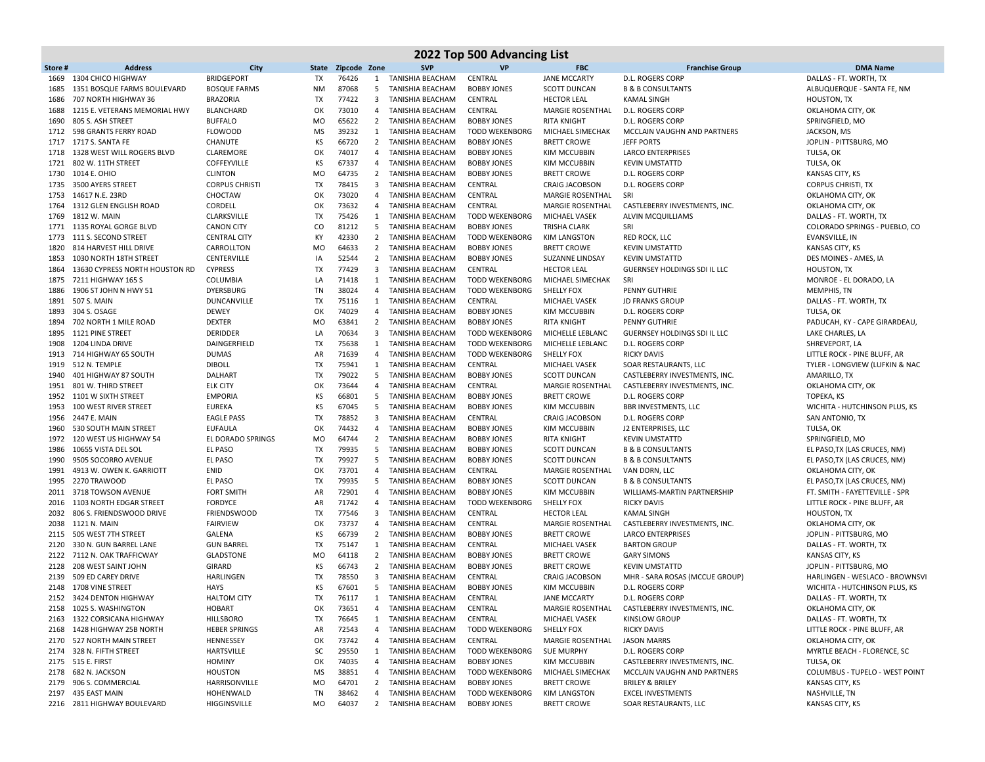| Zipcode Zone<br><b>SVP</b><br><b>VP</b><br><b>FBC</b><br><b>Franchise Group</b><br>Store#<br><b>Address</b><br>City<br>State<br><b>BRIDGEPORT</b><br>TX<br>76426<br>CENTRAL<br><b>JANE MCCARTY</b><br><b>D.L. ROGERS CORP</b><br>1669<br>1304 CHICO HIGHWAY<br>1<br>TANISHIA BEACHAM<br>87068<br>1351 BOSQUE FARMS BOULEVARD<br>TANISHIA BEACHAM<br><b>BOBBY JONES</b><br><b>SCOTT DUNCAN</b><br><b>B &amp; B CONSULTANTS</b><br>1685<br><b>BOSQUE FARMS</b><br>ΝM<br>5<br>77422<br>707 NORTH HIGHWAY 36<br><b>BRAZORIA</b><br>TX<br>3<br>TANISHIA BEACHAM<br>CENTRAL<br><b>HECTOR LEAL</b><br><b>KAMAL SINGH</b><br>1686<br>OK<br>73010<br>1688<br>1215 E. VETERANS MEMORIAL HWY<br>BLANCHARD<br>4<br>TANISHIA BEACHAM<br>CENTRAL<br><b>MARGIE ROSENTHAL</b><br><b>D.L. ROGERS CORF</b><br>805 S. ASH STREET<br><b>BUFFALO</b><br>MO<br>65622<br>2 TANISHIA BEACHAM<br><b>BOBBY JONES</b><br><b>RITA KNIGHT</b><br>1690<br>D.L. ROGERS CORP<br>39232<br>598 GRANTS FERRY ROAD<br><b>FLOWOOD</b><br>MS<br>TANISHIA BEACHAM<br><b>TODD WEKENBORG</b><br>MICHAEL SIMECHAK<br>MCCLAIN VAUGHN AND PARTNERS<br>1712<br>1<br>KS<br>1717 S. SANTA FE<br>CHANUTE<br>66720<br><b>BRETT CROWE</b><br><b>JEFF PORTS</b><br>1717<br>$\overline{2}$<br>TANISHIA BEACHAM<br><b>BOBBY JONES</b><br>OK<br>74017<br>1328 WEST WILL ROGERS BLVD<br>CLAREMORE<br>TANISHIA BEACHAM<br><b>BOBBY JONES</b><br><b>KIM MCCUBBIN</b><br><b>LARCO ENTERPRISES</b><br>1718<br>4<br>TULSA, OK<br>802 W. 11TH STREET<br>COFFEYVILLE<br>КS<br>67337<br>4 TANISHIA BEACHAM<br><b>BOBBY JONES</b><br><b>KIM MCCUBBIN</b><br>TULSA, OK<br>1721<br><b>KEVIN UMSTATTD</b><br>1014 E. OHIO<br><b>CLINTON</b><br>MO<br>64735<br>$\overline{2}$<br>TANISHIA BEACHAM<br><b>BOBBY JONES</b><br><b>BRETT CROWE</b><br><b>D.L. ROGERS CORF</b><br>KANSAS CITY, KS<br>1730<br><b>TX</b><br>78415<br>1735<br>3500 AYERS STREET<br><b>CORPUS CHRISTI</b><br>$\overline{3}$<br><b>TANISHIA BEACHAM</b><br>CENTRAL<br><b>CORPUS CHRISTI, TX</b><br><b>CRAIG JACOBSON</b><br>D.L. ROGERS CORP<br>73020<br>14617 N.E. 23RD<br>CHOCTAW<br>OK<br>TANISHIA BEACHAM<br>CENTRAL<br><b>MARGIE ROSENTHAL</b><br>1753<br>$\overline{4}$<br>SRI<br>1312 GLEN ENGLISH ROAD<br>CORDELL<br>OK<br>73632<br><b>TANISHIA BEACHAM</b><br>CENTRAL<br><b>MARGIE ROSENTHAL</b><br>CASTLEBERRY INVESTMENTS, INC.<br>1764<br>$\overline{4}$<br>75426<br>1812 W. MAIN<br>CLARKSVILLE<br>TX<br>TANISHIA BEACHAM<br><b>TODD WEKENBORG</b><br>MICHAEL VASEK<br>ALVIN MCQUILLIAMS<br>1769<br>1<br>1135 ROYAL GORGE BLVD<br><b>CANON CITY</b><br>CO<br>81212<br>5<br>TANISHIA BEACHAM<br><b>BOBBY JONES</b><br><b>TRISHA CLARK</b><br>SRI<br>1771<br>1773 111 S. SECOND STREET<br>КY<br>42330<br>$\overline{2}$<br>TANISHIA BEACHAM<br><b>TODD WEKENBORG</b><br><b>CENTRAL CITY</b><br><b>KIM LANGSTON</b><br>RED ROCK, LLC<br>814 HARVEST HILL DRIVE<br><b>MO</b><br>64633<br>$\overline{2}$<br>TANISHIA BEACHAM<br><b>BOBBY JONES</b><br><b>BRETT CROWE</b><br>1820<br>CARROLLTON<br><b>KEVIN UMSTATTD</b><br>1030 NORTH 18TH STREET<br>CENTERVILLE<br>IA<br>52544<br>$\overline{2}$<br>TANISHIA BEACHAM<br><b>BOBBY JONES</b><br><b>SUZANNE LINDSAY</b><br>1853<br><b>KEVIN UMSTATTD</b><br>77429<br>13630 CYPRESS NORTH HOUSTON RD<br><b>CYPRESS</b><br>TX<br>3<br>TANISHIA BEACHAM<br>CENTRAL<br><b>HECTOR LEAL</b><br>GUERNSEY HOLDINGS SDI IL LLC<br>1864<br>7211 HIGHWAY 165 S<br>COLUMBIA<br>LA<br>71418<br><b>TANISHIA BEACHAM</b><br><b>TODD WEKENBORG</b><br>MICHAEL SIMECHAK<br>SRI<br>1875<br>1<br><b>TN</b><br>38024<br>1906 ST JOHN N HWY 51<br><b>DYERSBURG</b><br>4 TANISHIA BEACHAM<br><b>TODD WEKENBORG</b><br><b>SHELLY FOX</b><br>1886<br><b>PENNY GUTHRIE</b><br>507 S. MAIN<br>TX<br>75116<br>TANISHIA BEACHAM<br>CENTRAL<br><b>MICHAEL VASEK</b><br>1891<br>DUNCANVILLE<br>1<br><b>JD FRANKS GROUF</b><br>OK<br>74029<br>1893<br>304 S. OSAGE<br><b>DEWEY</b><br>4<br><b>TANISHIA BEACHAM</b><br><b>BOBBY JONES</b><br>KIM MCCUBBIN<br><b>D.L. ROGERS CORF</b><br>63841<br>702 NORTH 1 MILE ROAD<br><b>DEXTER</b><br><b>MO</b><br>$\overline{2}$<br>TANISHIA BEACHAM<br><b>BOBBY JONES</b><br><b>RITA KNIGHT</b><br>1894<br><b>PENNY GUTHRIE</b><br>1121 PINE STREET<br><b>DERIDDER</b><br>LA<br>70634<br>TANISHIA BEACHAM<br><b>TODD WEKENBORG</b><br>MICHELLE LEBLANC<br>GUERNSEY HOLDINGS SDI IL LLC<br>1895<br>3<br>DAINGERFIELD<br>TX<br>75638<br>1908<br>1204 LINDA DRIVE<br>1<br>TANISHIA BEACHAM<br><b>TODD WEKENBORG</b><br>MICHELLE LEBLANC<br>D.L. ROGERS CORP<br>714 HIGHWAY 65 SOUTH<br><b>DUMAS</b><br>AR<br>71639<br><b>TANISHIA BEACHAM</b><br><b>TODD WEKENBORG</b><br><b>SHELLY FOX</b><br><b>RICKY DAVIS</b><br>1913<br>4<br>512 N. TEMPLE<br><b>DIBOLL</b><br>TX<br>75941<br>1 TANISHIA BEACHAM<br>CENTRAL<br>MICHAEL VASEK<br>1919<br>SOAR RESTAURANTS, LLC<br>TX<br>79022<br>1940<br>401 HIGHWAY 87 SOUTH<br>DALHART<br>5<br><b>TANISHIA BEACHAM</b><br><b>BOBBY JONES</b><br><b>SCOTT DUNCAN</b><br>CASTLEBERRY INVESTMENTS, INC.<br>OK<br>73644<br>801 W. THIRD STREET<br><b>ELK CITY</b><br><b>TANISHIA BEACHAM</b><br>CENTRAL<br><b>MARGIE ROSENTHAL</b><br>CASTLEBERRY INVESTMENTS, INC.<br>1951<br>4<br>KS<br>1101 W SIXTH STREET<br><b>EMPORIA</b><br>66801<br>5<br>TANISHIA BEACHAM<br><b>BOBBY JONES</b><br><b>BRETT CROWE</b><br>D.L. ROGERS CORP<br>TOPEKA, KS<br>1952<br>100 WEST RIVER STREET<br><b>EUREKA</b><br>ΚS<br>67045<br><b>TANISHIA BEACHAM</b><br><b>BOBBY JONES</b><br><b>KIM MCCUBBIN</b><br><b>BBR INVESTMENTS, LLC</b><br>1953<br>-5<br>78852<br>2447 E. MAIN<br><b>EAGLE PASS</b><br>TX<br>TANISHIA BEACHAM<br>CENTRAL<br><b>CRAIG JACOBSON</b><br>SAN ANTONIO, TX<br>1956<br>3<br>D.L. ROGERS CORP<br>530 SOUTH MAIN STREET<br><b>EUFAULA</b><br>OK<br>74432<br>TANISHIA BEACHAM<br><b>BOBBY JONES</b><br><b>KIM MCCUBBIN</b><br>J2 ENTERPRISES, LLC<br>TULSA, OK<br>1960<br>4<br>120 WEST US HIGHWAY 54<br>EL DORADO SPRINGS<br>MO<br>64744<br>$\overline{2}$<br>TANISHIA BEACHAM<br><b>BOBBY JONES</b><br><b>RITA KNIGHT</b><br>1972<br><b>KEVIN UMSTATTD</b><br>79935<br>10655 VISTA DEL SOL<br>EL PASO<br>TX<br>5<br>TANISHIA BEACHAM<br><b>SCOTT DUNCAN</b><br>1986<br><b>BOBBY JONES</b><br><b>B &amp; B CONSULTANTS</b><br>79927<br>9505 SOCORRO AVENUE<br>EL PASO<br>TX<br>-5<br><b>TANISHIA BEACHAM</b><br><b>BOBBY JONES</b><br><b>SCOTT DUNCAN</b><br><b>B &amp; B CONSULTANTS</b><br>1990<br>73701<br>4913 W. OWEN K. GARRIOTT<br>ENID<br>OK<br>TANISHIA BEACHAM<br>CENTRAL<br><b>MARGIE ROSENTHAL</b><br>VAN DORN, LLC<br>1991<br>$\overline{4}$<br>79935<br>2270 TRAWOOD<br>TX<br>TANISHIA BEACHAM<br><b>SCOTT DUNCAN</b><br>1995<br>EL PASO<br>-5<br><b>BOBBY JONES</b><br><b>B &amp; B CONSULTANTS</b><br>3718 TOWSON AVENUE<br><b>FORT SMITH</b><br>AR<br>72901<br>TANISHIA BEACHAM<br><b>BOBBY JONES</b><br><b>KIM MCCUBBIN</b><br>WILLIAMS-MARTIN PARTNERSHIP<br>2011<br>$\overline{4}$<br>1103 NORTH EDGAR STREET<br><b>FORDYCE</b><br>AR<br>71742<br>TANISHIA BEACHAM<br><b>TODD WEKENBORG</b><br><b>SHELLY FOX</b><br><b>RICKY DAVIS</b><br>2016<br>$\overline{4}$<br>77546<br>806 S. FRIENDSWOOD DRIVE<br><b>FRIENDSWOOD</b><br>TX<br>CENTRAL<br>2032<br>3<br>TANISHIA BEACHAM<br><b>HECTOR LEAL</b><br>KAMAL SINGH<br>73737<br>1121 N. MAIN<br><b>FAIRVIEW</b><br>OK<br>4 TANISHIA BEACHAM<br>CENTRAL<br><b>MARGIE ROSENTHAL</b><br>CASTLEBERRY INVESTMENTS, INC.<br>2038<br>505 WEST 7TH STREET<br>GALENA<br>ΚS<br>66739<br>$\overline{2}$<br>TANISHIA BEACHAM<br><b>BOBBY JONES</b><br><b>BRETT CROWE</b><br><b>LARCO ENTERPRISES</b><br>2115<br><b>TX</b><br>75147<br>TANISHIA BEACHAM<br>CENTRAL<br><b>BARTON GROUP</b><br>2120<br>330 N. GUN BARREL LANE<br><b>GUN BARREL</b><br>1<br><b>MICHAEL VASEK</b><br>7112 N. OAK TRAFFICWAY<br><b>GLADSTONE</b><br>MO<br>64118<br>TANISHIA BEACHAM<br><b>BOBBY JONES</b><br><b>BRETT CROWE</b><br><b>GARY SIMONS</b><br>2122<br>$\overline{2}$<br>208 WEST SAINT JOHN<br><b>GIRARD</b><br>КS<br>66743<br>$\overline{2}$<br><b>BOBBY JONES</b><br><b>BRETT CROWE</b><br>2128<br>TANISHIA BEACHAM<br><b>KEVIN UMSTATTD</b><br>509 ED CAREY DRIVE<br>TX<br>78550<br>2139<br>HARLINGEN<br>3<br>TANISHIA BEACHAM<br>CENTRAL<br><b>CRAIG JACOBSON</b><br>MHR - SARA ROSAS (MCCUE GROUP)<br>1708 VINE STREET<br>ΚS<br>67601<br><b>BOBBY JONES</b><br>2148<br>HAYS<br>5<br><b>TANISHIA BEACHAM</b><br>KIM MCCUBBIN<br>D.L. ROGERS CORP<br><b>TX</b><br>2152 3424 DENTON HIGHWAY<br><b>HALTOM CITY</b><br>76117<br>1 TANISHIA BEACHAM<br>CENTRAL<br><b>JANE MCCARTY</b><br>D.L. ROGERS CORP<br>CASTLEBERRY INVESTMENTS, INC.<br>2158 1025 S. WASHINGTON<br>73651<br>TANISHIA BEACHAM<br>CENTRAL<br>MARGIE ROSENTHAL<br><b>HOBART</b><br>OK<br>4<br>2163 1322 CORSICANA HIGHWAY<br><b>HILLSBORO</b><br>CENTRAL<br>MICHAEL VASEK<br><b>KINSLOW GROUP</b><br>TX<br>76645<br>1 TANISHIA BEACHAM<br>2168 1428 HIGHWAY 25B NORTH<br><b>HEBER SPRINGS</b><br>72543<br>4 TANISHIA BEACHAM<br><b>TODD WEKENBORG</b><br>SHELLY FOX<br><b>RICKY DAVIS</b><br>AR<br>2170 527 NORTH MAIN STREET<br>73742<br>MARGIE ROSENTHAL<br>HENNESSEY<br>ОΚ<br>4 TANISHIA BEACHAM<br>CENTRAL<br><b>JASON MARRS</b> |                                                   |
|--------------------------------------------------------------------------------------------------------------------------------------------------------------------------------------------------------------------------------------------------------------------------------------------------------------------------------------------------------------------------------------------------------------------------------------------------------------------------------------------------------------------------------------------------------------------------------------------------------------------------------------------------------------------------------------------------------------------------------------------------------------------------------------------------------------------------------------------------------------------------------------------------------------------------------------------------------------------------------------------------------------------------------------------------------------------------------------------------------------------------------------------------------------------------------------------------------------------------------------------------------------------------------------------------------------------------------------------------------------------------------------------------------------------------------------------------------------------------------------------------------------------------------------------------------------------------------------------------------------------------------------------------------------------------------------------------------------------------------------------------------------------------------------------------------------------------------------------------------------------------------------------------------------------------------------------------------------------------------------------------------------------------------------------------------------------------------------------------------------------------------------------------------------------------------------------------------------------------------------------------------------------------------------------------------------------------------------------------------------------------------------------------------------------------------------------------------------------------------------------------------------------------------------------------------------------------------------------------------------------------------------------------------------------------------------------------------------------------------------------------------------------------------------------------------------------------------------------------------------------------------------------------------------------------------------------------------------------------------------------------------------------------------------------------------------------------------------------------------------------------------------------------------------------------------------------------------------------------------------------------------------------------------------------------------------------------------------------------------------------------------------------------------------------------------------------------------------------------------------------------------------------------------------------------------------------------------------------------------------------------------------------------------------------------------------------------------------------------------------------------------------------------------------------------------------------------------------------------------------------------------------------------------------------------------------------------------------------------------------------------------------------------------------------------------------------------------------------------------------------------------------------------------------------------------------------------------------------------------------------------------------------------------------------------------------------------------------------------------------------------------------------------------------------------------------------------------------------------------------------------------------------------------------------------------------------------------------------------------------------------------------------------------------------------------------------------------------------------------------------------------------------------------------------------------------------------------------------------------------------------------------------------------------------------------------------------------------------------------------------------------------------------------------------------------------------------------------------------------------------------------------------------------------------------------------------------------------------------------------------------------------------------------------------------------------------------------------------------------------------------------------------------------------------------------------------------------------------------------------------------------------------------------------------------------------------------------------------------------------------------------------------------------------------------------------------------------------------------------------------------------------------------------------------------------------------------------------------------------------------------------------------------------------------------------------------------------------------------------------------------------------------------------------------------------------------------------------------------------------------------------------------------------------------------------------------------------------------------------------------------------------------------------------------------------------------------------------------------------------------------------------------------------------------------------------------------------------------------------------------------------------------------------------------------------------------------------------------------------------------------------------------------------------------------------------------------------------------------------------------------------------------------------------------------------------------------------------------------------------------------------------------------------------------------------------------------------------------------------------------------------------------------------------------------------------------------------------------------------------------------------------------------------------------------------------------------------------------------------------------------------------------------------------------------------------------------------------------------------------------------------------------------------------------------------------------------------------------------------------------------------------------------------------------------------------------------------------------------------------------------------------------------------------------------------------------------------------------------------------------------------------------------------------------------------------------------------------------------------------------------------------------------------------------------------------------------------------------------------------------------------------------------------------------------------------------------------------------------------------------------------------------------------------------------------------------------------------------------------------------------------------------------------------------------------------------------------------------------------------------------------------------------------------------------------------------------------------------------------------------------------------------------------------------------------------------------------------------------------------------------------------------------------------------------------------------------------------------------------------------------------------------------------------------------------------------------------------------------------------------------------------------------------------------------------------------------------------------------------------------------------------------------------------------------------------------------------------------------------------------------------------------------------|---------------------------------------------------|
|                                                                                                                                                                                                                                                                                                                                                                                                                                                                                                                                                                                                                                                                                                                                                                                                                                                                                                                                                                                                                                                                                                                                                                                                                                                                                                                                                                                                                                                                                                                                                                                                                                                                                                                                                                                                                                                                                                                                                                                                                                                                                                                                                                                                                                                                                                                                                                                                                                                                                                                                                                                                                                                                                                                                                                                                                                                                                                                                                                                                                                                                                                                                                                                                                                                                                                                                                                                                                                                                                                                                                                                                                                                                                                                                                                                                                                                                                                                                                                                                                                                                                                                                                                                                                                                                                                                                                                                                                                                                                                                                                                                                                                                                                                                                                                                                                                                                                                                                                                                                                                                                                                                                                                                                                                                                                                                                                                                                                                                                                                                                                                                                                                                                                                                                                                                                                                                                                                                                                                                                                                                                                                                                                                                                                                                                                                                                                                                                                                                                                                                                                                                                                                                                                                                                                                                                                                                                                                                                                                                                                                                                                                                                                                                                                                                                                                                                                                                                                                                                                                                                                                                                                                                                                                                                                                                                                                                                                                                                                                                                                                                                                                                                                                                                                                                                                                                                                                                                                                                                                                                                                                                                                                                                                                                                                                                                                                                                                                                                                                                                                                                                                                                                                        | <b>DMA Name</b>                                   |
|                                                                                                                                                                                                                                                                                                                                                                                                                                                                                                                                                                                                                                                                                                                                                                                                                                                                                                                                                                                                                                                                                                                                                                                                                                                                                                                                                                                                                                                                                                                                                                                                                                                                                                                                                                                                                                                                                                                                                                                                                                                                                                                                                                                                                                                                                                                                                                                                                                                                                                                                                                                                                                                                                                                                                                                                                                                                                                                                                                                                                                                                                                                                                                                                                                                                                                                                                                                                                                                                                                                                                                                                                                                                                                                                                                                                                                                                                                                                                                                                                                                                                                                                                                                                                                                                                                                                                                                                                                                                                                                                                                                                                                                                                                                                                                                                                                                                                                                                                                                                                                                                                                                                                                                                                                                                                                                                                                                                                                                                                                                                                                                                                                                                                                                                                                                                                                                                                                                                                                                                                                                                                                                                                                                                                                                                                                                                                                                                                                                                                                                                                                                                                                                                                                                                                                                                                                                                                                                                                                                                                                                                                                                                                                                                                                                                                                                                                                                                                                                                                                                                                                                                                                                                                                                                                                                                                                                                                                                                                                                                                                                                                                                                                                                                                                                                                                                                                                                                                                                                                                                                                                                                                                                                                                                                                                                                                                                                                                                                                                                                                                                                                                                                                        | DALLAS - FT. WORTH, TX                            |
|                                                                                                                                                                                                                                                                                                                                                                                                                                                                                                                                                                                                                                                                                                                                                                                                                                                                                                                                                                                                                                                                                                                                                                                                                                                                                                                                                                                                                                                                                                                                                                                                                                                                                                                                                                                                                                                                                                                                                                                                                                                                                                                                                                                                                                                                                                                                                                                                                                                                                                                                                                                                                                                                                                                                                                                                                                                                                                                                                                                                                                                                                                                                                                                                                                                                                                                                                                                                                                                                                                                                                                                                                                                                                                                                                                                                                                                                                                                                                                                                                                                                                                                                                                                                                                                                                                                                                                                                                                                                                                                                                                                                                                                                                                                                                                                                                                                                                                                                                                                                                                                                                                                                                                                                                                                                                                                                                                                                                                                                                                                                                                                                                                                                                                                                                                                                                                                                                                                                                                                                                                                                                                                                                                                                                                                                                                                                                                                                                                                                                                                                                                                                                                                                                                                                                                                                                                                                                                                                                                                                                                                                                                                                                                                                                                                                                                                                                                                                                                                                                                                                                                                                                                                                                                                                                                                                                                                                                                                                                                                                                                                                                                                                                                                                                                                                                                                                                                                                                                                                                                                                                                                                                                                                                                                                                                                                                                                                                                                                                                                                                                                                                                                                                        | ALBUQUERQUE - SANTA FE, NM                        |
|                                                                                                                                                                                                                                                                                                                                                                                                                                                                                                                                                                                                                                                                                                                                                                                                                                                                                                                                                                                                                                                                                                                                                                                                                                                                                                                                                                                                                                                                                                                                                                                                                                                                                                                                                                                                                                                                                                                                                                                                                                                                                                                                                                                                                                                                                                                                                                                                                                                                                                                                                                                                                                                                                                                                                                                                                                                                                                                                                                                                                                                                                                                                                                                                                                                                                                                                                                                                                                                                                                                                                                                                                                                                                                                                                                                                                                                                                                                                                                                                                                                                                                                                                                                                                                                                                                                                                                                                                                                                                                                                                                                                                                                                                                                                                                                                                                                                                                                                                                                                                                                                                                                                                                                                                                                                                                                                                                                                                                                                                                                                                                                                                                                                                                                                                                                                                                                                                                                                                                                                                                                                                                                                                                                                                                                                                                                                                                                                                                                                                                                                                                                                                                                                                                                                                                                                                                                                                                                                                                                                                                                                                                                                                                                                                                                                                                                                                                                                                                                                                                                                                                                                                                                                                                                                                                                                                                                                                                                                                                                                                                                                                                                                                                                                                                                                                                                                                                                                                                                                                                                                                                                                                                                                                                                                                                                                                                                                                                                                                                                                                                                                                                                                                        | <b>HOUSTON, TX</b>                                |
|                                                                                                                                                                                                                                                                                                                                                                                                                                                                                                                                                                                                                                                                                                                                                                                                                                                                                                                                                                                                                                                                                                                                                                                                                                                                                                                                                                                                                                                                                                                                                                                                                                                                                                                                                                                                                                                                                                                                                                                                                                                                                                                                                                                                                                                                                                                                                                                                                                                                                                                                                                                                                                                                                                                                                                                                                                                                                                                                                                                                                                                                                                                                                                                                                                                                                                                                                                                                                                                                                                                                                                                                                                                                                                                                                                                                                                                                                                                                                                                                                                                                                                                                                                                                                                                                                                                                                                                                                                                                                                                                                                                                                                                                                                                                                                                                                                                                                                                                                                                                                                                                                                                                                                                                                                                                                                                                                                                                                                                                                                                                                                                                                                                                                                                                                                                                                                                                                                                                                                                                                                                                                                                                                                                                                                                                                                                                                                                                                                                                                                                                                                                                                                                                                                                                                                                                                                                                                                                                                                                                                                                                                                                                                                                                                                                                                                                                                                                                                                                                                                                                                                                                                                                                                                                                                                                                                                                                                                                                                                                                                                                                                                                                                                                                                                                                                                                                                                                                                                                                                                                                                                                                                                                                                                                                                                                                                                                                                                                                                                                                                                                                                                                                                        | OKLAHOMA CITY, OK                                 |
|                                                                                                                                                                                                                                                                                                                                                                                                                                                                                                                                                                                                                                                                                                                                                                                                                                                                                                                                                                                                                                                                                                                                                                                                                                                                                                                                                                                                                                                                                                                                                                                                                                                                                                                                                                                                                                                                                                                                                                                                                                                                                                                                                                                                                                                                                                                                                                                                                                                                                                                                                                                                                                                                                                                                                                                                                                                                                                                                                                                                                                                                                                                                                                                                                                                                                                                                                                                                                                                                                                                                                                                                                                                                                                                                                                                                                                                                                                                                                                                                                                                                                                                                                                                                                                                                                                                                                                                                                                                                                                                                                                                                                                                                                                                                                                                                                                                                                                                                                                                                                                                                                                                                                                                                                                                                                                                                                                                                                                                                                                                                                                                                                                                                                                                                                                                                                                                                                                                                                                                                                                                                                                                                                                                                                                                                                                                                                                                                                                                                                                                                                                                                                                                                                                                                                                                                                                                                                                                                                                                                                                                                                                                                                                                                                                                                                                                                                                                                                                                                                                                                                                                                                                                                                                                                                                                                                                                                                                                                                                                                                                                                                                                                                                                                                                                                                                                                                                                                                                                                                                                                                                                                                                                                                                                                                                                                                                                                                                                                                                                                                                                                                                                                                        | SPRINGFIELD, MO                                   |
|                                                                                                                                                                                                                                                                                                                                                                                                                                                                                                                                                                                                                                                                                                                                                                                                                                                                                                                                                                                                                                                                                                                                                                                                                                                                                                                                                                                                                                                                                                                                                                                                                                                                                                                                                                                                                                                                                                                                                                                                                                                                                                                                                                                                                                                                                                                                                                                                                                                                                                                                                                                                                                                                                                                                                                                                                                                                                                                                                                                                                                                                                                                                                                                                                                                                                                                                                                                                                                                                                                                                                                                                                                                                                                                                                                                                                                                                                                                                                                                                                                                                                                                                                                                                                                                                                                                                                                                                                                                                                                                                                                                                                                                                                                                                                                                                                                                                                                                                                                                                                                                                                                                                                                                                                                                                                                                                                                                                                                                                                                                                                                                                                                                                                                                                                                                                                                                                                                                                                                                                                                                                                                                                                                                                                                                                                                                                                                                                                                                                                                                                                                                                                                                                                                                                                                                                                                                                                                                                                                                                                                                                                                                                                                                                                                                                                                                                                                                                                                                                                                                                                                                                                                                                                                                                                                                                                                                                                                                                                                                                                                                                                                                                                                                                                                                                                                                                                                                                                                                                                                                                                                                                                                                                                                                                                                                                                                                                                                                                                                                                                                                                                                                                                        | JACKSON, MS                                       |
|                                                                                                                                                                                                                                                                                                                                                                                                                                                                                                                                                                                                                                                                                                                                                                                                                                                                                                                                                                                                                                                                                                                                                                                                                                                                                                                                                                                                                                                                                                                                                                                                                                                                                                                                                                                                                                                                                                                                                                                                                                                                                                                                                                                                                                                                                                                                                                                                                                                                                                                                                                                                                                                                                                                                                                                                                                                                                                                                                                                                                                                                                                                                                                                                                                                                                                                                                                                                                                                                                                                                                                                                                                                                                                                                                                                                                                                                                                                                                                                                                                                                                                                                                                                                                                                                                                                                                                                                                                                                                                                                                                                                                                                                                                                                                                                                                                                                                                                                                                                                                                                                                                                                                                                                                                                                                                                                                                                                                                                                                                                                                                                                                                                                                                                                                                                                                                                                                                                                                                                                                                                                                                                                                                                                                                                                                                                                                                                                                                                                                                                                                                                                                                                                                                                                                                                                                                                                                                                                                                                                                                                                                                                                                                                                                                                                                                                                                                                                                                                                                                                                                                                                                                                                                                                                                                                                                                                                                                                                                                                                                                                                                                                                                                                                                                                                                                                                                                                                                                                                                                                                                                                                                                                                                                                                                                                                                                                                                                                                                                                                                                                                                                                                                        | JOPLIN - PITTSBURG, MO                            |
|                                                                                                                                                                                                                                                                                                                                                                                                                                                                                                                                                                                                                                                                                                                                                                                                                                                                                                                                                                                                                                                                                                                                                                                                                                                                                                                                                                                                                                                                                                                                                                                                                                                                                                                                                                                                                                                                                                                                                                                                                                                                                                                                                                                                                                                                                                                                                                                                                                                                                                                                                                                                                                                                                                                                                                                                                                                                                                                                                                                                                                                                                                                                                                                                                                                                                                                                                                                                                                                                                                                                                                                                                                                                                                                                                                                                                                                                                                                                                                                                                                                                                                                                                                                                                                                                                                                                                                                                                                                                                                                                                                                                                                                                                                                                                                                                                                                                                                                                                                                                                                                                                                                                                                                                                                                                                                                                                                                                                                                                                                                                                                                                                                                                                                                                                                                                                                                                                                                                                                                                                                                                                                                                                                                                                                                                                                                                                                                                                                                                                                                                                                                                                                                                                                                                                                                                                                                                                                                                                                                                                                                                                                                                                                                                                                                                                                                                                                                                                                                                                                                                                                                                                                                                                                                                                                                                                                                                                                                                                                                                                                                                                                                                                                                                                                                                                                                                                                                                                                                                                                                                                                                                                                                                                                                                                                                                                                                                                                                                                                                                                                                                                                                                                        |                                                   |
|                                                                                                                                                                                                                                                                                                                                                                                                                                                                                                                                                                                                                                                                                                                                                                                                                                                                                                                                                                                                                                                                                                                                                                                                                                                                                                                                                                                                                                                                                                                                                                                                                                                                                                                                                                                                                                                                                                                                                                                                                                                                                                                                                                                                                                                                                                                                                                                                                                                                                                                                                                                                                                                                                                                                                                                                                                                                                                                                                                                                                                                                                                                                                                                                                                                                                                                                                                                                                                                                                                                                                                                                                                                                                                                                                                                                                                                                                                                                                                                                                                                                                                                                                                                                                                                                                                                                                                                                                                                                                                                                                                                                                                                                                                                                                                                                                                                                                                                                                                                                                                                                                                                                                                                                                                                                                                                                                                                                                                                                                                                                                                                                                                                                                                                                                                                                                                                                                                                                                                                                                                                                                                                                                                                                                                                                                                                                                                                                                                                                                                                                                                                                                                                                                                                                                                                                                                                                                                                                                                                                                                                                                                                                                                                                                                                                                                                                                                                                                                                                                                                                                                                                                                                                                                                                                                                                                                                                                                                                                                                                                                                                                                                                                                                                                                                                                                                                                                                                                                                                                                                                                                                                                                                                                                                                                                                                                                                                                                                                                                                                                                                                                                                                                        |                                                   |
|                                                                                                                                                                                                                                                                                                                                                                                                                                                                                                                                                                                                                                                                                                                                                                                                                                                                                                                                                                                                                                                                                                                                                                                                                                                                                                                                                                                                                                                                                                                                                                                                                                                                                                                                                                                                                                                                                                                                                                                                                                                                                                                                                                                                                                                                                                                                                                                                                                                                                                                                                                                                                                                                                                                                                                                                                                                                                                                                                                                                                                                                                                                                                                                                                                                                                                                                                                                                                                                                                                                                                                                                                                                                                                                                                                                                                                                                                                                                                                                                                                                                                                                                                                                                                                                                                                                                                                                                                                                                                                                                                                                                                                                                                                                                                                                                                                                                                                                                                                                                                                                                                                                                                                                                                                                                                                                                                                                                                                                                                                                                                                                                                                                                                                                                                                                                                                                                                                                                                                                                                                                                                                                                                                                                                                                                                                                                                                                                                                                                                                                                                                                                                                                                                                                                                                                                                                                                                                                                                                                                                                                                                                                                                                                                                                                                                                                                                                                                                                                                                                                                                                                                                                                                                                                                                                                                                                                                                                                                                                                                                                                                                                                                                                                                                                                                                                                                                                                                                                                                                                                                                                                                                                                                                                                                                                                                                                                                                                                                                                                                                                                                                                                                                        |                                                   |
|                                                                                                                                                                                                                                                                                                                                                                                                                                                                                                                                                                                                                                                                                                                                                                                                                                                                                                                                                                                                                                                                                                                                                                                                                                                                                                                                                                                                                                                                                                                                                                                                                                                                                                                                                                                                                                                                                                                                                                                                                                                                                                                                                                                                                                                                                                                                                                                                                                                                                                                                                                                                                                                                                                                                                                                                                                                                                                                                                                                                                                                                                                                                                                                                                                                                                                                                                                                                                                                                                                                                                                                                                                                                                                                                                                                                                                                                                                                                                                                                                                                                                                                                                                                                                                                                                                                                                                                                                                                                                                                                                                                                                                                                                                                                                                                                                                                                                                                                                                                                                                                                                                                                                                                                                                                                                                                                                                                                                                                                                                                                                                                                                                                                                                                                                                                                                                                                                                                                                                                                                                                                                                                                                                                                                                                                                                                                                                                                                                                                                                                                                                                                                                                                                                                                                                                                                                                                                                                                                                                                                                                                                                                                                                                                                                                                                                                                                                                                                                                                                                                                                                                                                                                                                                                                                                                                                                                                                                                                                                                                                                                                                                                                                                                                                                                                                                                                                                                                                                                                                                                                                                                                                                                                                                                                                                                                                                                                                                                                                                                                                                                                                                                                                        | OKLAHOMA CITY, OK                                 |
|                                                                                                                                                                                                                                                                                                                                                                                                                                                                                                                                                                                                                                                                                                                                                                                                                                                                                                                                                                                                                                                                                                                                                                                                                                                                                                                                                                                                                                                                                                                                                                                                                                                                                                                                                                                                                                                                                                                                                                                                                                                                                                                                                                                                                                                                                                                                                                                                                                                                                                                                                                                                                                                                                                                                                                                                                                                                                                                                                                                                                                                                                                                                                                                                                                                                                                                                                                                                                                                                                                                                                                                                                                                                                                                                                                                                                                                                                                                                                                                                                                                                                                                                                                                                                                                                                                                                                                                                                                                                                                                                                                                                                                                                                                                                                                                                                                                                                                                                                                                                                                                                                                                                                                                                                                                                                                                                                                                                                                                                                                                                                                                                                                                                                                                                                                                                                                                                                                                                                                                                                                                                                                                                                                                                                                                                                                                                                                                                                                                                                                                                                                                                                                                                                                                                                                                                                                                                                                                                                                                                                                                                                                                                                                                                                                                                                                                                                                                                                                                                                                                                                                                                                                                                                                                                                                                                                                                                                                                                                                                                                                                                                                                                                                                                                                                                                                                                                                                                                                                                                                                                                                                                                                                                                                                                                                                                                                                                                                                                                                                                                                                                                                                                                        | OKLAHOMA CITY, OK                                 |
|                                                                                                                                                                                                                                                                                                                                                                                                                                                                                                                                                                                                                                                                                                                                                                                                                                                                                                                                                                                                                                                                                                                                                                                                                                                                                                                                                                                                                                                                                                                                                                                                                                                                                                                                                                                                                                                                                                                                                                                                                                                                                                                                                                                                                                                                                                                                                                                                                                                                                                                                                                                                                                                                                                                                                                                                                                                                                                                                                                                                                                                                                                                                                                                                                                                                                                                                                                                                                                                                                                                                                                                                                                                                                                                                                                                                                                                                                                                                                                                                                                                                                                                                                                                                                                                                                                                                                                                                                                                                                                                                                                                                                                                                                                                                                                                                                                                                                                                                                                                                                                                                                                                                                                                                                                                                                                                                                                                                                                                                                                                                                                                                                                                                                                                                                                                                                                                                                                                                                                                                                                                                                                                                                                                                                                                                                                                                                                                                                                                                                                                                                                                                                                                                                                                                                                                                                                                                                                                                                                                                                                                                                                                                                                                                                                                                                                                                                                                                                                                                                                                                                                                                                                                                                                                                                                                                                                                                                                                                                                                                                                                                                                                                                                                                                                                                                                                                                                                                                                                                                                                                                                                                                                                                                                                                                                                                                                                                                                                                                                                                                                                                                                                                                        | DALLAS - FT. WORTH, TX                            |
|                                                                                                                                                                                                                                                                                                                                                                                                                                                                                                                                                                                                                                                                                                                                                                                                                                                                                                                                                                                                                                                                                                                                                                                                                                                                                                                                                                                                                                                                                                                                                                                                                                                                                                                                                                                                                                                                                                                                                                                                                                                                                                                                                                                                                                                                                                                                                                                                                                                                                                                                                                                                                                                                                                                                                                                                                                                                                                                                                                                                                                                                                                                                                                                                                                                                                                                                                                                                                                                                                                                                                                                                                                                                                                                                                                                                                                                                                                                                                                                                                                                                                                                                                                                                                                                                                                                                                                                                                                                                                                                                                                                                                                                                                                                                                                                                                                                                                                                                                                                                                                                                                                                                                                                                                                                                                                                                                                                                                                                                                                                                                                                                                                                                                                                                                                                                                                                                                                                                                                                                                                                                                                                                                                                                                                                                                                                                                                                                                                                                                                                                                                                                                                                                                                                                                                                                                                                                                                                                                                                                                                                                                                                                                                                                                                                                                                                                                                                                                                                                                                                                                                                                                                                                                                                                                                                                                                                                                                                                                                                                                                                                                                                                                                                                                                                                                                                                                                                                                                                                                                                                                                                                                                                                                                                                                                                                                                                                                                                                                                                                                                                                                                                                                        | COLORADO SPRINGS - PUEBLO, CO                     |
|                                                                                                                                                                                                                                                                                                                                                                                                                                                                                                                                                                                                                                                                                                                                                                                                                                                                                                                                                                                                                                                                                                                                                                                                                                                                                                                                                                                                                                                                                                                                                                                                                                                                                                                                                                                                                                                                                                                                                                                                                                                                                                                                                                                                                                                                                                                                                                                                                                                                                                                                                                                                                                                                                                                                                                                                                                                                                                                                                                                                                                                                                                                                                                                                                                                                                                                                                                                                                                                                                                                                                                                                                                                                                                                                                                                                                                                                                                                                                                                                                                                                                                                                                                                                                                                                                                                                                                                                                                                                                                                                                                                                                                                                                                                                                                                                                                                                                                                                                                                                                                                                                                                                                                                                                                                                                                                                                                                                                                                                                                                                                                                                                                                                                                                                                                                                                                                                                                                                                                                                                                                                                                                                                                                                                                                                                                                                                                                                                                                                                                                                                                                                                                                                                                                                                                                                                                                                                                                                                                                                                                                                                                                                                                                                                                                                                                                                                                                                                                                                                                                                                                                                                                                                                                                                                                                                                                                                                                                                                                                                                                                                                                                                                                                                                                                                                                                                                                                                                                                                                                                                                                                                                                                                                                                                                                                                                                                                                                                                                                                                                                                                                                                                                        | EVANSVILLE, IN                                    |
|                                                                                                                                                                                                                                                                                                                                                                                                                                                                                                                                                                                                                                                                                                                                                                                                                                                                                                                                                                                                                                                                                                                                                                                                                                                                                                                                                                                                                                                                                                                                                                                                                                                                                                                                                                                                                                                                                                                                                                                                                                                                                                                                                                                                                                                                                                                                                                                                                                                                                                                                                                                                                                                                                                                                                                                                                                                                                                                                                                                                                                                                                                                                                                                                                                                                                                                                                                                                                                                                                                                                                                                                                                                                                                                                                                                                                                                                                                                                                                                                                                                                                                                                                                                                                                                                                                                                                                                                                                                                                                                                                                                                                                                                                                                                                                                                                                                                                                                                                                                                                                                                                                                                                                                                                                                                                                                                                                                                                                                                                                                                                                                                                                                                                                                                                                                                                                                                                                                                                                                                                                                                                                                                                                                                                                                                                                                                                                                                                                                                                                                                                                                                                                                                                                                                                                                                                                                                                                                                                                                                                                                                                                                                                                                                                                                                                                                                                                                                                                                                                                                                                                                                                                                                                                                                                                                                                                                                                                                                                                                                                                                                                                                                                                                                                                                                                                                                                                                                                                                                                                                                                                                                                                                                                                                                                                                                                                                                                                                                                                                                                                                                                                                                                        | <b>KANSAS CITY, KS</b>                            |
|                                                                                                                                                                                                                                                                                                                                                                                                                                                                                                                                                                                                                                                                                                                                                                                                                                                                                                                                                                                                                                                                                                                                                                                                                                                                                                                                                                                                                                                                                                                                                                                                                                                                                                                                                                                                                                                                                                                                                                                                                                                                                                                                                                                                                                                                                                                                                                                                                                                                                                                                                                                                                                                                                                                                                                                                                                                                                                                                                                                                                                                                                                                                                                                                                                                                                                                                                                                                                                                                                                                                                                                                                                                                                                                                                                                                                                                                                                                                                                                                                                                                                                                                                                                                                                                                                                                                                                                                                                                                                                                                                                                                                                                                                                                                                                                                                                                                                                                                                                                                                                                                                                                                                                                                                                                                                                                                                                                                                                                                                                                                                                                                                                                                                                                                                                                                                                                                                                                                                                                                                                                                                                                                                                                                                                                                                                                                                                                                                                                                                                                                                                                                                                                                                                                                                                                                                                                                                                                                                                                                                                                                                                                                                                                                                                                                                                                                                                                                                                                                                                                                                                                                                                                                                                                                                                                                                                                                                                                                                                                                                                                                                                                                                                                                                                                                                                                                                                                                                                                                                                                                                                                                                                                                                                                                                                                                                                                                                                                                                                                                                                                                                                                                                        | DES MOINES - AMES, IA                             |
|                                                                                                                                                                                                                                                                                                                                                                                                                                                                                                                                                                                                                                                                                                                                                                                                                                                                                                                                                                                                                                                                                                                                                                                                                                                                                                                                                                                                                                                                                                                                                                                                                                                                                                                                                                                                                                                                                                                                                                                                                                                                                                                                                                                                                                                                                                                                                                                                                                                                                                                                                                                                                                                                                                                                                                                                                                                                                                                                                                                                                                                                                                                                                                                                                                                                                                                                                                                                                                                                                                                                                                                                                                                                                                                                                                                                                                                                                                                                                                                                                                                                                                                                                                                                                                                                                                                                                                                                                                                                                                                                                                                                                                                                                                                                                                                                                                                                                                                                                                                                                                                                                                                                                                                                                                                                                                                                                                                                                                                                                                                                                                                                                                                                                                                                                                                                                                                                                                                                                                                                                                                                                                                                                                                                                                                                                                                                                                                                                                                                                                                                                                                                                                                                                                                                                                                                                                                                                                                                                                                                                                                                                                                                                                                                                                                                                                                                                                                                                                                                                                                                                                                                                                                                                                                                                                                                                                                                                                                                                                                                                                                                                                                                                                                                                                                                                                                                                                                                                                                                                                                                                                                                                                                                                                                                                                                                                                                                                                                                                                                                                                                                                                                                                        | <b>HOUSTON, TX</b>                                |
|                                                                                                                                                                                                                                                                                                                                                                                                                                                                                                                                                                                                                                                                                                                                                                                                                                                                                                                                                                                                                                                                                                                                                                                                                                                                                                                                                                                                                                                                                                                                                                                                                                                                                                                                                                                                                                                                                                                                                                                                                                                                                                                                                                                                                                                                                                                                                                                                                                                                                                                                                                                                                                                                                                                                                                                                                                                                                                                                                                                                                                                                                                                                                                                                                                                                                                                                                                                                                                                                                                                                                                                                                                                                                                                                                                                                                                                                                                                                                                                                                                                                                                                                                                                                                                                                                                                                                                                                                                                                                                                                                                                                                                                                                                                                                                                                                                                                                                                                                                                                                                                                                                                                                                                                                                                                                                                                                                                                                                                                                                                                                                                                                                                                                                                                                                                                                                                                                                                                                                                                                                                                                                                                                                                                                                                                                                                                                                                                                                                                                                                                                                                                                                                                                                                                                                                                                                                                                                                                                                                                                                                                                                                                                                                                                                                                                                                                                                                                                                                                                                                                                                                                                                                                                                                                                                                                                                                                                                                                                                                                                                                                                                                                                                                                                                                                                                                                                                                                                                                                                                                                                                                                                                                                                                                                                                                                                                                                                                                                                                                                                                                                                                                                                        | MONROE - EL DORADO, LA                            |
|                                                                                                                                                                                                                                                                                                                                                                                                                                                                                                                                                                                                                                                                                                                                                                                                                                                                                                                                                                                                                                                                                                                                                                                                                                                                                                                                                                                                                                                                                                                                                                                                                                                                                                                                                                                                                                                                                                                                                                                                                                                                                                                                                                                                                                                                                                                                                                                                                                                                                                                                                                                                                                                                                                                                                                                                                                                                                                                                                                                                                                                                                                                                                                                                                                                                                                                                                                                                                                                                                                                                                                                                                                                                                                                                                                                                                                                                                                                                                                                                                                                                                                                                                                                                                                                                                                                                                                                                                                                                                                                                                                                                                                                                                                                                                                                                                                                                                                                                                                                                                                                                                                                                                                                                                                                                                                                                                                                                                                                                                                                                                                                                                                                                                                                                                                                                                                                                                                                                                                                                                                                                                                                                                                                                                                                                                                                                                                                                                                                                                                                                                                                                                                                                                                                                                                                                                                                                                                                                                                                                                                                                                                                                                                                                                                                                                                                                                                                                                                                                                                                                                                                                                                                                                                                                                                                                                                                                                                                                                                                                                                                                                                                                                                                                                                                                                                                                                                                                                                                                                                                                                                                                                                                                                                                                                                                                                                                                                                                                                                                                                                                                                                                                                        | MEMPHIS, TN                                       |
|                                                                                                                                                                                                                                                                                                                                                                                                                                                                                                                                                                                                                                                                                                                                                                                                                                                                                                                                                                                                                                                                                                                                                                                                                                                                                                                                                                                                                                                                                                                                                                                                                                                                                                                                                                                                                                                                                                                                                                                                                                                                                                                                                                                                                                                                                                                                                                                                                                                                                                                                                                                                                                                                                                                                                                                                                                                                                                                                                                                                                                                                                                                                                                                                                                                                                                                                                                                                                                                                                                                                                                                                                                                                                                                                                                                                                                                                                                                                                                                                                                                                                                                                                                                                                                                                                                                                                                                                                                                                                                                                                                                                                                                                                                                                                                                                                                                                                                                                                                                                                                                                                                                                                                                                                                                                                                                                                                                                                                                                                                                                                                                                                                                                                                                                                                                                                                                                                                                                                                                                                                                                                                                                                                                                                                                                                                                                                                                                                                                                                                                                                                                                                                                                                                                                                                                                                                                                                                                                                                                                                                                                                                                                                                                                                                                                                                                                                                                                                                                                                                                                                                                                                                                                                                                                                                                                                                                                                                                                                                                                                                                                                                                                                                                                                                                                                                                                                                                                                                                                                                                                                                                                                                                                                                                                                                                                                                                                                                                                                                                                                                                                                                                                                        | DALLAS - FT. WORTH, TX                            |
|                                                                                                                                                                                                                                                                                                                                                                                                                                                                                                                                                                                                                                                                                                                                                                                                                                                                                                                                                                                                                                                                                                                                                                                                                                                                                                                                                                                                                                                                                                                                                                                                                                                                                                                                                                                                                                                                                                                                                                                                                                                                                                                                                                                                                                                                                                                                                                                                                                                                                                                                                                                                                                                                                                                                                                                                                                                                                                                                                                                                                                                                                                                                                                                                                                                                                                                                                                                                                                                                                                                                                                                                                                                                                                                                                                                                                                                                                                                                                                                                                                                                                                                                                                                                                                                                                                                                                                                                                                                                                                                                                                                                                                                                                                                                                                                                                                                                                                                                                                                                                                                                                                                                                                                                                                                                                                                                                                                                                                                                                                                                                                                                                                                                                                                                                                                                                                                                                                                                                                                                                                                                                                                                                                                                                                                                                                                                                                                                                                                                                                                                                                                                                                                                                                                                                                                                                                                                                                                                                                                                                                                                                                                                                                                                                                                                                                                                                                                                                                                                                                                                                                                                                                                                                                                                                                                                                                                                                                                                                                                                                                                                                                                                                                                                                                                                                                                                                                                                                                                                                                                                                                                                                                                                                                                                                                                                                                                                                                                                                                                                                                                                                                                                                        | TULSA, OK                                         |
|                                                                                                                                                                                                                                                                                                                                                                                                                                                                                                                                                                                                                                                                                                                                                                                                                                                                                                                                                                                                                                                                                                                                                                                                                                                                                                                                                                                                                                                                                                                                                                                                                                                                                                                                                                                                                                                                                                                                                                                                                                                                                                                                                                                                                                                                                                                                                                                                                                                                                                                                                                                                                                                                                                                                                                                                                                                                                                                                                                                                                                                                                                                                                                                                                                                                                                                                                                                                                                                                                                                                                                                                                                                                                                                                                                                                                                                                                                                                                                                                                                                                                                                                                                                                                                                                                                                                                                                                                                                                                                                                                                                                                                                                                                                                                                                                                                                                                                                                                                                                                                                                                                                                                                                                                                                                                                                                                                                                                                                                                                                                                                                                                                                                                                                                                                                                                                                                                                                                                                                                                                                                                                                                                                                                                                                                                                                                                                                                                                                                                                                                                                                                                                                                                                                                                                                                                                                                                                                                                                                                                                                                                                                                                                                                                                                                                                                                                                                                                                                                                                                                                                                                                                                                                                                                                                                                                                                                                                                                                                                                                                                                                                                                                                                                                                                                                                                                                                                                                                                                                                                                                                                                                                                                                                                                                                                                                                                                                                                                                                                                                                                                                                                                                        | PADUCAH, KY - CAPE GIRARDEAU,                     |
|                                                                                                                                                                                                                                                                                                                                                                                                                                                                                                                                                                                                                                                                                                                                                                                                                                                                                                                                                                                                                                                                                                                                                                                                                                                                                                                                                                                                                                                                                                                                                                                                                                                                                                                                                                                                                                                                                                                                                                                                                                                                                                                                                                                                                                                                                                                                                                                                                                                                                                                                                                                                                                                                                                                                                                                                                                                                                                                                                                                                                                                                                                                                                                                                                                                                                                                                                                                                                                                                                                                                                                                                                                                                                                                                                                                                                                                                                                                                                                                                                                                                                                                                                                                                                                                                                                                                                                                                                                                                                                                                                                                                                                                                                                                                                                                                                                                                                                                                                                                                                                                                                                                                                                                                                                                                                                                                                                                                                                                                                                                                                                                                                                                                                                                                                                                                                                                                                                                                                                                                                                                                                                                                                                                                                                                                                                                                                                                                                                                                                                                                                                                                                                                                                                                                                                                                                                                                                                                                                                                                                                                                                                                                                                                                                                                                                                                                                                                                                                                                                                                                                                                                                                                                                                                                                                                                                                                                                                                                                                                                                                                                                                                                                                                                                                                                                                                                                                                                                                                                                                                                                                                                                                                                                                                                                                                                                                                                                                                                                                                                                                                                                                                                                        | LAKE CHARLES, LA                                  |
|                                                                                                                                                                                                                                                                                                                                                                                                                                                                                                                                                                                                                                                                                                                                                                                                                                                                                                                                                                                                                                                                                                                                                                                                                                                                                                                                                                                                                                                                                                                                                                                                                                                                                                                                                                                                                                                                                                                                                                                                                                                                                                                                                                                                                                                                                                                                                                                                                                                                                                                                                                                                                                                                                                                                                                                                                                                                                                                                                                                                                                                                                                                                                                                                                                                                                                                                                                                                                                                                                                                                                                                                                                                                                                                                                                                                                                                                                                                                                                                                                                                                                                                                                                                                                                                                                                                                                                                                                                                                                                                                                                                                                                                                                                                                                                                                                                                                                                                                                                                                                                                                                                                                                                                                                                                                                                                                                                                                                                                                                                                                                                                                                                                                                                                                                                                                                                                                                                                                                                                                                                                                                                                                                                                                                                                                                                                                                                                                                                                                                                                                                                                                                                                                                                                                                                                                                                                                                                                                                                                                                                                                                                                                                                                                                                                                                                                                                                                                                                                                                                                                                                                                                                                                                                                                                                                                                                                                                                                                                                                                                                                                                                                                                                                                                                                                                                                                                                                                                                                                                                                                                                                                                                                                                                                                                                                                                                                                                                                                                                                                                                                                                                                                                        | SHREVEPORT, LA                                    |
|                                                                                                                                                                                                                                                                                                                                                                                                                                                                                                                                                                                                                                                                                                                                                                                                                                                                                                                                                                                                                                                                                                                                                                                                                                                                                                                                                                                                                                                                                                                                                                                                                                                                                                                                                                                                                                                                                                                                                                                                                                                                                                                                                                                                                                                                                                                                                                                                                                                                                                                                                                                                                                                                                                                                                                                                                                                                                                                                                                                                                                                                                                                                                                                                                                                                                                                                                                                                                                                                                                                                                                                                                                                                                                                                                                                                                                                                                                                                                                                                                                                                                                                                                                                                                                                                                                                                                                                                                                                                                                                                                                                                                                                                                                                                                                                                                                                                                                                                                                                                                                                                                                                                                                                                                                                                                                                                                                                                                                                                                                                                                                                                                                                                                                                                                                                                                                                                                                                                                                                                                                                                                                                                                                                                                                                                                                                                                                                                                                                                                                                                                                                                                                                                                                                                                                                                                                                                                                                                                                                                                                                                                                                                                                                                                                                                                                                                                                                                                                                                                                                                                                                                                                                                                                                                                                                                                                                                                                                                                                                                                                                                                                                                                                                                                                                                                                                                                                                                                                                                                                                                                                                                                                                                                                                                                                                                                                                                                                                                                                                                                                                                                                                                                        | LITTLE ROCK - PINE BLUFF, AR                      |
|                                                                                                                                                                                                                                                                                                                                                                                                                                                                                                                                                                                                                                                                                                                                                                                                                                                                                                                                                                                                                                                                                                                                                                                                                                                                                                                                                                                                                                                                                                                                                                                                                                                                                                                                                                                                                                                                                                                                                                                                                                                                                                                                                                                                                                                                                                                                                                                                                                                                                                                                                                                                                                                                                                                                                                                                                                                                                                                                                                                                                                                                                                                                                                                                                                                                                                                                                                                                                                                                                                                                                                                                                                                                                                                                                                                                                                                                                                                                                                                                                                                                                                                                                                                                                                                                                                                                                                                                                                                                                                                                                                                                                                                                                                                                                                                                                                                                                                                                                                                                                                                                                                                                                                                                                                                                                                                                                                                                                                                                                                                                                                                                                                                                                                                                                                                                                                                                                                                                                                                                                                                                                                                                                                                                                                                                                                                                                                                                                                                                                                                                                                                                                                                                                                                                                                                                                                                                                                                                                                                                                                                                                                                                                                                                                                                                                                                                                                                                                                                                                                                                                                                                                                                                                                                                                                                                                                                                                                                                                                                                                                                                                                                                                                                                                                                                                                                                                                                                                                                                                                                                                                                                                                                                                                                                                                                                                                                                                                                                                                                                                                                                                                                                                        | TYLER - LONGVIEW (LUFKIN & NAC                    |
|                                                                                                                                                                                                                                                                                                                                                                                                                                                                                                                                                                                                                                                                                                                                                                                                                                                                                                                                                                                                                                                                                                                                                                                                                                                                                                                                                                                                                                                                                                                                                                                                                                                                                                                                                                                                                                                                                                                                                                                                                                                                                                                                                                                                                                                                                                                                                                                                                                                                                                                                                                                                                                                                                                                                                                                                                                                                                                                                                                                                                                                                                                                                                                                                                                                                                                                                                                                                                                                                                                                                                                                                                                                                                                                                                                                                                                                                                                                                                                                                                                                                                                                                                                                                                                                                                                                                                                                                                                                                                                                                                                                                                                                                                                                                                                                                                                                                                                                                                                                                                                                                                                                                                                                                                                                                                                                                                                                                                                                                                                                                                                                                                                                                                                                                                                                                                                                                                                                                                                                                                                                                                                                                                                                                                                                                                                                                                                                                                                                                                                                                                                                                                                                                                                                                                                                                                                                                                                                                                                                                                                                                                                                                                                                                                                                                                                                                                                                                                                                                                                                                                                                                                                                                                                                                                                                                                                                                                                                                                                                                                                                                                                                                                                                                                                                                                                                                                                                                                                                                                                                                                                                                                                                                                                                                                                                                                                                                                                                                                                                                                                                                                                                                                        | AMARILLO, TX                                      |
|                                                                                                                                                                                                                                                                                                                                                                                                                                                                                                                                                                                                                                                                                                                                                                                                                                                                                                                                                                                                                                                                                                                                                                                                                                                                                                                                                                                                                                                                                                                                                                                                                                                                                                                                                                                                                                                                                                                                                                                                                                                                                                                                                                                                                                                                                                                                                                                                                                                                                                                                                                                                                                                                                                                                                                                                                                                                                                                                                                                                                                                                                                                                                                                                                                                                                                                                                                                                                                                                                                                                                                                                                                                                                                                                                                                                                                                                                                                                                                                                                                                                                                                                                                                                                                                                                                                                                                                                                                                                                                                                                                                                                                                                                                                                                                                                                                                                                                                                                                                                                                                                                                                                                                                                                                                                                                                                                                                                                                                                                                                                                                                                                                                                                                                                                                                                                                                                                                                                                                                                                                                                                                                                                                                                                                                                                                                                                                                                                                                                                                                                                                                                                                                                                                                                                                                                                                                                                                                                                                                                                                                                                                                                                                                                                                                                                                                                                                                                                                                                                                                                                                                                                                                                                                                                                                                                                                                                                                                                                                                                                                                                                                                                                                                                                                                                                                                                                                                                                                                                                                                                                                                                                                                                                                                                                                                                                                                                                                                                                                                                                                                                                                                                                        | OKLAHOMA CITY, OK                                 |
|                                                                                                                                                                                                                                                                                                                                                                                                                                                                                                                                                                                                                                                                                                                                                                                                                                                                                                                                                                                                                                                                                                                                                                                                                                                                                                                                                                                                                                                                                                                                                                                                                                                                                                                                                                                                                                                                                                                                                                                                                                                                                                                                                                                                                                                                                                                                                                                                                                                                                                                                                                                                                                                                                                                                                                                                                                                                                                                                                                                                                                                                                                                                                                                                                                                                                                                                                                                                                                                                                                                                                                                                                                                                                                                                                                                                                                                                                                                                                                                                                                                                                                                                                                                                                                                                                                                                                                                                                                                                                                                                                                                                                                                                                                                                                                                                                                                                                                                                                                                                                                                                                                                                                                                                                                                                                                                                                                                                                                                                                                                                                                                                                                                                                                                                                                                                                                                                                                                                                                                                                                                                                                                                                                                                                                                                                                                                                                                                                                                                                                                                                                                                                                                                                                                                                                                                                                                                                                                                                                                                                                                                                                                                                                                                                                                                                                                                                                                                                                                                                                                                                                                                                                                                                                                                                                                                                                                                                                                                                                                                                                                                                                                                                                                                                                                                                                                                                                                                                                                                                                                                                                                                                                                                                                                                                                                                                                                                                                                                                                                                                                                                                                                                                        |                                                   |
|                                                                                                                                                                                                                                                                                                                                                                                                                                                                                                                                                                                                                                                                                                                                                                                                                                                                                                                                                                                                                                                                                                                                                                                                                                                                                                                                                                                                                                                                                                                                                                                                                                                                                                                                                                                                                                                                                                                                                                                                                                                                                                                                                                                                                                                                                                                                                                                                                                                                                                                                                                                                                                                                                                                                                                                                                                                                                                                                                                                                                                                                                                                                                                                                                                                                                                                                                                                                                                                                                                                                                                                                                                                                                                                                                                                                                                                                                                                                                                                                                                                                                                                                                                                                                                                                                                                                                                                                                                                                                                                                                                                                                                                                                                                                                                                                                                                                                                                                                                                                                                                                                                                                                                                                                                                                                                                                                                                                                                                                                                                                                                                                                                                                                                                                                                                                                                                                                                                                                                                                                                                                                                                                                                                                                                                                                                                                                                                                                                                                                                                                                                                                                                                                                                                                                                                                                                                                                                                                                                                                                                                                                                                                                                                                                                                                                                                                                                                                                                                                                                                                                                                                                                                                                                                                                                                                                                                                                                                                                                                                                                                                                                                                                                                                                                                                                                                                                                                                                                                                                                                                                                                                                                                                                                                                                                                                                                                                                                                                                                                                                                                                                                                                                        | WICHITA - HUTCHINSON PLUS, KS                     |
|                                                                                                                                                                                                                                                                                                                                                                                                                                                                                                                                                                                                                                                                                                                                                                                                                                                                                                                                                                                                                                                                                                                                                                                                                                                                                                                                                                                                                                                                                                                                                                                                                                                                                                                                                                                                                                                                                                                                                                                                                                                                                                                                                                                                                                                                                                                                                                                                                                                                                                                                                                                                                                                                                                                                                                                                                                                                                                                                                                                                                                                                                                                                                                                                                                                                                                                                                                                                                                                                                                                                                                                                                                                                                                                                                                                                                                                                                                                                                                                                                                                                                                                                                                                                                                                                                                                                                                                                                                                                                                                                                                                                                                                                                                                                                                                                                                                                                                                                                                                                                                                                                                                                                                                                                                                                                                                                                                                                                                                                                                                                                                                                                                                                                                                                                                                                                                                                                                                                                                                                                                                                                                                                                                                                                                                                                                                                                                                                                                                                                                                                                                                                                                                                                                                                                                                                                                                                                                                                                                                                                                                                                                                                                                                                                                                                                                                                                                                                                                                                                                                                                                                                                                                                                                                                                                                                                                                                                                                                                                                                                                                                                                                                                                                                                                                                                                                                                                                                                                                                                                                                                                                                                                                                                                                                                                                                                                                                                                                                                                                                                                                                                                                                                        |                                                   |
|                                                                                                                                                                                                                                                                                                                                                                                                                                                                                                                                                                                                                                                                                                                                                                                                                                                                                                                                                                                                                                                                                                                                                                                                                                                                                                                                                                                                                                                                                                                                                                                                                                                                                                                                                                                                                                                                                                                                                                                                                                                                                                                                                                                                                                                                                                                                                                                                                                                                                                                                                                                                                                                                                                                                                                                                                                                                                                                                                                                                                                                                                                                                                                                                                                                                                                                                                                                                                                                                                                                                                                                                                                                                                                                                                                                                                                                                                                                                                                                                                                                                                                                                                                                                                                                                                                                                                                                                                                                                                                                                                                                                                                                                                                                                                                                                                                                                                                                                                                                                                                                                                                                                                                                                                                                                                                                                                                                                                                                                                                                                                                                                                                                                                                                                                                                                                                                                                                                                                                                                                                                                                                                                                                                                                                                                                                                                                                                                                                                                                                                                                                                                                                                                                                                                                                                                                                                                                                                                                                                                                                                                                                                                                                                                                                                                                                                                                                                                                                                                                                                                                                                                                                                                                                                                                                                                                                                                                                                                                                                                                                                                                                                                                                                                                                                                                                                                                                                                                                                                                                                                                                                                                                                                                                                                                                                                                                                                                                                                                                                                                                                                                                                                                        | SPRINGFIELD, MO                                   |
|                                                                                                                                                                                                                                                                                                                                                                                                                                                                                                                                                                                                                                                                                                                                                                                                                                                                                                                                                                                                                                                                                                                                                                                                                                                                                                                                                                                                                                                                                                                                                                                                                                                                                                                                                                                                                                                                                                                                                                                                                                                                                                                                                                                                                                                                                                                                                                                                                                                                                                                                                                                                                                                                                                                                                                                                                                                                                                                                                                                                                                                                                                                                                                                                                                                                                                                                                                                                                                                                                                                                                                                                                                                                                                                                                                                                                                                                                                                                                                                                                                                                                                                                                                                                                                                                                                                                                                                                                                                                                                                                                                                                                                                                                                                                                                                                                                                                                                                                                                                                                                                                                                                                                                                                                                                                                                                                                                                                                                                                                                                                                                                                                                                                                                                                                                                                                                                                                                                                                                                                                                                                                                                                                                                                                                                                                                                                                                                                                                                                                                                                                                                                                                                                                                                                                                                                                                                                                                                                                                                                                                                                                                                                                                                                                                                                                                                                                                                                                                                                                                                                                                                                                                                                                                                                                                                                                                                                                                                                                                                                                                                                                                                                                                                                                                                                                                                                                                                                                                                                                                                                                                                                                                                                                                                                                                                                                                                                                                                                                                                                                                                                                                                                                        | EL PASO, TX (LAS CRUCES, NM)                      |
|                                                                                                                                                                                                                                                                                                                                                                                                                                                                                                                                                                                                                                                                                                                                                                                                                                                                                                                                                                                                                                                                                                                                                                                                                                                                                                                                                                                                                                                                                                                                                                                                                                                                                                                                                                                                                                                                                                                                                                                                                                                                                                                                                                                                                                                                                                                                                                                                                                                                                                                                                                                                                                                                                                                                                                                                                                                                                                                                                                                                                                                                                                                                                                                                                                                                                                                                                                                                                                                                                                                                                                                                                                                                                                                                                                                                                                                                                                                                                                                                                                                                                                                                                                                                                                                                                                                                                                                                                                                                                                                                                                                                                                                                                                                                                                                                                                                                                                                                                                                                                                                                                                                                                                                                                                                                                                                                                                                                                                                                                                                                                                                                                                                                                                                                                                                                                                                                                                                                                                                                                                                                                                                                                                                                                                                                                                                                                                                                                                                                                                                                                                                                                                                                                                                                                                                                                                                                                                                                                                                                                                                                                                                                                                                                                                                                                                                                                                                                                                                                                                                                                                                                                                                                                                                                                                                                                                                                                                                                                                                                                                                                                                                                                                                                                                                                                                                                                                                                                                                                                                                                                                                                                                                                                                                                                                                                                                                                                                                                                                                                                                                                                                                                                        | EL PASO, TX (LAS CRUCES, NM)                      |
|                                                                                                                                                                                                                                                                                                                                                                                                                                                                                                                                                                                                                                                                                                                                                                                                                                                                                                                                                                                                                                                                                                                                                                                                                                                                                                                                                                                                                                                                                                                                                                                                                                                                                                                                                                                                                                                                                                                                                                                                                                                                                                                                                                                                                                                                                                                                                                                                                                                                                                                                                                                                                                                                                                                                                                                                                                                                                                                                                                                                                                                                                                                                                                                                                                                                                                                                                                                                                                                                                                                                                                                                                                                                                                                                                                                                                                                                                                                                                                                                                                                                                                                                                                                                                                                                                                                                                                                                                                                                                                                                                                                                                                                                                                                                                                                                                                                                                                                                                                                                                                                                                                                                                                                                                                                                                                                                                                                                                                                                                                                                                                                                                                                                                                                                                                                                                                                                                                                                                                                                                                                                                                                                                                                                                                                                                                                                                                                                                                                                                                                                                                                                                                                                                                                                                                                                                                                                                                                                                                                                                                                                                                                                                                                                                                                                                                                                                                                                                                                                                                                                                                                                                                                                                                                                                                                                                                                                                                                                                                                                                                                                                                                                                                                                                                                                                                                                                                                                                                                                                                                                                                                                                                                                                                                                                                                                                                                                                                                                                                                                                                                                                                                                                        | OKLAHOMA CITY, OK                                 |
|                                                                                                                                                                                                                                                                                                                                                                                                                                                                                                                                                                                                                                                                                                                                                                                                                                                                                                                                                                                                                                                                                                                                                                                                                                                                                                                                                                                                                                                                                                                                                                                                                                                                                                                                                                                                                                                                                                                                                                                                                                                                                                                                                                                                                                                                                                                                                                                                                                                                                                                                                                                                                                                                                                                                                                                                                                                                                                                                                                                                                                                                                                                                                                                                                                                                                                                                                                                                                                                                                                                                                                                                                                                                                                                                                                                                                                                                                                                                                                                                                                                                                                                                                                                                                                                                                                                                                                                                                                                                                                                                                                                                                                                                                                                                                                                                                                                                                                                                                                                                                                                                                                                                                                                                                                                                                                                                                                                                                                                                                                                                                                                                                                                                                                                                                                                                                                                                                                                                                                                                                                                                                                                                                                                                                                                                                                                                                                                                                                                                                                                                                                                                                                                                                                                                                                                                                                                                                                                                                                                                                                                                                                                                                                                                                                                                                                                                                                                                                                                                                                                                                                                                                                                                                                                                                                                                                                                                                                                                                                                                                                                                                                                                                                                                                                                                                                                                                                                                                                                                                                                                                                                                                                                                                                                                                                                                                                                                                                                                                                                                                                                                                                                                                        | EL PASO, TX (LAS CRUCES, NM)                      |
|                                                                                                                                                                                                                                                                                                                                                                                                                                                                                                                                                                                                                                                                                                                                                                                                                                                                                                                                                                                                                                                                                                                                                                                                                                                                                                                                                                                                                                                                                                                                                                                                                                                                                                                                                                                                                                                                                                                                                                                                                                                                                                                                                                                                                                                                                                                                                                                                                                                                                                                                                                                                                                                                                                                                                                                                                                                                                                                                                                                                                                                                                                                                                                                                                                                                                                                                                                                                                                                                                                                                                                                                                                                                                                                                                                                                                                                                                                                                                                                                                                                                                                                                                                                                                                                                                                                                                                                                                                                                                                                                                                                                                                                                                                                                                                                                                                                                                                                                                                                                                                                                                                                                                                                                                                                                                                                                                                                                                                                                                                                                                                                                                                                                                                                                                                                                                                                                                                                                                                                                                                                                                                                                                                                                                                                                                                                                                                                                                                                                                                                                                                                                                                                                                                                                                                                                                                                                                                                                                                                                                                                                                                                                                                                                                                                                                                                                                                                                                                                                                                                                                                                                                                                                                                                                                                                                                                                                                                                                                                                                                                                                                                                                                                                                                                                                                                                                                                                                                                                                                                                                                                                                                                                                                                                                                                                                                                                                                                                                                                                                                                                                                                                                                        | FT. SMITH - FAYETTEVILLE - SPR                    |
|                                                                                                                                                                                                                                                                                                                                                                                                                                                                                                                                                                                                                                                                                                                                                                                                                                                                                                                                                                                                                                                                                                                                                                                                                                                                                                                                                                                                                                                                                                                                                                                                                                                                                                                                                                                                                                                                                                                                                                                                                                                                                                                                                                                                                                                                                                                                                                                                                                                                                                                                                                                                                                                                                                                                                                                                                                                                                                                                                                                                                                                                                                                                                                                                                                                                                                                                                                                                                                                                                                                                                                                                                                                                                                                                                                                                                                                                                                                                                                                                                                                                                                                                                                                                                                                                                                                                                                                                                                                                                                                                                                                                                                                                                                                                                                                                                                                                                                                                                                                                                                                                                                                                                                                                                                                                                                                                                                                                                                                                                                                                                                                                                                                                                                                                                                                                                                                                                                                                                                                                                                                                                                                                                                                                                                                                                                                                                                                                                                                                                                                                                                                                                                                                                                                                                                                                                                                                                                                                                                                                                                                                                                                                                                                                                                                                                                                                                                                                                                                                                                                                                                                                                                                                                                                                                                                                                                                                                                                                                                                                                                                                                                                                                                                                                                                                                                                                                                                                                                                                                                                                                                                                                                                                                                                                                                                                                                                                                                                                                                                                                                                                                                                                                        | LITTLE ROCK - PINE BLUFF, AR                      |
|                                                                                                                                                                                                                                                                                                                                                                                                                                                                                                                                                                                                                                                                                                                                                                                                                                                                                                                                                                                                                                                                                                                                                                                                                                                                                                                                                                                                                                                                                                                                                                                                                                                                                                                                                                                                                                                                                                                                                                                                                                                                                                                                                                                                                                                                                                                                                                                                                                                                                                                                                                                                                                                                                                                                                                                                                                                                                                                                                                                                                                                                                                                                                                                                                                                                                                                                                                                                                                                                                                                                                                                                                                                                                                                                                                                                                                                                                                                                                                                                                                                                                                                                                                                                                                                                                                                                                                                                                                                                                                                                                                                                                                                                                                                                                                                                                                                                                                                                                                                                                                                                                                                                                                                                                                                                                                                                                                                                                                                                                                                                                                                                                                                                                                                                                                                                                                                                                                                                                                                                                                                                                                                                                                                                                                                                                                                                                                                                                                                                                                                                                                                                                                                                                                                                                                                                                                                                                                                                                                                                                                                                                                                                                                                                                                                                                                                                                                                                                                                                                                                                                                                                                                                                                                                                                                                                                                                                                                                                                                                                                                                                                                                                                                                                                                                                                                                                                                                                                                                                                                                                                                                                                                                                                                                                                                                                                                                                                                                                                                                                                                                                                                                                                        | <b>HOUSTON, TX</b>                                |
|                                                                                                                                                                                                                                                                                                                                                                                                                                                                                                                                                                                                                                                                                                                                                                                                                                                                                                                                                                                                                                                                                                                                                                                                                                                                                                                                                                                                                                                                                                                                                                                                                                                                                                                                                                                                                                                                                                                                                                                                                                                                                                                                                                                                                                                                                                                                                                                                                                                                                                                                                                                                                                                                                                                                                                                                                                                                                                                                                                                                                                                                                                                                                                                                                                                                                                                                                                                                                                                                                                                                                                                                                                                                                                                                                                                                                                                                                                                                                                                                                                                                                                                                                                                                                                                                                                                                                                                                                                                                                                                                                                                                                                                                                                                                                                                                                                                                                                                                                                                                                                                                                                                                                                                                                                                                                                                                                                                                                                                                                                                                                                                                                                                                                                                                                                                                                                                                                                                                                                                                                                                                                                                                                                                                                                                                                                                                                                                                                                                                                                                                                                                                                                                                                                                                                                                                                                                                                                                                                                                                                                                                                                                                                                                                                                                                                                                                                                                                                                                                                                                                                                                                                                                                                                                                                                                                                                                                                                                                                                                                                                                                                                                                                                                                                                                                                                                                                                                                                                                                                                                                                                                                                                                                                                                                                                                                                                                                                                                                                                                                                                                                                                                                                        | OKLAHOMA CITY, OK                                 |
|                                                                                                                                                                                                                                                                                                                                                                                                                                                                                                                                                                                                                                                                                                                                                                                                                                                                                                                                                                                                                                                                                                                                                                                                                                                                                                                                                                                                                                                                                                                                                                                                                                                                                                                                                                                                                                                                                                                                                                                                                                                                                                                                                                                                                                                                                                                                                                                                                                                                                                                                                                                                                                                                                                                                                                                                                                                                                                                                                                                                                                                                                                                                                                                                                                                                                                                                                                                                                                                                                                                                                                                                                                                                                                                                                                                                                                                                                                                                                                                                                                                                                                                                                                                                                                                                                                                                                                                                                                                                                                                                                                                                                                                                                                                                                                                                                                                                                                                                                                                                                                                                                                                                                                                                                                                                                                                                                                                                                                                                                                                                                                                                                                                                                                                                                                                                                                                                                                                                                                                                                                                                                                                                                                                                                                                                                                                                                                                                                                                                                                                                                                                                                                                                                                                                                                                                                                                                                                                                                                                                                                                                                                                                                                                                                                                                                                                                                                                                                                                                                                                                                                                                                                                                                                                                                                                                                                                                                                                                                                                                                                                                                                                                                                                                                                                                                                                                                                                                                                                                                                                                                                                                                                                                                                                                                                                                                                                                                                                                                                                                                                                                                                                                                        | JOPLIN - PITTSBURG, MO                            |
|                                                                                                                                                                                                                                                                                                                                                                                                                                                                                                                                                                                                                                                                                                                                                                                                                                                                                                                                                                                                                                                                                                                                                                                                                                                                                                                                                                                                                                                                                                                                                                                                                                                                                                                                                                                                                                                                                                                                                                                                                                                                                                                                                                                                                                                                                                                                                                                                                                                                                                                                                                                                                                                                                                                                                                                                                                                                                                                                                                                                                                                                                                                                                                                                                                                                                                                                                                                                                                                                                                                                                                                                                                                                                                                                                                                                                                                                                                                                                                                                                                                                                                                                                                                                                                                                                                                                                                                                                                                                                                                                                                                                                                                                                                                                                                                                                                                                                                                                                                                                                                                                                                                                                                                                                                                                                                                                                                                                                                                                                                                                                                                                                                                                                                                                                                                                                                                                                                                                                                                                                                                                                                                                                                                                                                                                                                                                                                                                                                                                                                                                                                                                                                                                                                                                                                                                                                                                                                                                                                                                                                                                                                                                                                                                                                                                                                                                                                                                                                                                                                                                                                                                                                                                                                                                                                                                                                                                                                                                                                                                                                                                                                                                                                                                                                                                                                                                                                                                                                                                                                                                                                                                                                                                                                                                                                                                                                                                                                                                                                                                                                                                                                                                                        | DALLAS - FT. WORTH, TX                            |
|                                                                                                                                                                                                                                                                                                                                                                                                                                                                                                                                                                                                                                                                                                                                                                                                                                                                                                                                                                                                                                                                                                                                                                                                                                                                                                                                                                                                                                                                                                                                                                                                                                                                                                                                                                                                                                                                                                                                                                                                                                                                                                                                                                                                                                                                                                                                                                                                                                                                                                                                                                                                                                                                                                                                                                                                                                                                                                                                                                                                                                                                                                                                                                                                                                                                                                                                                                                                                                                                                                                                                                                                                                                                                                                                                                                                                                                                                                                                                                                                                                                                                                                                                                                                                                                                                                                                                                                                                                                                                                                                                                                                                                                                                                                                                                                                                                                                                                                                                                                                                                                                                                                                                                                                                                                                                                                                                                                                                                                                                                                                                                                                                                                                                                                                                                                                                                                                                                                                                                                                                                                                                                                                                                                                                                                                                                                                                                                                                                                                                                                                                                                                                                                                                                                                                                                                                                                                                                                                                                                                                                                                                                                                                                                                                                                                                                                                                                                                                                                                                                                                                                                                                                                                                                                                                                                                                                                                                                                                                                                                                                                                                                                                                                                                                                                                                                                                                                                                                                                                                                                                                                                                                                                                                                                                                                                                                                                                                                                                                                                                                                                                                                                                                        | KANSAS CITY, KS                                   |
|                                                                                                                                                                                                                                                                                                                                                                                                                                                                                                                                                                                                                                                                                                                                                                                                                                                                                                                                                                                                                                                                                                                                                                                                                                                                                                                                                                                                                                                                                                                                                                                                                                                                                                                                                                                                                                                                                                                                                                                                                                                                                                                                                                                                                                                                                                                                                                                                                                                                                                                                                                                                                                                                                                                                                                                                                                                                                                                                                                                                                                                                                                                                                                                                                                                                                                                                                                                                                                                                                                                                                                                                                                                                                                                                                                                                                                                                                                                                                                                                                                                                                                                                                                                                                                                                                                                                                                                                                                                                                                                                                                                                                                                                                                                                                                                                                                                                                                                                                                                                                                                                                                                                                                                                                                                                                                                                                                                                                                                                                                                                                                                                                                                                                                                                                                                                                                                                                                                                                                                                                                                                                                                                                                                                                                                                                                                                                                                                                                                                                                                                                                                                                                                                                                                                                                                                                                                                                                                                                                                                                                                                                                                                                                                                                                                                                                                                                                                                                                                                                                                                                                                                                                                                                                                                                                                                                                                                                                                                                                                                                                                                                                                                                                                                                                                                                                                                                                                                                                                                                                                                                                                                                                                                                                                                                                                                                                                                                                                                                                                                                                                                                                                                                        | JOPLIN - PITTSBURG, MO                            |
|                                                                                                                                                                                                                                                                                                                                                                                                                                                                                                                                                                                                                                                                                                                                                                                                                                                                                                                                                                                                                                                                                                                                                                                                                                                                                                                                                                                                                                                                                                                                                                                                                                                                                                                                                                                                                                                                                                                                                                                                                                                                                                                                                                                                                                                                                                                                                                                                                                                                                                                                                                                                                                                                                                                                                                                                                                                                                                                                                                                                                                                                                                                                                                                                                                                                                                                                                                                                                                                                                                                                                                                                                                                                                                                                                                                                                                                                                                                                                                                                                                                                                                                                                                                                                                                                                                                                                                                                                                                                                                                                                                                                                                                                                                                                                                                                                                                                                                                                                                                                                                                                                                                                                                                                                                                                                                                                                                                                                                                                                                                                                                                                                                                                                                                                                                                                                                                                                                                                                                                                                                                                                                                                                                                                                                                                                                                                                                                                                                                                                                                                                                                                                                                                                                                                                                                                                                                                                                                                                                                                                                                                                                                                                                                                                                                                                                                                                                                                                                                                                                                                                                                                                                                                                                                                                                                                                                                                                                                                                                                                                                                                                                                                                                                                                                                                                                                                                                                                                                                                                                                                                                                                                                                                                                                                                                                                                                                                                                                                                                                                                                                                                                                                                        | HARLINGEN - WESLACO - BROWNSVI                    |
|                                                                                                                                                                                                                                                                                                                                                                                                                                                                                                                                                                                                                                                                                                                                                                                                                                                                                                                                                                                                                                                                                                                                                                                                                                                                                                                                                                                                                                                                                                                                                                                                                                                                                                                                                                                                                                                                                                                                                                                                                                                                                                                                                                                                                                                                                                                                                                                                                                                                                                                                                                                                                                                                                                                                                                                                                                                                                                                                                                                                                                                                                                                                                                                                                                                                                                                                                                                                                                                                                                                                                                                                                                                                                                                                                                                                                                                                                                                                                                                                                                                                                                                                                                                                                                                                                                                                                                                                                                                                                                                                                                                                                                                                                                                                                                                                                                                                                                                                                                                                                                                                                                                                                                                                                                                                                                                                                                                                                                                                                                                                                                                                                                                                                                                                                                                                                                                                                                                                                                                                                                                                                                                                                                                                                                                                                                                                                                                                                                                                                                                                                                                                                                                                                                                                                                                                                                                                                                                                                                                                                                                                                                                                                                                                                                                                                                                                                                                                                                                                                                                                                                                                                                                                                                                                                                                                                                                                                                                                                                                                                                                                                                                                                                                                                                                                                                                                                                                                                                                                                                                                                                                                                                                                                                                                                                                                                                                                                                                                                                                                                                                                                                                                                        | WICHITA - HUTCHINSON PLUS, KS                     |
|                                                                                                                                                                                                                                                                                                                                                                                                                                                                                                                                                                                                                                                                                                                                                                                                                                                                                                                                                                                                                                                                                                                                                                                                                                                                                                                                                                                                                                                                                                                                                                                                                                                                                                                                                                                                                                                                                                                                                                                                                                                                                                                                                                                                                                                                                                                                                                                                                                                                                                                                                                                                                                                                                                                                                                                                                                                                                                                                                                                                                                                                                                                                                                                                                                                                                                                                                                                                                                                                                                                                                                                                                                                                                                                                                                                                                                                                                                                                                                                                                                                                                                                                                                                                                                                                                                                                                                                                                                                                                                                                                                                                                                                                                                                                                                                                                                                                                                                                                                                                                                                                                                                                                                                                                                                                                                                                                                                                                                                                                                                                                                                                                                                                                                                                                                                                                                                                                                                                                                                                                                                                                                                                                                                                                                                                                                                                                                                                                                                                                                                                                                                                                                                                                                                                                                                                                                                                                                                                                                                                                                                                                                                                                                                                                                                                                                                                                                                                                                                                                                                                                                                                                                                                                                                                                                                                                                                                                                                                                                                                                                                                                                                                                                                                                                                                                                                                                                                                                                                                                                                                                                                                                                                                                                                                                                                                                                                                                                                                                                                                                                                                                                                                                        | DALLAS - FT. WORTH, TX                            |
|                                                                                                                                                                                                                                                                                                                                                                                                                                                                                                                                                                                                                                                                                                                                                                                                                                                                                                                                                                                                                                                                                                                                                                                                                                                                                                                                                                                                                                                                                                                                                                                                                                                                                                                                                                                                                                                                                                                                                                                                                                                                                                                                                                                                                                                                                                                                                                                                                                                                                                                                                                                                                                                                                                                                                                                                                                                                                                                                                                                                                                                                                                                                                                                                                                                                                                                                                                                                                                                                                                                                                                                                                                                                                                                                                                                                                                                                                                                                                                                                                                                                                                                                                                                                                                                                                                                                                                                                                                                                                                                                                                                                                                                                                                                                                                                                                                                                                                                                                                                                                                                                                                                                                                                                                                                                                                                                                                                                                                                                                                                                                                                                                                                                                                                                                                                                                                                                                                                                                                                                                                                                                                                                                                                                                                                                                                                                                                                                                                                                                                                                                                                                                                                                                                                                                                                                                                                                                                                                                                                                                                                                                                                                                                                                                                                                                                                                                                                                                                                                                                                                                                                                                                                                                                                                                                                                                                                                                                                                                                                                                                                                                                                                                                                                                                                                                                                                                                                                                                                                                                                                                                                                                                                                                                                                                                                                                                                                                                                                                                                                                                                                                                                                                        | OKLAHOMA CITY, OK                                 |
|                                                                                                                                                                                                                                                                                                                                                                                                                                                                                                                                                                                                                                                                                                                                                                                                                                                                                                                                                                                                                                                                                                                                                                                                                                                                                                                                                                                                                                                                                                                                                                                                                                                                                                                                                                                                                                                                                                                                                                                                                                                                                                                                                                                                                                                                                                                                                                                                                                                                                                                                                                                                                                                                                                                                                                                                                                                                                                                                                                                                                                                                                                                                                                                                                                                                                                                                                                                                                                                                                                                                                                                                                                                                                                                                                                                                                                                                                                                                                                                                                                                                                                                                                                                                                                                                                                                                                                                                                                                                                                                                                                                                                                                                                                                                                                                                                                                                                                                                                                                                                                                                                                                                                                                                                                                                                                                                                                                                                                                                                                                                                                                                                                                                                                                                                                                                                                                                                                                                                                                                                                                                                                                                                                                                                                                                                                                                                                                                                                                                                                                                                                                                                                                                                                                                                                                                                                                                                                                                                                                                                                                                                                                                                                                                                                                                                                                                                                                                                                                                                                                                                                                                                                                                                                                                                                                                                                                                                                                                                                                                                                                                                                                                                                                                                                                                                                                                                                                                                                                                                                                                                                                                                                                                                                                                                                                                                                                                                                                                                                                                                                                                                                                                                        | DALLAS - FT. WORTH, TX                            |
|                                                                                                                                                                                                                                                                                                                                                                                                                                                                                                                                                                                                                                                                                                                                                                                                                                                                                                                                                                                                                                                                                                                                                                                                                                                                                                                                                                                                                                                                                                                                                                                                                                                                                                                                                                                                                                                                                                                                                                                                                                                                                                                                                                                                                                                                                                                                                                                                                                                                                                                                                                                                                                                                                                                                                                                                                                                                                                                                                                                                                                                                                                                                                                                                                                                                                                                                                                                                                                                                                                                                                                                                                                                                                                                                                                                                                                                                                                                                                                                                                                                                                                                                                                                                                                                                                                                                                                                                                                                                                                                                                                                                                                                                                                                                                                                                                                                                                                                                                                                                                                                                                                                                                                                                                                                                                                                                                                                                                                                                                                                                                                                                                                                                                                                                                                                                                                                                                                                                                                                                                                                                                                                                                                                                                                                                                                                                                                                                                                                                                                                                                                                                                                                                                                                                                                                                                                                                                                                                                                                                                                                                                                                                                                                                                                                                                                                                                                                                                                                                                                                                                                                                                                                                                                                                                                                                                                                                                                                                                                                                                                                                                                                                                                                                                                                                                                                                                                                                                                                                                                                                                                                                                                                                                                                                                                                                                                                                                                                                                                                                                                                                                                                                                        | LITTLE ROCK - PINE BLUFF, AR<br>OKLAHOMA CITY, OK |
| 2174 328 N. FIFTH STREET<br>HARTSVILLE<br>SC<br>29550<br>1 TANISHIA BEACHAM<br><b>TODD WEKENBORG</b><br><b>SUE MURPHY</b><br>D.L. ROGERS CORP                                                                                                                                                                                                                                                                                                                                                                                                                                                                                                                                                                                                                                                                                                                                                                                                                                                                                                                                                                                                                                                                                                                                                                                                                                                                                                                                                                                                                                                                                                                                                                                                                                                                                                                                                                                                                                                                                                                                                                                                                                                                                                                                                                                                                                                                                                                                                                                                                                                                                                                                                                                                                                                                                                                                                                                                                                                                                                                                                                                                                                                                                                                                                                                                                                                                                                                                                                                                                                                                                                                                                                                                                                                                                                                                                                                                                                                                                                                                                                                                                                                                                                                                                                                                                                                                                                                                                                                                                                                                                                                                                                                                                                                                                                                                                                                                                                                                                                                                                                                                                                                                                                                                                                                                                                                                                                                                                                                                                                                                                                                                                                                                                                                                                                                                                                                                                                                                                                                                                                                                                                                                                                                                                                                                                                                                                                                                                                                                                                                                                                                                                                                                                                                                                                                                                                                                                                                                                                                                                                                                                                                                                                                                                                                                                                                                                                                                                                                                                                                                                                                                                                                                                                                                                                                                                                                                                                                                                                                                                                                                                                                                                                                                                                                                                                                                                                                                                                                                                                                                                                                                                                                                                                                                                                                                                                                                                                                                                                                                                                                                          | MYRTLE BEACH - FLORENCE, SC                       |
| 2175 515 E. FIRST<br><b>HOMINY</b><br>ОΚ<br>74035<br>4 TANISHIA BEACHAM<br><b>BOBBY JONES</b><br><b>KIM MCCUBBIN</b><br>CASTLEBERRY INVESTMENTS, INC.                                                                                                                                                                                                                                                                                                                                                                                                                                                                                                                                                                                                                                                                                                                                                                                                                                                                                                                                                                                                                                                                                                                                                                                                                                                                                                                                                                                                                                                                                                                                                                                                                                                                                                                                                                                                                                                                                                                                                                                                                                                                                                                                                                                                                                                                                                                                                                                                                                                                                                                                                                                                                                                                                                                                                                                                                                                                                                                                                                                                                                                                                                                                                                                                                                                                                                                                                                                                                                                                                                                                                                                                                                                                                                                                                                                                                                                                                                                                                                                                                                                                                                                                                                                                                                                                                                                                                                                                                                                                                                                                                                                                                                                                                                                                                                                                                                                                                                                                                                                                                                                                                                                                                                                                                                                                                                                                                                                                                                                                                                                                                                                                                                                                                                                                                                                                                                                                                                                                                                                                                                                                                                                                                                                                                                                                                                                                                                                                                                                                                                                                                                                                                                                                                                                                                                                                                                                                                                                                                                                                                                                                                                                                                                                                                                                                                                                                                                                                                                                                                                                                                                                                                                                                                                                                                                                                                                                                                                                                                                                                                                                                                                                                                                                                                                                                                                                                                                                                                                                                                                                                                                                                                                                                                                                                                                                                                                                                                                                                                                                                  | TULSA, OK                                         |
| 2178 682 N. JACKSON<br><b>HOUSTON</b><br>MS<br>38851<br>4 TANISHIA BEACHAM<br><b>TODD WEKENBORG</b><br>MICHAEL SIMECHAK<br>MCCLAIN VAUGHN AND PARTNERS                                                                                                                                                                                                                                                                                                                                                                                                                                                                                                                                                                                                                                                                                                                                                                                                                                                                                                                                                                                                                                                                                                                                                                                                                                                                                                                                                                                                                                                                                                                                                                                                                                                                                                                                                                                                                                                                                                                                                                                                                                                                                                                                                                                                                                                                                                                                                                                                                                                                                                                                                                                                                                                                                                                                                                                                                                                                                                                                                                                                                                                                                                                                                                                                                                                                                                                                                                                                                                                                                                                                                                                                                                                                                                                                                                                                                                                                                                                                                                                                                                                                                                                                                                                                                                                                                                                                                                                                                                                                                                                                                                                                                                                                                                                                                                                                                                                                                                                                                                                                                                                                                                                                                                                                                                                                                                                                                                                                                                                                                                                                                                                                                                                                                                                                                                                                                                                                                                                                                                                                                                                                                                                                                                                                                                                                                                                                                                                                                                                                                                                                                                                                                                                                                                                                                                                                                                                                                                                                                                                                                                                                                                                                                                                                                                                                                                                                                                                                                                                                                                                                                                                                                                                                                                                                                                                                                                                                                                                                                                                                                                                                                                                                                                                                                                                                                                                                                                                                                                                                                                                                                                                                                                                                                                                                                                                                                                                                                                                                                                                                 | COLUMBUS - TUPELO - WEST POINT                    |
| <b>BRETT CROWE</b><br>906 S. COMMERCIAL<br>HARRISONVILLE<br>64701<br>2 TANISHIA BEACHAM<br><b>BOBBY JONES</b><br><b>BRILEY &amp; BRILEY</b><br>2179<br>MO                                                                                                                                                                                                                                                                                                                                                                                                                                                                                                                                                                                                                                                                                                                                                                                                                                                                                                                                                                                                                                                                                                                                                                                                                                                                                                                                                                                                                                                                                                                                                                                                                                                                                                                                                                                                                                                                                                                                                                                                                                                                                                                                                                                                                                                                                                                                                                                                                                                                                                                                                                                                                                                                                                                                                                                                                                                                                                                                                                                                                                                                                                                                                                                                                                                                                                                                                                                                                                                                                                                                                                                                                                                                                                                                                                                                                                                                                                                                                                                                                                                                                                                                                                                                                                                                                                                                                                                                                                                                                                                                                                                                                                                                                                                                                                                                                                                                                                                                                                                                                                                                                                                                                                                                                                                                                                                                                                                                                                                                                                                                                                                                                                                                                                                                                                                                                                                                                                                                                                                                                                                                                                                                                                                                                                                                                                                                                                                                                                                                                                                                                                                                                                                                                                                                                                                                                                                                                                                                                                                                                                                                                                                                                                                                                                                                                                                                                                                                                                                                                                                                                                                                                                                                                                                                                                                                                                                                                                                                                                                                                                                                                                                                                                                                                                                                                                                                                                                                                                                                                                                                                                                                                                                                                                                                                                                                                                                                                                                                                                                              | KANSAS CITY, KS                                   |
| 2197 435 EAST MAIN<br>HOHENWALD<br>38462<br>4 TANISHIA BEACHAM<br><b>TODD WEKENBORG</b><br><b>KIM LANGSTON</b><br><b>EXCEL INVESTMENTS</b><br>ΤN                                                                                                                                                                                                                                                                                                                                                                                                                                                                                                                                                                                                                                                                                                                                                                                                                                                                                                                                                                                                                                                                                                                                                                                                                                                                                                                                                                                                                                                                                                                                                                                                                                                                                                                                                                                                                                                                                                                                                                                                                                                                                                                                                                                                                                                                                                                                                                                                                                                                                                                                                                                                                                                                                                                                                                                                                                                                                                                                                                                                                                                                                                                                                                                                                                                                                                                                                                                                                                                                                                                                                                                                                                                                                                                                                                                                                                                                                                                                                                                                                                                                                                                                                                                                                                                                                                                                                                                                                                                                                                                                                                                                                                                                                                                                                                                                                                                                                                                                                                                                                                                                                                                                                                                                                                                                                                                                                                                                                                                                                                                                                                                                                                                                                                                                                                                                                                                                                                                                                                                                                                                                                                                                                                                                                                                                                                                                                                                                                                                                                                                                                                                                                                                                                                                                                                                                                                                                                                                                                                                                                                                                                                                                                                                                                                                                                                                                                                                                                                                                                                                                                                                                                                                                                                                                                                                                                                                                                                                                                                                                                                                                                                                                                                                                                                                                                                                                                                                                                                                                                                                                                                                                                                                                                                                                                                                                                                                                                                                                                                                                       | NASHVILLE, TN                                     |
| 2216 2811 HIGHWAY BOULEVARD<br>HIGGINSVILLE<br>MO<br>64037<br>2 TANISHIA BEACHAM<br><b>BOBBY JONES</b><br><b>BRETT CROWE</b><br>SOAR RESTAURANTS, LLC                                                                                                                                                                                                                                                                                                                                                                                                                                                                                                                                                                                                                                                                                                                                                                                                                                                                                                                                                                                                                                                                                                                                                                                                                                                                                                                                                                                                                                                                                                                                                                                                                                                                                                                                                                                                                                                                                                                                                                                                                                                                                                                                                                                                                                                                                                                                                                                                                                                                                                                                                                                                                                                                                                                                                                                                                                                                                                                                                                                                                                                                                                                                                                                                                                                                                                                                                                                                                                                                                                                                                                                                                                                                                                                                                                                                                                                                                                                                                                                                                                                                                                                                                                                                                                                                                                                                                                                                                                                                                                                                                                                                                                                                                                                                                                                                                                                                                                                                                                                                                                                                                                                                                                                                                                                                                                                                                                                                                                                                                                                                                                                                                                                                                                                                                                                                                                                                                                                                                                                                                                                                                                                                                                                                                                                                                                                                                                                                                                                                                                                                                                                                                                                                                                                                                                                                                                                                                                                                                                                                                                                                                                                                                                                                                                                                                                                                                                                                                                                                                                                                                                                                                                                                                                                                                                                                                                                                                                                                                                                                                                                                                                                                                                                                                                                                                                                                                                                                                                                                                                                                                                                                                                                                                                                                                                                                                                                                                                                                                                                                  | KANSAS CITY, KS                                   |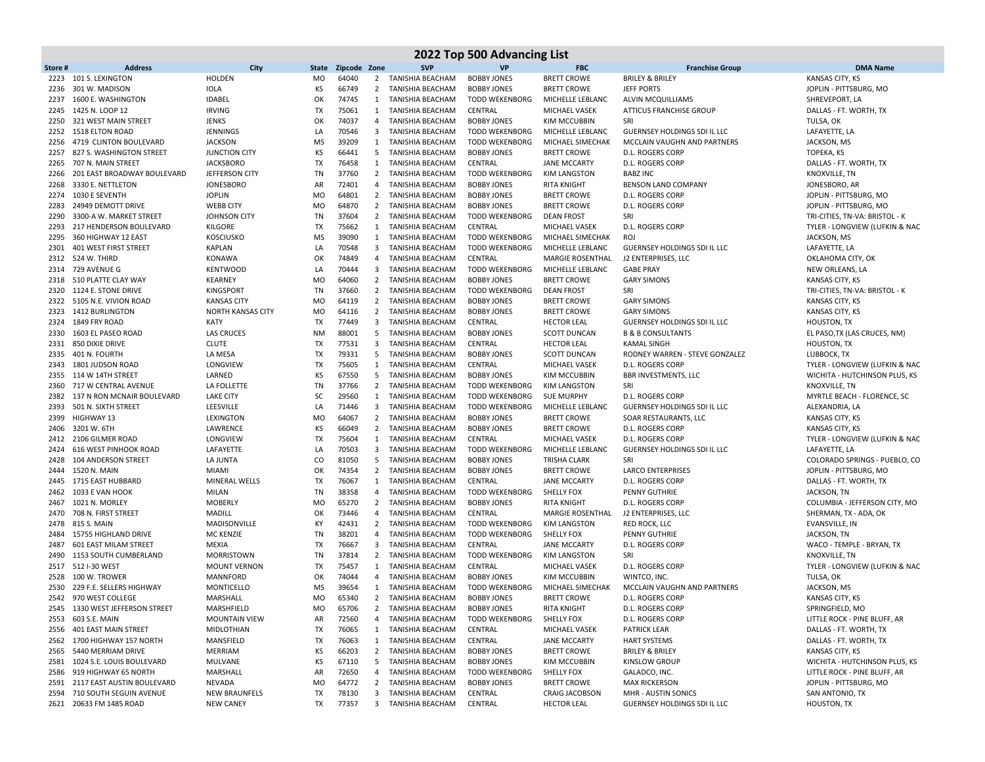|              |                                                       |                                   |                        |                |                         |                                        | 2022 Top 500 Advancing List              |                                          |                                                         |                                                  |
|--------------|-------------------------------------------------------|-----------------------------------|------------------------|----------------|-------------------------|----------------------------------------|------------------------------------------|------------------------------------------|---------------------------------------------------------|--------------------------------------------------|
| Store#       | <b>Address</b>                                        | City                              | State                  | Zipcode Zone   |                         | <b>SVP</b>                             | <b>VP</b>                                | <b>FBC</b>                               | <b>Franchise Group</b>                                  | <b>DMA Name</b>                                  |
| 2223         | 101 S. LEXINGTON                                      | <b>HOLDEN</b>                     | <b>MO</b>              | 64040          | $\mathbf{2}$            | TANISHIA BEACHAM                       | <b>BOBBY JONES</b>                       | <b>BRETT CROWE</b>                       | <b>BRILEY &amp; BRILEY</b>                              | KANSAS CITY, KS                                  |
| 2236         | 301 W. MADISON                                        | <b>IOLA</b>                       | KS                     | 66749          | $\overline{2}$          | TANISHIA BEACHAM                       | <b>BOBBY JONES</b>                       | <b>BRETT CROWE</b>                       | <b>JEFF PORTS</b>                                       | JOPLIN - PITTSBURG, MO                           |
| 2237         | 1600 E. WASHINGTON                                    | IDABEL                            | OK                     | 74745          | 1                       | TANISHIA BEACHAM                       | <b>TODD WEKENBORG</b>                    | MICHELLE LEBLANC                         | <b>ALVIN MCQUILLIAMS</b>                                | SHREVEPORT, LA                                   |
| 2245         | 1425 N. LOOP 12                                       | <b>IRVING</b>                     | TX                     | 75061          | 1                       | TANISHIA BEACHAM                       | CENTRAL                                  | <b>MICHAEL VASEK</b>                     | <b>ATTICUS FRANCHISE GROUP</b>                          | DALLAS - FT. WORTH, TX                           |
| 2250         | 321 WEST MAIN STREET                                  | <b>JENKS</b>                      | OK                     | 74037          | 4                       | TANISHIA BEACHAM                       | <b>BOBBY JONES</b>                       | <b>KIM MCCUBBIN</b>                      | SRI                                                     | TULSA, OK                                        |
|              | 2252 1518 ELTON ROAD                                  | <b>JENNINGS</b>                   | LA                     | 70546          | $\overline{\mathbf{3}}$ | <b>TANISHIA BEACHAM</b>                | <b>TODD WEKENBORG</b>                    | MICHELLE LEBLANC                         | GUERNSEY HOLDINGS SDI IL LLC                            | LAFAYETTE, LA                                    |
| 2256         | 4719 CLINTON BOULEVARD                                | <b>JACKSON</b>                    | <b>MS</b>              | 39209          | 1                       | TANISHIA BEACHAM                       | <b>TODD WEKENBORG</b>                    | MICHAEL SIMECHAK                         | MCCLAIN VAUGHN AND PARTNERS                             | JACKSON, MS                                      |
| 2257         | 827 S. WASHINGTON STREET                              | <b>JUNCTION CITY</b>              | КS                     | 66441          | 5                       | TANISHIA BEACHAM                       | <b>BOBBY JONES</b>                       | <b>BRETT CROWE</b>                       | <b>D.L. ROGERS CORP</b>                                 | TOPEKA, KS                                       |
| 2265         | 707 N. MAIN STREET                                    | <b>JACKSBORO</b>                  | TX                     | 76458          | 1                       | TANISHIA BEACHAM                       | CENTRAL                                  | <b>JANE MCCARTY</b>                      | D.L. ROGERS CORP                                        | DALLAS - FT. WORTH, TX                           |
| 2266         | 201 EAST BROADWAY BOULEVARD                           | JEFFERSON CITY                    | TN                     | 37760          | $\overline{2}$          | TANISHIA BEACHAM                       | <b>TODD WEKENBORG</b>                    | <b>KIM LANGSTON</b>                      | <b>BABZ INC</b>                                         | KNOXVILLE, TN                                    |
| 2268         | 3330 E. NETTLETON                                     | <b>JONESBORO</b>                  | AR                     | 72401          | 4                       | TANISHIA BEACHAM                       | <b>BOBBY JONES</b>                       | <b>RITA KNIGHT</b>                       | BENSON LAND COMPANY                                     | JONESBORO, AR                                    |
| 2274<br>2283 | 1030 E SEVENTH<br>24949 DEMOTT DRIVE                  | <b>JOPLIN</b><br><b>WEBB CITY</b> | <b>MO</b><br><b>MO</b> | 64801<br>64870 | $\overline{2}$          | 2 TANISHIA BEACHAM<br>TANISHIA BEACHAM | <b>BOBBY JONES</b><br><b>BOBBY JONES</b> | <b>BRETT CROWE</b><br><b>BRETT CROWE</b> | <b>D.L. ROGERS CORP</b><br><b>D.L. ROGERS CORP</b>      | JOPLIN - PITTSBURG, MO<br>JOPLIN - PITTSBURG, MO |
| 2290         | 3300-A W. MARKET STREET                               | JOHNSON CITY                      | TN                     | 37604          | $\overline{2}$          | TANISHIA BEACHAM                       | <b>TODD WEKENBORG</b>                    | <b>DEAN FROST</b>                        | SRI                                                     | TRI-CITIES, TN-VA: BRISTOL - K                   |
| 2293         | 217 HENDERSON BOULEVARD                               | KILGORE                           | TX                     | 75662          | 1                       | TANISHIA BEACHAM                       | CENTRAL                                  | MICHAEL VASEK                            | <b>D.L. ROGERS CORP</b>                                 | TYLER - LONGVIEW (LUFKIN & NAC                   |
| 2295         | 360 HIGHWAY 12 EAST                                   | <b>KOSCIUSKO</b>                  | MS                     | 39090          | 1                       | TANISHIA BEACHAM                       | <b>TODD WEKENBORG</b>                    | MICHAEL SIMECHAK                         | ROJ                                                     | JACKSON, MS                                      |
| 2301         | 401 WEST FIRST STREET                                 | <b>KAPLAN</b>                     | LA                     | 70548          | $\overline{\mathbf{3}}$ | TANISHIA BEACHAM                       | <b>TODD WEKENBORG</b>                    | MICHELLE LEBLANC                         | <b>GUERNSEY HOLDINGS SDI IL LLC</b>                     | LAFAYETTE, LA                                    |
|              | 2312 524 W. THIRD                                     | <b>KONAWA</b>                     | OK                     | 74849          | 4                       | TANISHIA BEACHAM                       | CENTRAL                                  | MARGIE ROSENTHAL                         | J2 ENTERPRISES, LLC                                     | OKLAHOMA CITY, OK                                |
|              | 2314 729 AVENUE G                                     | <b>KENTWOOD</b>                   | LA                     | 70444          | 3                       | TANISHIA BEACHAM                       | <b>TODD WEKENBORG</b>                    | MICHELLE LEBLANC                         | <b>GABE PRAY</b>                                        | NEW ORLEANS, LA                                  |
| 2318         | 510 PLATTE CLAY WAY                                   | <b>KEARNEY</b>                    | <b>MO</b>              | 64060          | $\overline{2}$          | TANISHIA BEACHAM                       | <b>BOBBY JONES</b>                       | <b>BRETT CROWE</b>                       | <b>GARY SIMONS</b>                                      | KANSAS CITY, KS                                  |
| 2320         | 1124 E. STONE DRIVE                                   | <b>KINGSPORT</b>                  | TN                     | 37660          | $\overline{2}$          | TANISHIA BEACHAM                       | <b>TODD WEKENBORG</b>                    | <b>DEAN FROST</b>                        | SRI                                                     | TRI-CITIES, TN-VA: BRISTOL - K                   |
|              | 2322 5105 N.E. VIVION ROAD                            | <b>KANSAS CITY</b>                | M <sub>O</sub>         | 64119          | $\overline{2}$          | TANISHIA BEACHAM                       | <b>BOBBY JONES</b>                       | <b>BRETT CROWE</b>                       | <b>GARY SIMONS</b>                                      | KANSAS CITY, KS                                  |
| 2323         | 1412 BURLINGTON                                       | <b>NORTH KANSAS CITY</b>          | <b>MO</b>              | 64116          | $\overline{2}$          | TANISHIA BEACHAM                       | <b>BOBBY JONES</b>                       | <b>BRETT CROWE</b>                       | <b>GARY SIMONS</b>                                      | KANSAS CITY, KS                                  |
| 2324         | 1849 FRY ROAD                                         | <b>KATY</b>                       | TX                     | 77449          | $\overline{3}$          | TANISHIA BEACHAM                       | CENTRAL                                  | <b>HECTOR LEAL</b>                       | GUERNSEY HOLDINGS SDI IL LLC                            | HOUSTON, TX                                      |
| 2330         | 1603 EL PASEO ROAD                                    | <b>LAS CRUCES</b>                 | <b>NM</b>              | 88001          | - 5                     | TANISHIA BEACHAM                       | <b>BOBBY JONES</b>                       | <b>SCOTT DUNCAN</b>                      | <b>B &amp; B CONSULTANTS</b>                            | EL PASO, TX (LAS CRUCES, NM)                     |
| 2331         | 850 DIXIE DRIVE                                       | <b>CLUTE</b>                      | TX                     | 77531          | 3                       | TANISHIA BEACHAM                       | CENTRAL                                  | <b>HECTOR LEAL</b>                       | <b>KAMAL SINGH</b>                                      | HOUSTON, TX                                      |
| 2335         | 401 N. FOURTH                                         | LA MESA                           | TX                     | 79331          | 5                       | TANISHIA BEACHAM                       | <b>BOBBY JONES</b>                       | <b>SCOTT DUNCAN</b>                      | RODNEY WARREN - STEVE GONZALEZ                          | LUBBOCK, TX                                      |
| 2343         | 1801 JUDSON ROAD                                      | LONGVIEW                          | <b>TX</b>              | 75605          | 1                       | TANISHIA BEACHAM                       | CENTRAL                                  | MICHAEL VASEK                            | <b>D.L. ROGERS CORP</b>                                 | TYLER - LONGVIEW (LUFKIN & NAC                   |
| 2355         | 114 W 14TH STREET                                     | LARNED                            | КS                     | 67550          | 5                       | TANISHIA BEACHAM                       | <b>BOBBY JONES</b>                       | KIM MCCUBBIN                             | <b>BBR INVESTMENTS, LLC</b>                             | WICHITA - HUTCHINSON PLUS, KS                    |
|              | 2360 717 W CENTRAL AVENUE                             | LA FOLLETTE                       | TN                     | 37766          | $\overline{2}$          | TANISHIA BEACHAM                       | <b>TODD WEKENBORG</b>                    | KIM LANGSTON                             | SRI                                                     | KNOXVILLE, TN                                    |
| 2382         | 137 N RON MCNAIR BOULEVARD                            | <b>LAKE CITY</b>                  | SC                     | 29560          | 1                       | TANISHIA BEACHAM                       | <b>TODD WEKENBORG</b>                    | <b>SUE MURPHY</b>                        | D.L. ROGERS CORP                                        | MYRTLE BEACH - FLORENCE, SC                      |
| 2393         | 501 N. SIXTH STREET                                   | LEESVILLE                         | LA                     | 71446          | $\overline{\mathbf{3}}$ | TANISHIA BEACHAM                       | <b>TODD WEKENBORG</b>                    | MICHELLE LEBLANC                         | GUERNSEY HOLDINGS SDI IL LLC                            | ALEXANDRIA, LA                                   |
| 2399         | HIGHWAY 13                                            | LEXINGTON                         | <b>MO</b>              | 64067          | $\overline{2}$          | TANISHIA BEACHAM                       | <b>BOBBY JONES</b>                       | <b>BRETT CROWE</b>                       | SOAR RESTAURANTS, LLC                                   | KANSAS CITY, KS                                  |
| 2406         | 3201 W. 6TH                                           | LAWRENCE                          | КS                     | 66049          | $\overline{2}$          | TANISHIA BEACHAM                       | <b>BOBBY JONES</b>                       | <b>BRETT CROWE</b>                       | D.L. ROGERS CORP                                        | KANSAS CITY, KS                                  |
| 2424         | 2412 2106 GILMER ROAD<br><b>616 WEST PINHOOK ROAD</b> | LONGVIEW<br>LAFAYETTE             | TX<br>LA               | 75604<br>70503 | 1<br>3                  | TANISHIA BEACHAM<br>TANISHIA BEACHAM   | CENTRAL<br><b>TODD WEKENBORG</b>         | <b>MICHAEL VASEK</b><br>MICHELLE LEBLANC | <b>D.L. ROGERS CORP</b><br>GUERNSEY HOLDINGS SDI IL LLC | TYLER - LONGVIEW (LUFKIN & NAC<br>LAFAYETTE, LA  |
|              | 2428 104 ANDERSON STREET                              | LA JUNTA                          | CO                     | 81050          | 5                       | TANISHIA BEACHAM                       | <b>BOBBY JONES</b>                       | <b>TRISHA CLARK</b>                      | SRI                                                     | COLORADO SPRINGS - PUEBLO, CO                    |
| 2444         | 1520 N. MAIN                                          | <b>MIAMI</b>                      | OK                     | 74354          | $\overline{2}$          | TANISHIA BEACHAM                       | <b>BOBBY JONES</b>                       | <b>BRETT CROWE</b>                       | <b>LARCO ENTERPRISES</b>                                | JOPLIN - PITTSBURG, MO                           |
| 2445         | 1715 EAST HUBBARD                                     | MINERAL WELLS                     | TX                     | 76067          | 1                       | TANISHIA BEACHAM                       | CENTRAL                                  | <b>JANE MCCARTY</b>                      | <b>D.L. ROGERS CORP</b>                                 | DALLAS - FT. WORTH, TX                           |
| 2462         | 1033 E VAN HOOK                                       | MILAN                             | TN                     | 38358          | 4                       | TANISHIA BEACHAM                       | <b>TODD WEKENBORG</b>                    | SHELLY FOX                               | PENNY GUTHRIE                                           | JACKSON, TN                                      |
| 2467         | 1021 N. MORLEY                                        | <b>MOBERLY</b>                    | <b>MO</b>              | 65270          | $\overline{2}$          | TANISHIA BEACHAM                       | <b>BOBBY JONES</b>                       | <b>RITA KNIGHT</b>                       | <b>D.L. ROGERS CORP</b>                                 | COLUMBIA - JEFFERSON CITY, MO                    |
| 2470         | 708 N. FIRST STREET                                   | <b>MADILL</b>                     | OK                     | 73446          | 4                       | TANISHIA BEACHAM                       | CENTRAL                                  | <b>MARGIE ROSENTHAL</b>                  | J2 ENTERPRISES, LLC                                     | SHERMAN, TX - ADA, OK                            |
| 2478         | 815 S. MAIN                                           | MADISONVILLE                      | KY                     | 42431          |                         | 2 TANISHIA BEACHAM                     | <b>TODD WEKENBORG</b>                    | <b>KIM LANGSTON</b>                      | RED ROCK, LLC                                           | EVANSVILLE, IN                                   |
| 2484         | 15755 HIGHLAND DRIVE                                  | <b>MC KENZIE</b>                  | TN                     | 38201          | 4                       | TANISHIA BEACHAM                       | <b>TODD WEKENBORG</b>                    | SHELLY FOX                               | PENNY GUTHRIE                                           | JACKSON, TN                                      |
| 2487         | 601 EAST MILAM STREET                                 | MEXIA                             | TX                     | 76667          | 3                       | TANISHIA BEACHAM                       | CENTRAL                                  | <b>JANE MCCARTY</b>                      | <b>D.L. ROGERS CORP</b>                                 | WACO - TEMPLE - BRYAN, TX                        |
| 2490         | 1153 SOUTH CUMBERLAND                                 | <b>MORRISTOWN</b>                 | TN                     | 37814          | $\overline{2}$          | TANISHIA BEACHAM                       | <b>TODD WEKENBORG</b>                    | KIM LANGSTON                             | SRI                                                     | KNOXVILLE, TN                                    |
|              | 2517 512 I-30 WEST                                    | <b>MOUNT VERNON</b>               | TX                     | 75457          | 1                       | TANISHIA BEACHAM                       | CENTRAL                                  | <b>MICHAEL VASEK</b>                     | D.L. ROGERS CORP                                        | TYLER - LONGVIEW (LUFKIN & NAC                   |
| 2528         | 100 W. TROWER                                         | MANNFORD                          | OK                     | 74044          | 4                       | TANISHIA BEACHAM                       | <b>BOBBY JONES</b>                       | KIM MCCUBBIN                             | WINTCO, INC.                                            | TULSA, OK                                        |
|              | 2530 229 F.E. SELLERS HIGHWAY                         | MONTICELLO                        | MS                     | 39654          | 1                       | TANISHIA BEACHAM                       | <b>TODD WEKENBORG</b>                    | MICHAEL SIMECHAK                         | MCCLAIN VAUGHN AND PARTNERS                             | JACKSON, MS                                      |
|              | 2542 970 WEST COLLEGE                                 | MARSHALL                          | <b>MO</b>              | 65340          |                         | 2 TANISHIA BEACHAM                     | <b>BOBBY JONES</b>                       | <b>BRETT CROWE</b>                       | <b>D.L. ROGERS CORP</b>                                 | KANSAS CITY, KS                                  |
|              | 2545 1330 WEST JEFFERSON STREET                       | MARSHFIELD                        | MO                     | 65706          | $\overline{2}$          | TANISHIA BEACHAM                       | <b>BOBBY JONES</b>                       | <b>RITA KNIGHT</b>                       | D.L. ROGERS CORP                                        | SPRINGFIELD, MO                                  |
|              | 2553 603 S.E. MAIN                                    | <b>MOUNTAIN VIEW</b>              | AR                     | 72560          |                         | 4 TANISHIA BEACHAM                     | TODD WEKENBORG                           | SHELLY FOX                               | D.L. ROGERS CORP                                        | LITTLE ROCK - PINE BLUFF, AR                     |
|              | 2556 401 EAST MAIN STREET                             | <b>MIDLOTHIAN</b>                 | TX                     | 76065          |                         | 1 TANISHIA BEACHAM                     | CENTRAL                                  | MICHAEL VASEK                            | <b>PATRICK LEAR</b>                                     | DALLAS - FT. WORTH, TX                           |
|              | 2562 1700 HIGHWAY 157 NORTH                           | MANSFIELD                         | TX                     | 76063          |                         | 1 TANISHIA BEACHAM                     | CENTRAL                                  | <b>JANE MCCARTY</b>                      | <b>HART SYSTEMS</b>                                     | DALLAS - FT. WORTH, TX                           |
|              | 2565 5440 MERRIAM DRIVE                               | MERRIAM                           | КS                     | 66203          |                         | 2 TANISHIA BEACHAM                     | <b>BOBBY JONES</b>                       | <b>BRETT CROWE</b>                       | <b>BRILEY &amp; BRILEY</b>                              | KANSAS CITY, KS                                  |
|              | 2581 1024 S.E. LOUIS BOULEVARD                        | MULVANE                           | КS                     | 67110          | 5                       | TANISHIA BEACHAM                       | <b>BOBBY JONES</b>                       | <b>KIM MCCUBBIN</b>                      | <b>KINSLOW GROUP</b>                                    | WICHITA - HUTCHINSON PLUS, KS                    |
|              | 2586 919 HIGHWAY 65 NORTH                             | MARSHALL                          | AR                     | 72650          |                         | 4 TANISHIA BEACHAM                     | <b>TODD WEKENBORG</b>                    | SHELLY FOX                               | GALADCO, INC.                                           | LITTLE ROCK - PINE BLUFF, AR                     |
|              | 2591 2117 EAST AUSTIN BOULEVARD                       | NEVADA                            | <b>MO</b>              | 64772          | $\overline{2}$          | TANISHIA BEACHAM                       | <b>BOBBY JONES</b>                       | <b>BRETT CROWE</b>                       | <b>MAX RICKERSON</b>                                    | JOPLIN - PITTSBURG, MO                           |
|              | 2594 710 SOUTH SEGUIN AVENUE                          | <b>NEW BRAUNFELS</b>              | TX                     | 78130          | 3                       | TANISHIA BEACHAM                       | CENTRAL                                  | <b>CRAIG JACOBSON</b>                    | MHR - AUSTIN SONICS                                     | SAN ANTONIO, TX                                  |
|              | 2621 20633 FM 1485 ROAD                               | <b>NEW CANEY</b>                  | TX                     | 77357          |                         | 3 TANISHIA BEACHAM                     | CENTRAL                                  | <b>HECTOR LEAL</b>                       | GUERNSEY HOLDINGS SDI IL LLC                            | <b>HOUSTON, TX</b>                               |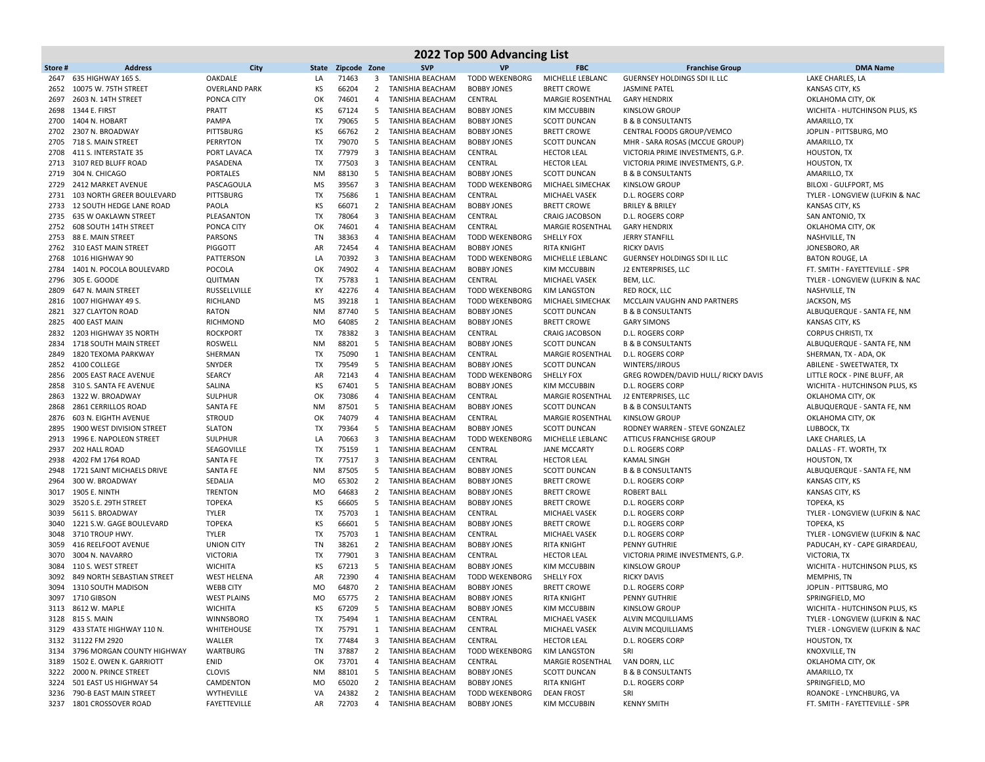|              | 2022 Top 500 Advancing List                  |                               |                 |                |                         |                                      |                               |                                            |                                             |                                              |  |  |  |
|--------------|----------------------------------------------|-------------------------------|-----------------|----------------|-------------------------|--------------------------------------|-------------------------------|--------------------------------------------|---------------------------------------------|----------------------------------------------|--|--|--|
| Store#       | <b>Address</b>                               | City                          | State           | Zipcode Zone   |                         | <b>SVP</b>                           | <b>VP</b>                     | <b>FBC</b>                                 | <b>Franchise Group</b>                      | <b>DMA Name</b>                              |  |  |  |
| 2647         | 635 HIGHWAY 165 S.                           | OAKDALE                       | LA              | 71463          | 3                       | TANISHIA BEACHAM                     | <b>TODD WEKENBORG</b>         | MICHELLE LEBLANC                           | <b>GUERNSEY HOLDINGS SDI IL LLC</b>         | LAKE CHARLES, LA                             |  |  |  |
| 2652         | 10075 W. 75TH STREET                         | <b>OVERLAND PARK</b>          | KS              | 66204          | $\overline{2}$          | TANISHIA BEACHAM                     | <b>BOBBY JONES</b>            | <b>BRETT CROWE</b>                         | <b>JASMINE PATEL</b>                        | <b>KANSAS CITY, KS</b>                       |  |  |  |
| 2697         | 2603 N. 14TH STREET                          | PONCA CITY                    | OK              | 74601          | $\overline{4}$          | TANISHIA BEACHAM                     | CENTRAL                       | MARGIE ROSENTHAL                           | <b>GARY HENDRIX</b>                         | OKLAHOMA CITY, OK                            |  |  |  |
| 2698         | 1344 E. FIRST                                | PRATT                         | KS              | 67124          | 5                       | TANISHIA BEACHAM                     | <b>BOBBY JONES</b>            | KIM MCCUBBIN                               | <b>KINSLOW GROUP</b>                        | WICHITA - HUTCHINSON PLUS, KS                |  |  |  |
| 2700         | 1404 N. HOBART                               | PAMPA                         | <b>TX</b>       | 79065          | 5                       | TANISHIA BEACHAM                     | <b>BOBBY JONES</b>            | <b>SCOTT DUNCAN</b>                        | <b>B &amp; B CONSULTANTS</b>                | AMARILLO, TX                                 |  |  |  |
| 2702         | 2307 N. BROADWAY                             | PITTSBURG                     | ΚS              | 66762          | 2                       | TANISHIA BEACHAM                     | <b>BOBBY JONES</b>            | <b>BRETT CROWE</b>                         | CENTRAL FOODS GROUP/VEMCO                   | JOPLIN - PITTSBURG, MO                       |  |  |  |
| 2705         | 718 S. MAIN STREET                           | <b>PERRYTON</b>               | <b>TX</b>       | 79070          | 5                       | TANISHIA BEACHAM                     | <b>BOBBY JONES</b>            | SCOTT DUNCAN                               | MHR - SARA ROSAS (MCCUE GROUP)              | AMARILLO, TX                                 |  |  |  |
| 2708         | 411 S. INTERSTATE 35                         | PORT LAVACA                   | <b>TX</b>       | 77979          | 3                       | TANISHIA BEACHAM                     | CENTRAL                       | <b>HECTOR LEAL</b>                         | VICTORIA PRIME INVESTMENTS, G.P.            | <b>HOUSTON, TX</b>                           |  |  |  |
| 2713         | 3107 RED BLUFF ROAD                          | PASADENA                      | TX              | 77503          | 3                       | TANISHIA BEACHAM                     | CENTRAL                       | <b>HECTOR LEAL</b>                         | VICTORIA PRIME INVESTMENTS, G.P.            | <b>HOUSTON, TX</b>                           |  |  |  |
| 2719         | 304 N. CHICAGO                               | <b>PORTALES</b>               | <b>NM</b>       | 88130          | 5                       | TANISHIA BEACHAM                     | <b>BOBBY JONES</b>            | <b>SCOTT DUNCAN</b>                        | <b>B &amp; B CONSULTANTS</b>                | AMARILLO, TX                                 |  |  |  |
| 2729         | 2412 MARKET AVENUE                           | PASCAGOULA                    | <b>MS</b>       | 39567          | $\overline{\mathbf{3}}$ | TANISHIA BEACHAM                     | <b>TODD WEKENBORG</b>         | MICHAEL SIMECHAK                           | <b>KINSLOW GROUP</b>                        | BILOXI - GULFPORT, MS                        |  |  |  |
| 2731         | 103 NORTH GREER BOULEVARD                    | PITTSBURG                     | TX              | 75686          | 1                       | <b>TANISHIA BEACHAM</b>              | CENTRAL                       | <b>MICHAEL VASEK</b>                       | D.L. ROGERS CORP                            | TYLER - LONGVIEW (LUFKIN & NAC               |  |  |  |
| 2733         | 12 SOUTH HEDGE LANE ROAD                     | PAOLA                         | ΚS              | 66071          | 2                       | TANISHIA BEACHAM                     | <b>BOBBY JONES</b>            | <b>BRETT CROWE</b>                         | <b>BRILEY &amp; BRILEY</b>                  | KANSAS CITY, KS                              |  |  |  |
| 2735         | 635 W OAKLAWN STREET                         | PLEASANTON                    | TX              | 78064          | $\overline{\mathbf{3}}$ | TANISHIA BEACHAM                     | CENTRAL                       | <b>CRAIG JACOBSON</b>                      | D.L. ROGERS CORP                            | SAN ANTONIO, TX                              |  |  |  |
| 2752         | 608 SOUTH 14TH STREET                        | PONCA CITY                    | OK              | 74601          | 4                       | TANISHIA BEACHAM                     | CENTRAL                       | <b>MARGIE ROSENTHAL</b>                    | <b>GARY HENDRIX</b>                         | OKLAHOMA CITY, OK                            |  |  |  |
| 2753         | 88 E. MAIN STREET                            | PARSONS                       | TN              | 38363          | 4                       | TANISHIA BEACHAM                     | <b>TODD WEKENBORG</b>         | <b>SHELLY FOX</b>                          | <b>JERRY STANFILL</b>                       | NASHVILLE, TN                                |  |  |  |
| 2762         | 310 EAST MAIN STREET                         | PIGGOTT                       | AR              | 72454          | 4                       | TANISHIA BEACHAM                     | <b>BOBBY JONES</b>            | <b>RITA KNIGHT</b>                         | <b>RICKY DAVIS</b>                          | JONESBORO, AR                                |  |  |  |
| 2768         | 1016 HIGHWAY 90                              | PATTERSON                     | LA              | 70392          | $\overline{\mathbf{3}}$ | TANISHIA BEACHAM                     | <b>TODD WEKENBORG</b>         | MICHELLE LEBLANC                           | GUERNSEY HOLDINGS SDI IL LLC                | <b>BATON ROUGE, LA</b>                       |  |  |  |
| 2784         | 1401 N. POCOLA BOULEVARD                     | POCOLA                        | OK              | 74902          | 4                       | TANISHIA BEACHAM                     | <b>BOBBY JONES</b>            | KIM MCCUBBIN                               | J2 ENTERPRISES, LLC                         | FT. SMITH - FAYETTEVILLE - SPR               |  |  |  |
| 2796         | 305 E. GOODE                                 | QUITMAN                       | <b>TX</b>       | 75783          | 1                       | <b>TANISHIA BEACHAM</b>              | CENTRAL                       | MICHAEL VASEK                              | BEM, LLC.                                   | TYLER - LONGVIEW (LUFKIN & NAC               |  |  |  |
| 2809         | 647 N. MAIN STREET                           | RUSSELLVILLE                  | KY              | 42276          | 4                       | TANISHIA BEACHAM                     | <b>TODD WEKENBORG</b>         | <b>KIM LANGSTON</b>                        | RED ROCK, LLC                               | NASHVILLE, TN                                |  |  |  |
| 2816         | 1007 HIGHWAY 49 S.                           | RICHLAND                      | <b>MS</b>       | 39218          | 1                       | <b>TANISHIA BEACHAM</b>              | <b>TODD WEKENBORG</b>         | MICHAEL SIMECHAK                           | MCCLAIN VAUGHN AND PARTNERS                 | JACKSON, MS                                  |  |  |  |
|              | 2821 327 CLAYTON ROAD                        | <b>RATON</b>                  | <b>NM</b>       | 87740          | 5                       | TANISHIA BEACHAM                     | <b>BOBBY JONES</b>            | <b>SCOTT DUNCAN</b>                        | <b>B &amp; B CONSULTANTS</b>                | ALBUQUERQUE - SANTA FE, NM                   |  |  |  |
| 2825         | 400 EAST MAIN                                | <b>RICHMOND</b>               | MO              | 64085          | $\overline{2}$          | TANISHIA BEACHAM                     | <b>BOBBY JONES</b>            | <b>BRETT CROWE</b>                         | <b>GARY SIMONS</b>                          | KANSAS CITY, KS                              |  |  |  |
| 2832         | 1203 HIGHWAY 35 NORTH                        | <b>ROCKPORT</b>               | TX              | 78382          | 3                       | TANISHIA BEACHAM                     | CENTRAL                       | <b>CRAIG JACOBSON</b>                      | D.L. ROGERS CORP                            | <b>CORPUS CHRISTI, TX</b>                    |  |  |  |
| 2834         | 1718 SOUTH MAIN STREET                       | <b>ROSWELL</b>                | <b>NM</b>       | 88201          | 5                       | <b>TANISHIA BEACHAM</b>              | <b>BOBBY JONES</b>            | <b>SCOTT DUNCAN</b>                        | <b>B &amp; B CONSULTANTS</b>                | ALBUQUERQUE - SANTA FE, NM                   |  |  |  |
| 2849         | 1820 TEXOMA PARKWAY                          | SHERMAN                       | <b>TX</b>       | 75090          | 1                       | TANISHIA BEACHAM                     | CENTRAL                       | <b>MARGIE ROSENTHAL</b>                    | <b>D.L. ROGERS CORP</b>                     | SHERMAN, TX - ADA, OK                        |  |  |  |
|              | 2852 4100 COLLEGE                            | SNYDER                        | TX              | 79549          | 5                       | TANISHIA BEACHAM                     | <b>BOBBY JONES</b>            | <b>SCOTT DUNCAN</b>                        | WINTERS/JIROUS                              | ABILENE - SWEETWATER, TX                     |  |  |  |
| 2856         | 2005 EAST RACE AVENUE                        | SEARCY                        | AR              | 72143          | 4                       | <b>TANISHIA BEACHAM</b>              | <b>TODD WEKENBORG</b>         | SHELLY FOX                                 | GREG ROWDEN/DAVID HULL/ RICKY DAVIS         | LITTLE ROCK - PINE BLUFF, AR                 |  |  |  |
|              | 2858 310 S. SANTA FE AVENUE                  | SALINA                        | KS              | 67401          | 5                       | TANISHIA BEACHAM                     | <b>BOBBY JONES</b>            | KIM MCCUBBIN                               | D.L. ROGERS CORP                            | WICHITA - HUTCHINSON PLUS, KS                |  |  |  |
| 2863         | 1322 W. BROADWAY                             | <b>SULPHUR</b>                | OK              | 73086          | $\overline{4}$          | <b>TANISHIA BEACHAM</b>              | CENTRAL                       | MARGIE ROSENTHAL                           | J2 ENTERPRISES, LLC                         | OKLAHOMA CITY, OK                            |  |  |  |
| 2868         | 2861 CERRILLOS ROAD                          | <b>SANTA FE</b>               | <b>NM</b>       | 87501          | -5                      | TANISHIA BEACHAM                     | <b>BOBBY JONES</b>            | <b>SCOTT DUNCAN</b>                        | <b>B &amp; B CONSULTANTS</b>                | ALBUQUERQUE - SANTA FE, NM                   |  |  |  |
| 2876         | 603 N. EIGHTH AVENUE                         | <b>STROUD</b>                 | OK              | 74079          | 4                       | TANISHIA BEACHAM                     | CENTRAL                       | MARGIE ROSENTHAL                           | KINSLOW GROUP                               | OKLAHOMA CITY, OK                            |  |  |  |
| 2895         | 1900 WEST DIVISION STREET                    | <b>SLATON</b>                 | TX              | 79364          | 5                       | TANISHIA BEACHAM                     | <b>BOBBY JONES</b>            | <b>SCOTT DUNCAN</b>                        | RODNEY WARREN - STEVE GONZALEZ              | LUBBOCK, TX                                  |  |  |  |
| 2913         | 1996 E. NAPOLEON STREET                      | <b>SULPHUR</b>                | LA              | 70663          | $\overline{\mathbf{3}}$ | TANISHIA BEACHAM                     | <b>TODD WEKENBORG</b>         | MICHELLE LEBLANC                           | <b>ATTICUS FRANCHISE GROUP</b>              | LAKE CHARLES, LA                             |  |  |  |
| 2937         | 202 HALL ROAD                                | SEAGOVILLE                    | <b>TX</b>       | 75159          | 1                       | TANISHIA BEACHAM                     | CENTRAL                       | <b>JANE MCCARTY</b>                        | D.L. ROGERS CORP                            | DALLAS - FT. WORTH, TX                       |  |  |  |
| 2938         | 4202 FM 1764 ROAD                            | <b>SANTA FE</b>               | TX              | 77517          | 3                       | TANISHIA BEACHAM                     | CENTRAL                       | <b>HECTOR LEAL</b>                         | <b>KAMAL SINGH</b>                          | <b>HOUSTON, TX</b>                           |  |  |  |
| 2948         | 1721 SAINT MICHAELS DRIVE                    | <b>SANTA FE</b>               | <b>NM</b>       | 87505          | -5                      | TANISHIA BEACHAM                     | <b>BOBBY JONES</b>            | <b>SCOTT DUNCAN</b>                        | <b>B &amp; B CONSULTANTS</b>                | ALBUQUERQUE - SANTA FE, NM                   |  |  |  |
| 2964         | 300 W. BROADWAY                              | SEDALIA                       | MO              | 65302          | $\overline{2}$          | <b>TANISHIA BEACHAM</b>              | <b>BOBBY JONES</b>            | <b>BRETT CROWE</b>                         | D.L. ROGERS CORP                            | KANSAS CITY, KS                              |  |  |  |
| 3017         | 1905 E. NINTH                                | <b>TRENTON</b>                | <b>MO</b>       | 64683<br>66605 | 2                       | TANISHIA BEACHAM                     | <b>BOBBY JONES</b>            | <b>BRETT CROWE</b>                         | <b>ROBERT BALL</b>                          | KANSAS CITY, KS                              |  |  |  |
| 3029         | 3520 S.E. 29TH STREET                        | <b>TOPEKA</b>                 | ΚS<br><b>TX</b> |                | 5                       | TANISHIA BEACHAM                     | <b>BOBBY JONES</b>            | <b>BRETT CROWE</b>                         | D.L. ROGERS CORP                            | <b>TOPEKA, KS</b>                            |  |  |  |
| 3039         | 5611 S. BROADWAY<br>1221 S.W. GAGE BOULEVARD | <b>TYLER</b><br><b>TOPEKA</b> | KS              | 75703<br>66601 | 1<br>$5\overline{)}$    | TANISHIA BEACHAM<br>TANISHIA BEACHAM | CENTRAL<br><b>BOBBY JONES</b> | <b>MICHAEL VASEK</b><br><b>BRETT CROWE</b> | <b>D.L. ROGERS CORP</b>                     | TYLER - LONGVIEW (LUFKIN & NAC<br>TOPEKA, KS |  |  |  |
| 3040<br>3048 | 3710 TROUP HWY.                              | <b>TYLER</b>                  | TX              | 75703          | 1                       | TANISHIA BEACHAM                     | CENTRAL                       | MICHAEL VASEK                              | <b>D.L. ROGERS CORP</b><br>D.L. ROGERS CORP | TYLER - LONGVIEW (LUFKIN & NAC               |  |  |  |
| 3059         | 416 REELFOOT AVENUE                          | <b>UNION CITY</b>             | TN              | 38261          | $\overline{2}$          | TANISHIA BEACHAM                     | <b>BOBBY JONES</b>            | RITA KNIGHT                                | <b>PENNY GUTHRIE</b>                        | PADUCAH, KY - CAPE GIRARDEAU,                |  |  |  |
| 3070         | 3004 N. NAVARRO                              | <b>VICTORIA</b>               | <b>TX</b>       | 77901          | $\overline{\mathbf{3}}$ | TANISHIA BEACHAM                     | CENTRAL                       | <b>HECTOR LEAL</b>                         | VICTORIA PRIME INVESTMENTS, G.P.            | <b>VICTORIA, TX</b>                          |  |  |  |
|              | 3084 110 S. WEST STREET                      | <b>WICHITA</b>                | ΚS              | 67213          | 5                       | TANISHIA BEACHAM                     | <b>BOBBY JONES</b>            | KIM MCCUBBIN                               | <b>KINSLOW GROUP</b>                        | WICHITA - HUTCHINSON PLUS, KS                |  |  |  |
| 3092         | 849 NORTH SEBASTIAN STREET                   | <b>WEST HELENA</b>            | AR              | 72390          | 4                       | <b>TANISHIA BEACHAM</b>              | <b>TODD WEKENBORG</b>         | <b>SHELLY FOX</b>                          | <b>RICKY DAVIS</b>                          | MEMPHIS, TN                                  |  |  |  |
| 3094         | 1310 SOUTH MADISON                           | <b>WEBB CITY</b>              | MO              | 64870          | $\overline{2}$          | TANISHIA BEACHAM                     | <b>BOBBY JONES</b>            | <b>BRETT CROWE</b>                         | D.L. ROGERS CORP                            | JOPLIN - PITTSBURG, MO                       |  |  |  |
|              | 3097 1710 GIBSON                             | <b>WEST PLAINS</b>            | <b>MO</b>       | 65775          | $\overline{2}$          | TANISHIA BEACHAM                     | <b>BOBBY JONES</b>            | <b>RITA KNIGHT</b>                         | <b>PENNY GUTHRIE</b>                        | SPRINGFIELD, MO                              |  |  |  |
|              | 3113 8612 W. MAPLE                           | <b>WICHITA</b>                | ΚS              | 67209          | 5                       | TANISHIA BEACHAM                     | <b>BOBBY JONES</b>            | KIM MCCUBBIN                               | <b>KINSLOW GROUP</b>                        | WICHITA - HUTCHINSON PLUS, KS                |  |  |  |
|              | 3128 815 S. MAIN                             | WINNSBORO                     | TX              | 75494          | 1                       | TANISHIA BEACHAM                     | CENTRAL                       | MICHAEL VASEK                              | ALVIN MCQUILLIAMS                           | TYLER - LONGVIEW (LUFKIN & NAC               |  |  |  |
|              | 3129 433 STATE HIGHWAY 110 N.                | WHITEHOUSE                    | TX              | 75791          | 1                       | TANISHIA BEACHAM                     | CENTRAL                       | MICHAEL VASEK                              | ALVIN MCQUILLIAMS                           | TYLER - LONGVIEW (LUFKIN & NAC               |  |  |  |
|              | 3132 31122 FM 2920                           | WALLER                        | TX              | 77484          | 3                       | TANISHIA BEACHAM                     | CENTRAL                       | <b>HECTOR LEAL</b>                         | D.L. ROGERS CORP                            | <b>HOUSTON, TX</b>                           |  |  |  |
|              | 3134 3796 MORGAN COUNTY HIGHWAY              | WARTBURG                      | TN              | 37887          | $\overline{2}$          | TANISHIA BEACHAM                     | <b>TODD WEKENBORG</b>         | <b>KIM LANGSTON</b>                        | SRI                                         | KNOXVILLE, TN                                |  |  |  |
|              | 3189 1502 E. OWEN K. GARRIOTT                | ENID                          | OK              | 73701          | 4                       | <b>TANISHIA BEACHAM</b>              | CENTRAL                       | MARGIE ROSENTHAL                           | VAN DORN, LLC                               | OKLAHOMA CITY, OK                            |  |  |  |
|              | 3222 2000 N. PRINCE STREET                   | <b>CLOVIS</b>                 | NM              | 88101          | 5                       | TANISHIA BEACHAM                     | <b>BOBBY JONES</b>            | <b>SCOTT DUNCAN</b>                        | <b>B &amp; B CONSULTANTS</b>                | AMARILLO, TX                                 |  |  |  |
|              | 3224 501 EAST US HIGHWAY 54                  | CAMDENTON                     | MO              | 65020          | $\overline{2}$          | TANISHIA BEACHAM                     | <b>BOBBY JONES</b>            | RITA KNIGHT                                | D.L. ROGERS CORP                            | SPRINGFIELD, MO                              |  |  |  |
|              | 3236 790-B EAST MAIN STREET                  | WYTHEVILLE                    | VA              | 24382          | $\overline{2}$          | TANISHIA BEACHAM                     | <b>TODD WEKENBORG</b>         | <b>DEAN FROST</b>                          | SRI                                         | ROANOKE - LYNCHBURG, VA                      |  |  |  |
|              | 3237 1801 CROSSOVER ROAD                     | FAYETTEVILLE                  | AR              | 72703          |                         | 4 TANISHIA BEACHAM                   | <b>BOBBY JONES</b>            | KIM MCCUBBIN                               | <b>KENNY SMITH</b>                          | FT. SMITH - FAYETTEVILLE - SPR               |  |  |  |
|              |                                              |                               |                 |                |                         |                                      |                               |                                            |                                             |                                              |  |  |  |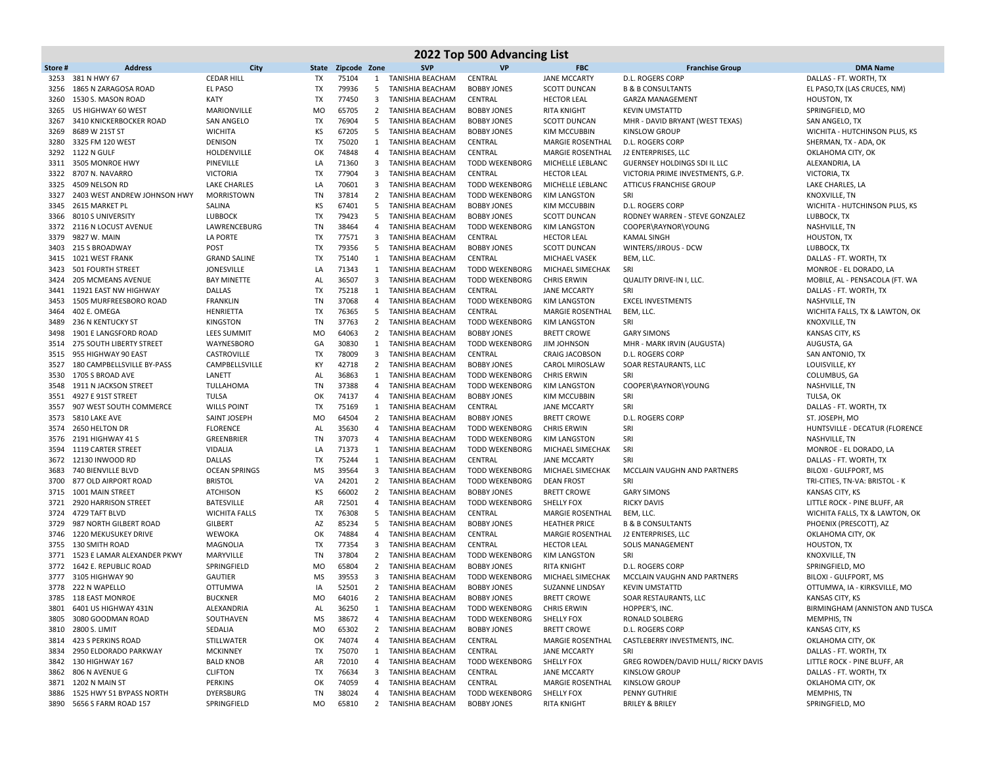|              | 2022 Top 500 Advancing List              |                                        |                 |                |                         |                                             |                               |                                                 |                                                     |                                                          |  |  |
|--------------|------------------------------------------|----------------------------------------|-----------------|----------------|-------------------------|---------------------------------------------|-------------------------------|-------------------------------------------------|-----------------------------------------------------|----------------------------------------------------------|--|--|
| Store#       | <b>Address</b>                           | City                                   | State           | Zipcode Zone   |                         | <b>SVP</b>                                  | <b>VP</b>                     | <b>FBC</b>                                      | <b>Franchise Group</b>                              | <b>DMA Name</b>                                          |  |  |
| 3253         | 381 N HWY 67                             | <b>CEDAR HILL</b>                      | TX              | 75104          | 1                       | TANISHIA BEACHAM                            | CENTRAL                       | <b>JANE MCCARTY</b>                             | <b>D.L. ROGERS CORP</b>                             | DALLAS - FT. WORTH, TX                                   |  |  |
| 3256         | 1865 N ZARAGOSA ROAD                     | <b>EL PASO</b>                         | TX              | 79936          | 5                       | <b>TANISHIA BEACHAM</b>                     | <b>BOBBY JONES</b>            | <b>SCOTT DUNCAN</b>                             | <b>B &amp; B CONSULTANTS</b>                        | EL PASO, TX (LAS CRUCES, NM)                             |  |  |
| 3260         | 1530 S. MASON ROAD                       | <b>KATY</b>                            | TX              | 77450          | 3                       | <b>TANISHIA BEACHAM</b>                     | CENTRAL                       | <b>HECTOR LEAL</b>                              | <b>GARZA MANAGEMENT</b>                             | HOUSTON, TX                                              |  |  |
| 3265         | US HIGHWAY 60 WEST                       | MARIONVILLE                            | MO              | 65705          | $\overline{2}$          | TANISHIA BEACHAM                            | <b>BOBBY JONES</b>            | RITA KNIGHT                                     | <b>KEVIN UMSTATTD</b>                               | SPRINGFIELD, MO                                          |  |  |
| 3267         | 3410 KNICKERBOCKER ROAD                  | <b>SAN ANGELO</b>                      | <b>TX</b>       | 76904          | $5\overline{)}$         | TANISHIA BEACHAM                            | <b>BOBBY JONES</b>            | <b>SCOTT DUNCAN</b>                             | MHR - DAVID BRYANT (WEST TEXAS)                     | SAN ANGELO, TX                                           |  |  |
| 3269         | 8689 W 21ST ST                           | <b>WICHITA</b>                         | ΚS              | 67205          | -5                      | TANISHIA BEACHAM                            | <b>BOBBY JONES</b>            | <b>KIM MCCUBBIN</b>                             | <b>KINSLOW GROUP</b>                                | WICHITA - HUTCHINSON PLUS, KS                            |  |  |
| 3280         | 3325 FM 120 WEST                         | <b>DENISON</b>                         | <b>TX</b>       | 75020          | 1                       | TANISHIA BEACHAM                            | CENTRAL                       | MARGIE ROSENTHAL                                | D.L. ROGERS CORP                                    | SHERMAN, TX - ADA, OK                                    |  |  |
| 3292         | <b>1122 N GULF</b>                       | HOLDENVILLE                            | OK              | 74848          | 4                       | <b>TANISHIA BEACHAM</b>                     | CENTRAL                       | <b>MARGIE ROSENTHAL</b>                         | J2 ENTERPRISES, LLC                                 | OKLAHOMA CITY, OK                                        |  |  |
| 3311         | 3505 MONROE HWY                          | PINEVILLE                              | LA              | 71360          | 3                       | <b>TANISHIA BEACHAM</b>                     | <b>TODD WEKENBORG</b>         | MICHELLE LEBLANC                                | GUERNSEY HOLDINGS SDI IL LLC                        | ALEXANDRIA, LA                                           |  |  |
| 3322         | 8707 N. NAVARRO                          | <b>VICTORIA</b>                        | TX              | 77904          | 3                       | TANISHIA BEACHAM                            | CENTRAL                       | <b>HECTOR LEAL</b>                              | VICTORIA PRIME INVESTMENTS, G.P.                    | <b>VICTORIA, TX</b>                                      |  |  |
| 3325         | 4509 NELSON RD                           | <b>LAKE CHARLES</b>                    | LA              | 70601          | 3                       | TANISHIA BEACHAM                            | <b>TODD WEKENBORG</b>         | MICHELLE LEBLANC                                | <b>ATTICUS FRANCHISE GROUP</b>                      | LAKE CHARLES, LA                                         |  |  |
| 3327         | 2403 WEST ANDREW JOHNSON HWY             | MORRISTOWN                             | TN              | 37814          | $\overline{2}$          | TANISHIA BEACHAM                            | <b>TODD WEKENBORG</b>         | <b>KIM LANGSTON</b>                             | SRI                                                 | KNOXVILLE, TN                                            |  |  |
| 3345         | 2615 MARKET PL                           | SALINA                                 | ΚS              | 67401          | 5                       | <b>TANISHIA BEACHAM</b>                     | <b>BOBBY JONES</b>            | <b>KIM MCCUBBIN</b>                             | <b>D.L. ROGERS CORP</b>                             | WICHITA - HUTCHINSON PLUS, KS                            |  |  |
| 3366         | 8010 S UNIVERSITY                        | <b>LUBBOCK</b>                         | TX              | 79423          | 5                       | TANISHIA BEACHAM                            | <b>BOBBY JONES</b>            | <b>SCOTT DUNCAN</b>                             | RODNEY WARREN - STEVE GONZALEZ                      | LUBBOCK, TX                                              |  |  |
| 3372         | 2116 N LOCUST AVENUE                     | LAWRENCEBURG                           | TN              | 38464          | 4                       | <b>TANISHIA BEACHAM</b>                     | <b>TODD WEKENBORG</b>         | <b>KIM LANGSTON</b>                             | COOPER\RAYNOR\YOUNG                                 | NASHVILLE, TN                                            |  |  |
| 3379         | 9827 W. MAIN                             | <b>LA PORTE</b>                        | TX              | 77571          | 3                       | <b>TANISHIA BEACHAM</b>                     | CENTRAL                       | <b>HECTOR LEAL</b>                              | <b>KAMAL SINGH</b>                                  | <b>HOUSTON, TX</b>                                       |  |  |
| 3403         | 215 S BROADWAY                           | <b>POST</b>                            | TX              | 79356          | 5                       | TANISHIA BEACHAM                            | <b>BOBBY JONES</b>            | <b>SCOTT DUNCAN</b>                             | WINTERS/JIROUS - DCW                                | LUBBOCK, TX                                              |  |  |
| 3415         | 1021 WEST FRANK                          | <b>GRAND SALINE</b>                    | <b>TX</b>       | 75140          | 1                       | TANISHIA BEACHAM                            | CENTRAL                       | <b>MICHAEL VASEK</b>                            | BEM, LLC.                                           | DALLAS - FT. WORTH, TX                                   |  |  |
| 3423         | 501 FOURTH STREET                        | <b>JONESVILLE</b>                      | LA              | 71343          |                         | 1 TANISHIA BEACHAM                          | <b>TODD WEKENBORG</b>         | MICHAEL SIMECHAK                                | SRI                                                 | MONROE - EL DORADO, LA                                   |  |  |
| 3424         | 205 MCMEANS AVENUE                       | <b>BAY MINETTE</b>                     | AL              | 36507          | 3                       | <b>TANISHIA BEACHAM</b>                     | <b>TODD WEKENBORG</b>         | <b>CHRIS ERWIN</b>                              | QUALITY DRIVE-IN I, LLC.                            | MOBILE, AL - PENSACOLA (FT. WA                           |  |  |
| 3441         | 11921 EAST NW HIGHWAY                    | <b>DALLAS</b>                          | TX              | 75218          | 1                       | <b>TANISHIA BEACHAM</b>                     | CENTRAL                       | <b>JANE MCCARTY</b>                             | SRI                                                 | DALLAS - FT. WORTH, TX                                   |  |  |
| 3453         | 1505 MURFREESBORO ROAD                   | <b>FRANKLIN</b>                        | TN              | 37068          | $\overline{4}$          | <b>TANISHIA BEACHAM</b>                     | <b>TODD WEKENBORG</b>         | <b>KIM LANGSTON</b>                             | <b>EXCEL INVESTMENTS</b>                            | NASHVILLE, TN                                            |  |  |
| 3464         | 402 E. OMEGA                             | HENRIETTA                              | <b>TX</b>       | 76365          | - 5                     | <b>TANISHIA BEACHAM</b>                     | CENTRAL                       | <b>MARGIE ROSENTHAL</b>                         | BEM, LLC.                                           | WICHITA FALLS, TX & LAWTON, OK                           |  |  |
| 3489         | 236 N KENTUCKY ST                        | <b>KINGSTON</b>                        | TN              | 37763          | $\overline{2}$          | <b>TANISHIA BEACHAM</b>                     | <b>TODD WEKENBORG</b>         | <b>KIM LANGSTON</b>                             | SRI                                                 | KNOXVILLE, TN                                            |  |  |
| 3498         | 1901 E LANGSFORD ROAD                    | <b>LEES SUMMIT</b>                     | <b>MO</b>       | 64063          | 2                       | TANISHIA BEACHAM                            | <b>BOBBY JONES</b>            | <b>BRETT CROWE</b>                              | <b>GARY SIMONS</b>                                  | KANSAS CITY, KS                                          |  |  |
| 3514         | <b>275 SOUTH LIBERTY STREET</b>          | WAYNESBORO                             | GA              | 30830          | 1                       | TANISHIA BEACHAM                            | <b>TODD WEKENBORG</b>         | <b>JIM JOHNSON</b>                              | MHR - MARK IRVIN (AUGUSTA)                          | AUGUSTA, GA                                              |  |  |
| 3515         | 955 HIGHWAY 90 EAST                      | CASTROVILLE                            | <b>TX</b>       | 78009          | 3                       | <b>TANISHIA BEACHAM</b>                     | CENTRAL                       | <b>CRAIG JACOBSON</b>                           | D.L. ROGERS CORP                                    | SAN ANTONIO, TX                                          |  |  |
| 3527         | 180 CAMPBELLSVILLE BY-PASS               | CAMPBELLSVILLE                         | KY              | 42718          | $\overline{2}$          | TANISHIA BEACHAM                            | <b>BOBBY JONES</b>            | <b>CAROL MIROSLAW</b>                           | SOAR RESTAURANTS, LLC                               | LOUISVILLE, KY                                           |  |  |
| 3530         | 1705 S BROAD AVE                         | LANETT                                 | AL              | 36863          | 1                       | <b>TANISHIA BEACHAM</b>                     | <b>TODD WEKENBORG</b>         | <b>CHRIS ERWIN</b>                              | SRI                                                 | COLUMBUS, GA                                             |  |  |
| 3548         | 1911 N JACKSON STREET                    | TULLAHOMA                              | TN              | 37388          | 4                       | <b>TANISHIA BEACHAM</b>                     | <b>TODD WEKENBORG</b>         | <b>KIM LANGSTON</b>                             | COOPER\RAYNOR\YOUNG                                 | NASHVILLE, TN                                            |  |  |
| 3551         | 4927 E 91ST STREET                       | <b>TULSA</b>                           | OK              | 74137          | $\overline{4}$          | TANISHIA BEACHAM                            | <b>BOBBY JONES</b>            | <b>KIM MCCUBBIN</b>                             | SRI                                                 | TULSA, OK                                                |  |  |
| 3557         | 907 WEST SOUTH COMMERCE                  | <b>WILLS POINT</b>                     | TX              | 75169          | 1                       | TANISHIA BEACHAM                            | CENTRAL                       | <b>JANE MCCARTY</b>                             | SRI                                                 | DALLAS - FT. WORTH, TX                                   |  |  |
| 3573         | 5810 LAKE AVE                            | SAINT JOSEPH                           | <b>MO</b>       | 64504          | $\overline{2}$          | TANISHIA BEACHAM                            | <b>BOBBY JONES</b>            | <b>BRETT CROWE</b>                              | <b>D.L. ROGERS CORP</b>                             | ST. JOSEPH, MO                                           |  |  |
| 3574         | 2650 HELTON DR                           | <b>FLORENCE</b>                        | AL              | 35630          | $\overline{4}$          | <b>TANISHIA BEACHAM</b>                     | <b>TODD WEKENBORG</b>         | <b>CHRIS ERWIN</b>                              | SRI                                                 | HUNTSVILLE - DECATUR (FLORENCE                           |  |  |
|              | 3576 2191 HIGHWAY 41 S                   | GREENBRIER                             | TN              | 37073          | 4                       | <b>TANISHIA BEACHAM</b>                     | <b>TODD WEKENBORG</b>         | <b>KIM LANGSTON</b>                             | SRI                                                 | NASHVILLE, TN                                            |  |  |
| 3594         | 1119 CARTER STREET                       | <b>VIDALIA</b>                         | LA              | 71373          | 1                       | TANISHIA BEACHAM                            | <b>TODD WEKENBORG</b>         | MICHAEL SIMECHAK                                | SRI                                                 | MONROE - EL DORADO, LA                                   |  |  |
|              | 3672 12130 INWOOD RD                     | <b>DALLAS</b>                          | TX              | 75244          | 1                       | TANISHIA BEACHAM                            | CENTRAL                       | <b>JANE MCCARTY</b>                             | SRI                                                 | DALLAS - FT. WORTH, TX                                   |  |  |
| 3683         | 740 BIENVILLE BLVD                       | <b>OCEAN SPRINGS</b>                   | <b>MS</b>       | 39564          | $\overline{\mathbf{3}}$ | TANISHIA BEACHAM                            | <b>TODD WEKENBORG</b>         | MICHAEL SIMECHAK                                | MCCLAIN VAUGHN AND PARTNERS                         | BILOXI - GULFPORT, MS                                    |  |  |
| 3700         | 877 OLD AIRPORT ROAD                     | <b>BRISTOL</b>                         | VA              | 24201          | $\overline{2}$          | <b>TANISHIA BEACHAM</b>                     | <b>TODD WEKENBORG</b>         | <b>DEAN FROST</b>                               | SRI                                                 | TRI-CITIES, TN-VA: BRISTOL - K                           |  |  |
| 3715         | 1001 MAIN STREET                         | <b>ATCHISON</b>                        | KS              | 66002          | $\overline{2}$          | <b>TANISHIA BEACHAM</b>                     | <b>BOBBY JONES</b>            | <b>BRETT CROWE</b>                              | <b>GARY SIMONS</b>                                  | KANSAS CITY, KS                                          |  |  |
| 3721         | 2920 HARRISON STREET                     | <b>BATESVILLE</b>                      | AR<br><b>TX</b> | 72501<br>76308 | $\overline{4}$          | <b>TANISHIA BEACHAM</b>                     | <b>TODD WEKENBORG</b>         | <b>SHELLY FOX</b>                               | <b>RICKY DAVIS</b>                                  | LITTLE ROCK - PINE BLUFF, AR                             |  |  |
| 3724<br>3729 | 4729 TAFT BLVD<br>987 NORTH GILBERT ROAD | <b>WICHITA FALLS</b><br><b>GILBERT</b> | AZ              | 85234          | 5<br>$5\overline{)}$    | TANISHIA BEACHAM                            | CENTRAL<br><b>BOBBY JONES</b> | <b>MARGIE ROSENTHAL</b><br><b>HEATHER PRICE</b> | BEM, LLC.                                           | WICHITA FALLS, TX & LAWTON, OK<br>PHOENIX (PRESCOTT), AZ |  |  |
| 3746         | 1220 MEKUSUKEY DRIVE                     | WEWOKA                                 | ΟК              | 74884          | 4                       | TANISHIA BEACHAM<br><b>TANISHIA BEACHAM</b> | CENTRAL                       | <b>MARGIE ROSENTHAL</b>                         | <b>B &amp; B CONSULTANTS</b><br>J2 ENTERPRISES, LLC | OKLAHOMA CITY, OK                                        |  |  |
| 3755         | <b>130 SMITH ROAD</b>                    | MAGNOLIA                               | TX              | 77354          | 3                       | <b>TANISHIA BEACHAM</b>                     | CENTRAL                       | <b>HECTOR LEAL</b>                              | SOLIS MANAGEMENT                                    | <b>HOUSTON, TX</b>                                       |  |  |
| 3771         | 1523 E LAMAR ALEXANDER PKWY              | MARYVILLE                              | TN              | 37804          | $\overline{2}$          | <b>TANISHIA BEACHAM</b>                     | <b>TODD WEKENBORG</b>         | <b>KIM LANGSTON</b>                             | SRI                                                 | KNOXVILLE, TN                                            |  |  |
|              | 3772 1642 E. REPUBLIC ROAD               | SPRINGFIELD                            | <b>MO</b>       | 65804          | $\overline{2}$          | TANISHIA BEACHAM                            | <b>BOBBY JONES</b>            | <b>RITA KNIGHT</b>                              | D.L. ROGERS CORP                                    | SPRINGFIELD, MO                                          |  |  |
| 3777         | 3105 HIGHWAY 90                          | <b>GAUTIER</b>                         | MS              | 39553          | 3                       | <b>TANISHIA BEACHAM</b>                     | <b>TODD WEKENBORG</b>         | MICHAEL SIMECHAK                                | MCCLAIN VAUGHN AND PARTNERS                         | BILOXI - GULFPORT, MS                                    |  |  |
|              | 3778 222 N WAPELLO                       | OTTUMWA                                | IA              | 52501          | $\overline{2}$          | TANISHIA BEACHAM                            | <b>BOBBY JONES</b>            | <b>SUZANNE LINDSAY</b>                          | <b>KEVIN UMSTATTD</b>                               | OTTUMWA, IA - KIRKSVILLE, MO                             |  |  |
|              | 3785 118 EAST MONROE                     | <b>BUCKNER</b>                         | <b>MO</b>       | 64016          | $\overline{2}$          | TANISHIA BEACHAM                            | <b>BOBBY JONES</b>            | <b>BRETT CROWE</b>                              | SOAR RESTAURANTS, LLC                               | KANSAS CITY, KS                                          |  |  |
| 3801         | 6401 US HIGHWAY 431N                     | ALEXANDRIA                             | AL              | 36250          | $\mathbf{1}$            | TANISHIA BEACHAM                            | TODD WEKENBORG                | <b>CHRIS ERWIN</b>                              | HOPPER'S, INC.                                      | BIRMINGHAM (ANNISTON AND TUSCA                           |  |  |
|              | 3805 3080 GOODMAN ROAD                   | SOUTHAVEN                              | ΜS              | 38672          | 4                       | TANISHIA BEACHAM                            | <b>TODD WEKENBORG</b>         | SHELLY FOX                                      | RONALD SOLBERG                                      | MEMPHIS, TN                                              |  |  |
|              | 3810 2800 S. LIMIT                       | SEDALIA                                | MO              | 65302          | $\overline{2}$          | <b>TANISHIA BEACHAM</b>                     | <b>BOBBY JONES</b>            | <b>BRETT CROWE</b>                              | D.L. ROGERS CORP                                    | KANSAS CITY, KS                                          |  |  |
|              | 3814 423 S PERKINS ROAD                  | STILLWATER                             | OK              | 74074          | 4                       | TANISHIA BEACHAM                            | CENTRAL                       | MARGIE ROSENTHAL                                | CASTLEBERRY INVESTMENTS, INC.                       | OKLAHOMA CITY, OK                                        |  |  |
| 3834         | 2950 ELDORADO PARKWAY                    | <b>MCKINNEY</b>                        | TX              | 75070          | 1                       | TANISHIA BEACHAM                            | CENTRAL                       | <b>JANE MCCARTY</b>                             | SRI                                                 | DALLAS - FT. WORTH, TX                                   |  |  |
|              | 3842 130 HIGHWAY 167                     | <b>BALD KNOB</b>                       | AR              | 72010          | 4                       | <b>TANISHIA BEACHAM</b>                     | <b>TODD WEKENBORG</b>         | SHELLY FOX                                      | GREG ROWDEN/DAVID HULL/ RICKY DAVIS                 | LITTLE ROCK - PINE BLUFF, AR                             |  |  |
|              | 3862 806 N AVENUE G                      | <b>CLIFTON</b>                         | TX              | 76634          | 3                       | <b>TANISHIA BEACHAM</b>                     | CENTRAL                       | <b>JANE MCCARTY</b>                             | <b>KINSLOW GROUP</b>                                | DALLAS - FT. WORTH, TX                                   |  |  |
|              | 3871 1202 N MAIN ST                      | PERKINS                                | OK              | 74059          | 4                       | <b>TANISHIA BEACHAM</b>                     | CENTRAL                       | <b>MARGIE ROSENTHAL</b>                         | <b>KINSLOW GROUP</b>                                | OKLAHOMA CITY, OK                                        |  |  |
| 3886         | 1525 HWY 51 BYPASS NORTH                 | DYERSBURG                              | TN              | 38024          | 4                       | <b>TANISHIA BEACHAM</b>                     | <b>TODD WEKENBORG</b>         | SHELLY FOX                                      | PENNY GUTHRIE                                       | MEMPHIS, TN                                              |  |  |
|              | 3890 5656 S FARM ROAD 157                | SPRINGFIELD                            | MO              | 65810          |                         | 2 TANISHIA BEACHAM                          | <b>BOBBY JONES</b>            | <b>RITA KNIGHT</b>                              | <b>BRILEY &amp; BRILEY</b>                          | SPRINGFIELD, MO                                          |  |  |
|              |                                          |                                        |                 |                |                         |                                             |                               |                                                 |                                                     |                                                          |  |  |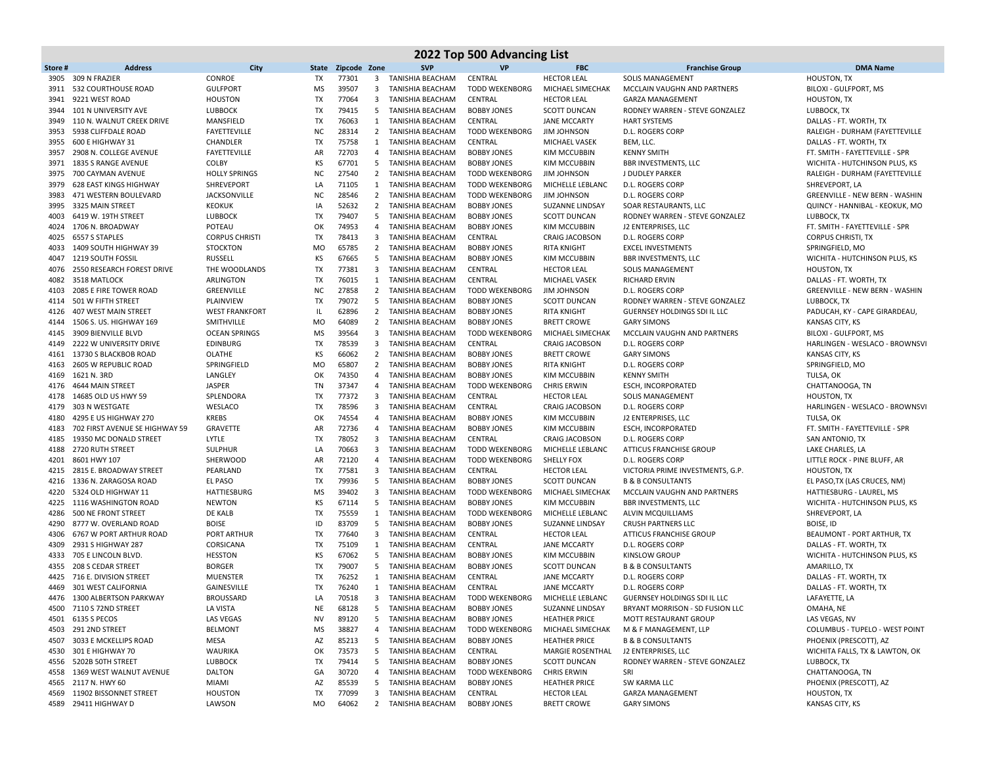|              |                                                        |                                   |                 |                |                              |                                      | 2022 Top 500 Advancing List                    |                                           |                                                           |                                                         |
|--------------|--------------------------------------------------------|-----------------------------------|-----------------|----------------|------------------------------|--------------------------------------|------------------------------------------------|-------------------------------------------|-----------------------------------------------------------|---------------------------------------------------------|
| Store#       | <b>Address</b>                                         | City                              | State           | Zipcode Zone   |                              | <b>SVP</b>                           | <b>VP</b>                                      | <b>FBC</b>                                | <b>Franchise Group</b>                                    | <b>DMA Name</b>                                         |
| 3905         | 309 N FRAZIER                                          | CONROE                            | TX              | 77301          | 3                            | TANISHIA BEACHAM                     | CENTRAL                                        | <b>HECTOR LEAL</b>                        | <b>SOLIS MANAGEMENT</b>                                   | <b>HOUSTON, TX</b>                                      |
| 3911         | 532 COURTHOUSE ROAD                                    | <b>GULFPORT</b>                   | <b>MS</b>       | 39507          | 3                            | <b>TANISHIA BEACHAM</b>              | <b>TODD WEKENBORG</b>                          | MICHAEL SIMECHAK                          | MCCLAIN VAUGHN AND PARTNERS                               | BILOXI - GULFPORT, MS                                   |
| 3941         | 9221 WEST ROAD                                         | <b>HOUSTON</b>                    | TX              | 77064          | $\overline{\mathbf{3}}$      | TANISHIA BEACHAM                     | CENTRAL                                        | <b>HECTOR LEAL</b>                        | <b>GARZA MANAGEMENT</b>                                   | <b>HOUSTON, TX</b>                                      |
| 3944         | 101 N UNIVERSITY AVE                                   | LUBBOCK                           | TX              | 79415          | 5                            | TANISHIA BEACHAM                     | <b>BOBBY JONES</b>                             | <b>SCOTT DUNCAN</b>                       | RODNEY WARREN - STEVE GONZALEZ                            | LUBBOCK, TX                                             |
| 3949         | 110 N. WALNUT CREEK DRIVE                              | MANSFIELD                         | TX              | 76063          |                              | 1 TANISHIA BEACHAM                   | CENTRAL                                        | <b>JANE MCCARTY</b>                       | <b>HART SYSTEMS</b>                                       | DALLAS - FT. WORTH, TX                                  |
| 3953         | 5938 CLIFFDALE ROAD                                    | <b>FAYETTEVILLE</b>               | <b>NC</b>       | 28314          | 2                            | <b>TANISHIA BEACHAM</b>              | <b>TODD WEKENBORG</b>                          | <b>JIM JOHNSON</b>                        | <b>D.L. ROGERS CORP</b>                                   | RALEIGH - DURHAM (FAYETTEVILLE                          |
| 3955         | 600 E HIGHWAY 31                                       | CHANDLER                          | TX              | 75758          | 1                            | TANISHIA BEACHAM                     | CENTRAL                                        | MICHAEL VASEK                             | BEM, LLC.                                                 | DALLAS - FT. WORTH, TX                                  |
| 3957         | 2908 N. COLLEGE AVENUE                                 | <b>FAYETTEVILLE</b>               | AR              | 72703          | 4                            | TANISHIA BEACHAM                     | <b>BOBBY JONES</b>                             | KIM MCCUBBIN                              | <b>KENNY SMITH</b>                                        | FT. SMITH - FAYETTEVILLE - SPR                          |
| 3971         | 1835 S RANGE AVENUE                                    | <b>COLBY</b>                      | КS              | 67701          | 5                            | TANISHIA BEACHAM                     | <b>BOBBY JONES</b>                             | <b>KIM MCCUBBIN</b>                       | BBR INVESTMENTS, LLC                                      | WICHITA - HUTCHINSON PLUS, KS                           |
| 3975         | 700 CAYMAN AVENUE                                      | <b>HOLLY SPRINGS</b>              | <b>NC</b>       | 27540          | $\overline{2}$               | TANISHIA BEACHAM                     | TODD WEKENBORG                                 | <b>JIM JOHNSON</b>                        | J DUDLEY PARKER                                           | RALEIGH - DURHAM (FAYETTEVILLE                          |
| 3979<br>3983 | <b>628 EAST KINGS HIGHWAY</b><br>471 WESTERN BOULEVARD | SHREVEPORT<br><b>JACKSONVILLE</b> | LA<br><b>NC</b> | 71105<br>28546 | 1<br>$\overline{2}$          | TANISHIA BEACHAM<br>TANISHIA BEACHAM | <b>TODD WEKENBORG</b><br><b>TODD WEKENBORG</b> | MICHELLE LEBLANC<br><b>JIM JOHNSON</b>    | D.L. ROGERS CORP<br>D.L. ROGERS CORP                      | SHREVEPORT, LA<br><b>GREENVILLE - NEW BERN - WASHIN</b> |
| 3995         | 3325 MAIN STREET                                       | <b>KEOKUK</b>                     | IA              | 52632          | 2                            | TANISHIA BEACHAM                     | <b>BOBBY JONES</b>                             | SUZANNE LINDSAY                           | SOAR RESTAURANTS, LLC                                     | QUINCY - HANNIBAL - KEOKUK, MO                          |
| 4003         | 6419 W. 19TH STREET                                    | LUBBOCK                           | TX              | 79407          | 5                            | TANISHIA BEACHAM                     | <b>BOBBY JONES</b>                             | <b>SCOTT DUNCAN</b>                       | RODNEY WARREN - STEVE GONZALEZ                            | LUBBOCK, TX                                             |
| 4024         | 1706 N. BROADWAY                                       | POTEAU                            | OK              | 74953          | 4                            | TANISHIA BEACHAM                     | <b>BOBBY JONES</b>                             | KIM MCCUBBIN                              | J2 ENTERPRISES, LLC                                       | FT. SMITH - FAYETTEVILLE - SPR                          |
| 4025         | 6557 S STAPLES                                         | <b>CORPUS CHRISTI</b>             | TX              | 78413          | 3                            | TANISHIA BEACHAM                     | CENTRAL                                        | <b>CRAIG JACOBSON</b>                     | D.L. ROGERS CORP                                          | <b>CORPUS CHRISTI, TX</b>                               |
| 4033         | 1409 SOUTH HIGHWAY 39                                  | <b>STOCKTON</b>                   | <b>MO</b>       | 65785          | $\overline{2}$               | TANISHIA BEACHAM                     | <b>BOBBY JONES</b>                             | RITA KNIGHT                               | <b>EXCEL INVESTMENTS</b>                                  | SPRINGFIELD, MO                                         |
| 4047         | <b>1219 SOUTH FOSSIL</b>                               | RUSSELL                           | КS              | 67665          | 5                            | <b>TANISHIA BEACHAM</b>              | <b>BOBBY JONES</b>                             | <b>KIM MCCUBBIN</b>                       | BBR INVESTMENTS, LLC                                      | WICHITA - HUTCHINSON PLUS, KS                           |
| 4076         | 2550 RESEARCH FOREST DRIVE                             | THE WOODLANDS                     | TX              | 77381          | $\overline{3}$               | TANISHIA BEACHAM                     | CENTRAL                                        | <b>HECTOR LEAL</b>                        | <b>SOLIS MANAGEMENT</b>                                   | HOUSTON, TX                                             |
| 4082         | 3518 MATLOCK                                           | ARLINGTON                         | TX              | 76015          | 1                            | <b>TANISHIA BEACHAM</b>              | CENTRAL                                        | MICHAEL VASEK                             | <b>RICHARD ERVIN</b>                                      | DALLAS - FT. WORTH, TX                                  |
| 4103         | 2085 E FIRE TOWER ROAD                                 | GREENVILLE                        | <b>NC</b>       | 27858          | $\overline{2}$               | TANISHIA BEACHAM                     | <b>TODD WEKENBORG</b>                          | <b>JIM JOHNSON</b>                        | D.L. ROGERS CORP                                          | <b>GREENVILLE - NEW BERN - WASHIN</b>                   |
| 4114         | 501 W FIFTH STREET                                     | PLAINVIEW                         | TX              | 79072          | 5                            | TANISHIA BEACHAM                     | <b>BOBBY JONES</b>                             | <b>SCOTT DUNCAN</b>                       | RODNEY WARREN - STEVE GONZALEZ                            | LUBBOCK, TX                                             |
| 4126         | 407 WEST MAIN STREET                                   | <b>WEST FRANKFORT</b>             | IL              | 62896          | $\overline{2}$               | <b>TANISHIA BEACHAM</b>              | <b>BOBBY JONES</b>                             | RITA KNIGHT                               | <b>GUERNSEY HOLDINGS SDI IL LLC</b>                       | PADUCAH, KY - CAPE GIRARDEAU,                           |
| 4144         | 1506 S. US. HIGHWAY 169                                | SMITHVILLE                        | <b>MO</b>       | 64089          | $\overline{2}$               | TANISHIA BEACHAM                     | <b>BOBBY JONES</b>                             | <b>BRETT CROWE</b>                        | <b>GARY SIMONS</b>                                        | <b>KANSAS CITY, KS</b>                                  |
| 4145         | 3909 BIENVILLE BLVD                                    | <b>OCEAN SPRINGS</b>              | MS              | 39564          | 3                            | <b>TANISHIA BEACHAM</b>              | <b>TODD WEKENBORG</b>                          | MICHAEL SIMECHAK                          | MCCLAIN VAUGHN AND PARTNERS                               | BILOXI - GULFPORT, MS                                   |
| 4149         | 2222 W UNIVERSITY DRIVE                                | <b>EDINBURG</b>                   | TX              | 78539          | 3                            | TANISHIA BEACHAM                     | CENTRAL                                        | <b>CRAIG JACOBSON</b>                     | D.L. ROGERS CORP                                          | HARLINGEN - WESLACO - BROWNSVI                          |
| 4161         | 13730 S BLACKBOB ROAD                                  | OLATHE                            | KS              | 66062          | $\overline{2}$               | TANISHIA BEACHAM                     | <b>BOBBY JONES</b>                             | <b>BRETT CROWE</b>                        | <b>GARY SIMONS</b>                                        | KANSAS CITY, KS                                         |
| 4163         | 2605 W REPUBLIC ROAD                                   | SPRINGFIELD                       | <b>MO</b>       | 65807          | $\overline{2}$               | TANISHIA BEACHAM                     | <b>BOBBY JONES</b>                             | <b>RITA KNIGHT</b>                        | D.L. ROGERS CORP                                          | SPRINGFIELD, MO                                         |
| 4169         | 1621 N. 3RD                                            | LANGLEY                           | OK              | 74350          | 4                            | TANISHIA BEACHAM                     | <b>BOBBY JONES</b>                             | <b>KIM MCCUBBIN</b>                       | <b>KENNY SMITH</b>                                        | TULSA, OK                                               |
| 4176         | 4644 MAIN STREET                                       | <b>JASPER</b>                     | TN              | 37347          | 4                            | <b>TANISHIA BEACHAM</b>              | <b>TODD WEKENBORG</b>                          | <b>CHRIS ERWIN</b>                        | ESCH, INCORPORATED                                        | CHATTANOOGA, TN                                         |
| 4178         | 14685 OLD US HWY 59                                    | SPLENDORA                         | TX              | 77372          | $\overline{\mathbf{3}}$      | TANISHIA BEACHAM                     | CENTRAL                                        | <b>HECTOR LEAL</b>                        | <b>SOLIS MANAGEMENT</b>                                   | <b>HOUSTON, TX</b>                                      |
| 4179         | 303 N WESTGATE                                         | WESLACO                           | TX              | 78596          | $\overline{3}$               | <b>TANISHIA BEACHAM</b>              | CENTRAL                                        | CRAIG JACOBSON                            | D.L. ROGERS CORP                                          | HARLINGEN - WESLACO - BROWNSVI                          |
| 4180         | 4295 E US HIGHWAY 270                                  | <b>KREBS</b>                      | OK              | 74554          | 4                            | TANISHIA BEACHAM                     | <b>BOBBY JONES</b>                             | KIM MCCUBBIN                              | J2 ENTERPRISES, LLC                                       | TULSA, OK                                               |
| 4183         | 702 FIRST AVENUE SE HIGHWAY 59                         | GRAVETTE                          | AR              | 72736<br>78052 | 4                            | TANISHIA BEACHAM                     | <b>BOBBY JONES</b>                             | KIM MCCUBBIN                              | ESCH, INCORPORATED                                        | FT. SMITH - FAYETTEVILLE - SPR                          |
| 4185<br>4188 | 19350 MC DONALD STREET<br>2720 RUTH STREET             | LYTLE<br><b>SULPHUR</b>           | TX<br>LA        | 70663          | 3<br>$\overline{\mathbf{3}}$ | TANISHIA BEACHAM<br>TANISHIA BEACHAM | CENTRAL<br><b>TODD WEKENBORG</b>               | <b>CRAIG JACOBSON</b><br>MICHELLE LEBLANC | <b>D.L. ROGERS CORP</b><br><b>ATTICUS FRANCHISE GROUP</b> | SAN ANTONIO, TX<br>LAKE CHARLES, LA                     |
| 4201         | 8601 HWY 107                                           | SHERWOOD                          | AR              | 72120          | $\overline{4}$               | <b>TANISHIA BEACHAM</b>              | <b>TODD WEKENBORG</b>                          | SHELLY FOX                                | D.L. ROGERS CORP                                          | LITTLE ROCK - PINE BLUFF, AR                            |
| 4215         | 2815 E. BROADWAY STREET                                | PEARLAND                          | TX              | 77581          | $\overline{3}$               | TANISHIA BEACHAM                     | CENTRAL                                        | <b>HECTOR LEAL</b>                        | VICTORIA PRIME INVESTMENTS, G.P.                          | HOUSTON, TX                                             |
| 4216         | 1336 N. ZARAGOSA ROAD                                  | <b>EL PASO</b>                    | TX              | 79936          | 5                            | <b>TANISHIA BEACHAM</b>              | <b>BOBBY JONES</b>                             | <b>SCOTT DUNCAN</b>                       | <b>B &amp; B CONSULTANTS</b>                              | EL PASO, TX (LAS CRUCES, NM)                            |
| 4220         | 5324 OLD HIGHWAY 11                                    | HATTIESBURG                       | MS              | 39402          | 3                            | TANISHIA BEACHAM                     | <b>TODD WEKENBORG</b>                          | MICHAEL SIMECHAK                          | MCCLAIN VAUGHN AND PARTNERS                               | HATTIESBURG - LAUREL, MS                                |
| 4225         | 1116 WASHINGTON ROAD                                   | <b>NEWTON</b>                     | КS              | 67114          | 5                            | TANISHIA BEACHAM                     | <b>BOBBY JONES</b>                             | <b>KIM MCCUBBIN</b>                       | BBR INVESTMENTS, LLC                                      | WICHITA - HUTCHINSON PLUS, KS                           |
| 4286         | 500 NE FRONT STREET                                    | DE KALB                           | TX              | 75559          | 1                            | TANISHIA BEACHAM                     | <b>TODD WEKENBORG</b>                          | MICHELLE LEBLANC                          | <b>ALVIN MCQUILLIAMS</b>                                  | SHREVEPORT, LA                                          |
| 4290         | 8777 W. OVERLAND ROAD                                  | <b>BOISE</b>                      | ID              | 83709          | 5                            | TANISHIA BEACHAM                     | <b>BOBBY JONES</b>                             | SUZANNE LINDSAY                           | <b>CRUSH PARTNERS LLC</b>                                 | BOISE, ID                                               |
| 4306         | 6767 W PORT ARTHUR ROAD                                | PORT ARTHUR                       | TX              | 77640          | 3                            | <b>TANISHIA BEACHAM</b>              | CENTRAL                                        | <b>HECTOR LEAL</b>                        | <b>ATTICUS FRANCHISE GROUP</b>                            | BEAUMONT - PORT ARTHUR, TX                              |
| 4309         | 2931 S HIGHWAY 287                                     | CORSICANA                         | TX              | 75109          | 1                            | TANISHIA BEACHAM                     | CENTRAL                                        | <b>JANE MCCARTY</b>                       | D.L. ROGERS CORP                                          | DALLAS - FT. WORTH, TX                                  |
| 4333         | 705 E LINCOLN BLVD.                                    | <b>HESSTON</b>                    | КS              | 67062          | 5                            | TANISHIA BEACHAM                     | <b>BOBBY JONES</b>                             | <b>KIM MCCUBBIN</b>                       | <b>KINSLOW GROUP</b>                                      | WICHITA - HUTCHINSON PLUS, KS                           |
| 4355         | 208 S CEDAR STREET                                     | <b>BORGER</b>                     | TX              | 79007          | 5                            | TANISHIA BEACHAM                     | <b>BOBBY JONES</b>                             | <b>SCOTT DUNCAN</b>                       | <b>B &amp; B CONSULTANTS</b>                              | AMARILLO, TX                                            |
| 4425         | 716 E. DIVISION STREET                                 | <b>MUENSTER</b>                   | TX              | 76252          | 1                            | TANISHIA BEACHAM                     | CENTRAL                                        | <b>JANE MCCARTY</b>                       | D.L. ROGERS CORP                                          | DALLAS - FT. WORTH, TX                                  |
| 4469         | 301 WEST CALIFORNIA                                    | GAINESVILLE                       | TX              | 76240          | 1                            | TANISHIA BEACHAM                     | CENTRAL                                        | <b>JANE MCCARTY</b>                       | D.L. ROGERS CORP                                          | DALLAS - FT. WORTH, TX                                  |
|              | 4476 1300 ALBERTSON PARKWAY                            | <b>BROUSSARD</b>                  | LA              | 70518          | $\overline{\mathbf{3}}$      | TANISHIA BEACHAM                     | <b>TODD WEKENBORG</b>                          | MICHELLE LEBLANC                          | GUERNSEY HOLDINGS SDI IL LLC                              | LAFAYETTE, LA                                           |
| 4500         | 7110 S 72ND STREET                                     | LA VISTA                          | ΝE              | 68128          | 5                            | TANISHIA BEACHAM                     | <b>BOBBY JONES</b>                             | SUZANNE LINDSAY                           | BRYANT MORRISON - SD FUSION LLC                           | OMAHA, NE                                               |
|              | 4501 6135 S PECOS                                      | LAS VEGAS                         | ΝV              | 89120          | 5                            | TANISHIA BEACHAM                     | <b>BOBBY JONES</b>                             | <b>HEATHER PRICE</b>                      | MOTT RESTAURANT GROUP                                     | LAS VEGAS, NV                                           |
| 4503         | 291 2ND STREET                                         | <b>BELMONT</b>                    | MS              | 38827          | 4                            | <b>TANISHIA BEACHAM</b>              | <b>TODD WEKENBORG</b>                          | MICHAEL SIMECHAK                          | M & F MANAGEMENT, LLP                                     | COLUMBUS - TUPELO - WEST POINT                          |
|              | 4507 3033 E MCKELLIPS ROAD                             | MESA                              | AZ              | 85213          | 5                            | TANISHIA BEACHAM                     | <b>BOBBY JONES</b>                             | <b>HEATHER PRICE</b>                      | <b>B &amp; B CONSULTANTS</b>                              | PHOENIX (PRESCOTT), AZ                                  |
| 4530         | 301 E HIGHWAY 70                                       | WAURIKA                           | OK              | 73573          | 5                            | TANISHIA BEACHAM                     | CENTRAL                                        | MARGIE ROSENTHAL                          | J2 ENTERPRISES, LLC                                       | WICHITA FALLS, TX & LAWTON, OK                          |
|              | 4556 5202B 50TH STREET                                 | LUBBOCK                           | TX              | 79414          | 5                            | TANISHIA BEACHAM                     | <b>BOBBY JONES</b>                             | <b>SCOTT DUNCAN</b>                       | RODNEY WARREN - STEVE GONZALEZ                            | LUBBOCK, TX                                             |
| 4558         | 1369 WEST WALNUT AVENUE                                | DALTON                            | GA              | 30720          | $\overline{4}$               | TANISHIA BEACHAM                     | <b>TODD WEKENBORG</b>                          | <b>CHRIS ERWIN</b>                        | SRI                                                       | CHATTANOOGA, TN                                         |
| 4565         | 2117 N. HWY 60                                         | MIAMI                             | AZ              | 85539          | 5                            | TANISHIA BEACHAM                     | <b>BOBBY JONES</b>                             | <b>HEATHER PRICE</b>                      | SW KARMA LLC                                              | PHOENIX (PRESCOTT), AZ                                  |
| 4569         | 11902 BISSONNET STREET                                 | <b>HOUSTON</b>                    | TX              | 77099          | 3                            | TANISHIA BEACHAM                     | CENTRAL                                        | <b>HECTOR LEAL</b>                        | <b>GARZA MANAGEMENT</b>                                   | HOUSTON, TX                                             |
| 4589         | 29411 HIGHWAY D                                        | LAWSON                            | MO              | 64062          |                              | 2 TANISHIA BEACHAM                   | <b>BOBBY JONES</b>                             | <b>BRETT CROWE</b>                        | <b>GARY SIMONS</b>                                        | KANSAS CITY, KS                                         |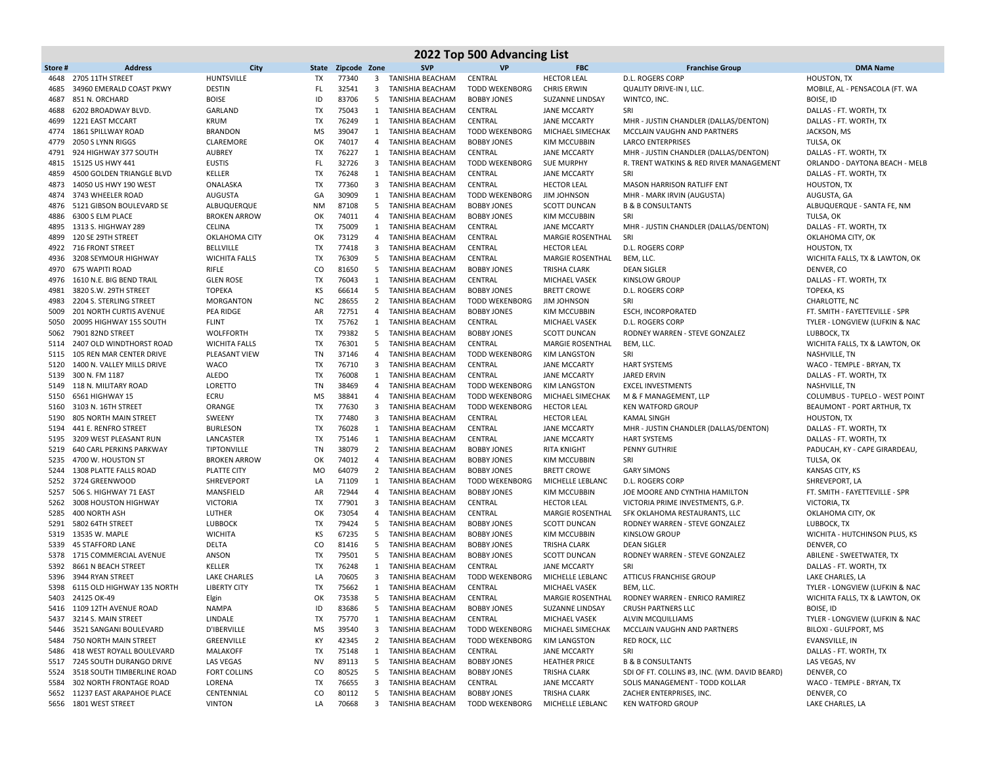|              | 2022 Top 500 Advancing List                |                              |                 |                |                   |                                               |                                             |                                           |                                                                    |                                                |  |  |
|--------------|--------------------------------------------|------------------------------|-----------------|----------------|-------------------|-----------------------------------------------|---------------------------------------------|-------------------------------------------|--------------------------------------------------------------------|------------------------------------------------|--|--|
| Store#       | <b>Address</b>                             | City                         | <b>State</b>    | Zipcode Zone   |                   | <b>SVP</b>                                    | <b>VP</b>                                   | <b>FBC</b>                                | <b>Franchise Group</b>                                             | <b>DMA Name</b>                                |  |  |
| 4648         | 2705 11TH STREET                           | <b>HUNTSVILLE</b>            | TX              | 77340          | 3                 | TANISHIA BEACHAM                              | CENTRAL                                     | <b>HECTOR LEAL</b>                        | <b>D.L. ROGERS CORP</b>                                            | <b>HOUSTON, TX</b>                             |  |  |
| 4685         | 34960 EMERALD COAST PKWY                   | <b>DESTIN</b>                | FL              | 32541          | 3                 | TANISHIA BEACHAM                              | <b>TODD WEKENBORG</b>                       | <b>CHRIS ERWIN</b>                        | QUALITY DRIVE-IN I, LLC.                                           | MOBILE, AL - PENSACOLA (FT. WA                 |  |  |
| 4687         | 851 N. ORCHARD                             | <b>BOISE</b>                 | ID              | 83706          | 5                 | TANISHIA BEACHAM                              | <b>BOBBY JONES</b>                          | SUZANNE LINDSAY                           | WINTCO, INC.                                                       | BOISE, ID                                      |  |  |
| 4688         | 6202 BROADWAY BLVD.                        | GARLAND                      | <b>TX</b>       | 75043          |                   | 1 TANISHIA BEACHAM                            | CENTRAL                                     | <b>JANE MCCARTY</b>                       | SRI                                                                | DALLAS - FT. WORTH, TX                         |  |  |
| 4699         | 1221 EAST MCCART                           | <b>KRUM</b>                  | TX              | 76249          |                   | 1 TANISHIA BEACHAM                            | CENTRAL                                     | <b>JANE MCCARTY</b>                       | MHR - JUSTIN CHANDLER (DALLAS/DENTON)                              | DALLAS - FT. WORTH, TX                         |  |  |
| 4774         | 1861 SPILLWAY ROAD                         | <b>BRANDON</b>               | MS              | 39047          |                   | 1 TANISHIA BEACHAM                            | <b>TODD WEKENBORG</b>                       | MICHAEL SIMECHAK                          | MCCLAIN VAUGHN AND PARTNERS                                        | JACKSON, MS                                    |  |  |
| 4779         | 2050 S LYNN RIGGS                          | CLAREMORE                    | OK              | 74017          | 4                 | TANISHIA BEACHAM                              | <b>BOBBY JONES</b>                          | <b>KIM MCCUBBIN</b>                       | <b>LARCO ENTERPRISES</b>                                           | TULSA, OK                                      |  |  |
| 4791         | 924 HIGHWAY 377 SOUTH                      | <b>AUBREY</b>                | <b>TX</b>       | 76227          | 1                 | TANISHIA BEACHAM                              | CENTRAL                                     | <b>JANE MCCARTY</b>                       | MHR - JUSTIN CHANDLER (DALLAS/DENTON)                              | DALLAS - FT. WORTH, TX                         |  |  |
| 4815         | 15125 US HWY 441                           | <b>EUSTIS</b>                | FL              | 32726          |                   | 3 TANISHIA BEACHAM                            | <b>TODD WEKENBORG</b>                       | <b>SUE MURPHY</b>                         | R. TRENT WATKINS & RED RIVER MANAGEMENT                            | ORLANDO - DAYTONA BEACH - MELB                 |  |  |
| 4859         | 4500 GOLDEN TRIANGLE BLVD                  | KELLER                       | <b>TX</b>       | 76248          | 1                 | TANISHIA BEACHAM                              | CENTRAL                                     | <b>JANE MCCARTY</b>                       | SRI                                                                | DALLAS - FT. WORTH, TX                         |  |  |
| 4873         | 14050 US HWY 190 WEST<br>3743 WHEELER ROAD | ONALASKA                     | <b>TX</b><br>GA | 77360<br>30909 | 3                 | TANISHIA BEACHAM                              | CENTRAL                                     | <b>HECTOR LEAL</b>                        | <b>MASON HARRISON RATLIFF ENT</b><br>MHR - MARK IRVIN (AUGUSTA)    | <b>HOUSTON, TX</b>                             |  |  |
| 4874<br>4876 | 5121 GIBSON BOULEVARD SE                   | AUGUSTA<br>ALBUQUERQUE       | <b>NM</b>       | 87108          | 5                 | 1 TANISHIA BEACHAM<br><b>TANISHIA BEACHAM</b> | <b>TODD WEKENBORG</b><br><b>BOBBY JONES</b> | <b>JIM JOHNSON</b><br><b>SCOTT DUNCAN</b> | <b>B &amp; B CONSULTANTS</b>                                       | AUGUSTA, GA<br>ALBUQUERQUE - SANTA FE, NM      |  |  |
| 4886         | 6300 S ELM PLACE                           | <b>BROKEN ARROW</b>          | OK              | 74011          | 4                 | TANISHIA BEACHAM                              | <b>BOBBY JONES</b>                          | KIM MCCUBBIN                              | SRI                                                                | TULSA, OK                                      |  |  |
| 4895         | 1313 S. HIGHWAY 289                        | CELINA                       | TX              | 75009          | 1                 | TANISHIA BEACHAM                              | CENTRAL                                     | <b>JANE MCCARTY</b>                       | MHR - JUSTIN CHANDLER (DALLAS/DENTON)                              | DALLAS - FT. WORTH, TX                         |  |  |
| 4899         | 120 SE 29TH STREET                         | OKLAHOMA CITY                | OK              | 73129          | 4                 | TANISHIA BEACHAM                              | CENTRAL                                     | <b>MARGIE ROSENTHAL</b>                   | SRI                                                                | OKLAHOMA CITY, OK                              |  |  |
| 4922         | 716 FRONT STREET                           | <b>BELLVILLE</b>             | TX              | 77418          | 3                 | TANISHIA BEACHAM                              | CENTRAL                                     | <b>HECTOR LEAL</b>                        | <b>D.L. ROGERS CORP</b>                                            | <b>HOUSTON, TX</b>                             |  |  |
| 4936         | 3208 SEYMOUR HIGHWAY                       | <b>WICHITA FALLS</b>         | TX              | 76309          | 5                 | TANISHIA BEACHAM                              | CENTRAL                                     | MARGIE ROSENTHAL                          | BEM, LLC.                                                          | WICHITA FALLS, TX & LAWTON, OK                 |  |  |
| 4970         | 675 WAPITI ROAD                            | RIFLE                        | CO              | 81650          |                   | 5 TANISHIA BEACHAM                            | <b>BOBBY JONES</b>                          | <b>TRISHA CLARK</b>                       | <b>DEAN SIGLER</b>                                                 | DENVER, CO                                     |  |  |
| 4976         | 1610 N.E. BIG BEND TRAIL                   | <b>GLEN ROSE</b>             | TX              | 76043          | $\mathbf{1}$      | TANISHIA BEACHAM                              | CENTRAL                                     | MICHAEL VASEK                             | <b>KINSLOW GROUP</b>                                               | DALLAS - FT. WORTH, TX                         |  |  |
| 4981         | 3820 S.W. 29TH STREET                      | <b>TOPEKA</b>                | KS              | 66614          |                   | 5 TANISHIA BEACHAM                            | <b>BOBBY JONES</b>                          | <b>BRETT CROWE</b>                        | D.L. ROGERS CORP                                                   | TOPEKA, KS                                     |  |  |
| 4983         | 2204 S. STERLING STREET                    | MORGANTON                    | <b>NC</b>       | 28655          | $\overline{2}$    | TANISHIA BEACHAM                              | <b>TODD WEKENBORG</b>                       | <b>JIM JOHNSON</b>                        | SRI                                                                | CHARLOTTE, NC                                  |  |  |
| 5009         | <b>201 NORTH CURTIS AVENUE</b>             | <b>PEA RIDGE</b>             | AR              | 72751          | 4                 | <b>TANISHIA BEACHAM</b>                       | <b>BOBBY JONES</b>                          | <b>KIM MCCUBBIN</b>                       | <b>ESCH, INCORPORATED</b>                                          | FT. SMITH - FAYETTEVILLE - SPR                 |  |  |
| 5050         | 20095 HIGHWAY 155 SOUTH                    | <b>FLINT</b>                 | TX              | 75762          |                   | 1 TANISHIA BEACHAM                            | CENTRAL                                     | <b>MICHAEL VASEK</b>                      | D.L. ROGERS CORP                                                   | TYLER - LONGVIEW (LUFKIN & NAC                 |  |  |
| 5062         | 7901 82ND STREET                           | <b>WOLFFORTH</b>             | TX              | 79382          | 5                 | TANISHIA BEACHAM                              | <b>BOBBY JONES</b>                          | <b>SCOTT DUNCAN</b>                       | RODNEY WARREN - STEVE GONZALEZ                                     | LUBBOCK, TX                                    |  |  |
| 5114         | 2407 OLD WINDTHORST ROAD                   | <b>WICHITA FALLS</b>         | TX              | 76301          | 5                 | TANISHIA BEACHAM                              | CENTRAL                                     | MARGIE ROSENTHAL                          | BEM, LLC.                                                          | WICHITA FALLS, TX & LAWTON, OK                 |  |  |
| 5115         | 105 REN MAR CENTER DRIVE                   | PLEASANT VIEW                | TN              | 37146          | 4                 | TANISHIA BEACHAM                              | <b>TODD WEKENBORG</b>                       | <b>KIM LANGSTON</b>                       | SRI                                                                | NASHVILLE, TN                                  |  |  |
| 5120         | 1400 N. VALLEY MILLS DRIVE                 | WACO                         | TX              | 76710          |                   | 3 TANISHIA BEACHAM                            | CENTRAL                                     | <b>JANE MCCARTY</b>                       | <b>HART SYSTEMS</b>                                                | WACO - TEMPLE - BRYAN, TX                      |  |  |
| 5139         | 300 N. FM 1187                             | ALEDO                        | TX              | 76008          | $\mathbf{1}$      | TANISHIA BEACHAM                              | CENTRAL                                     | <b>JANE MCCARTY</b>                       | <b>JARED ERVIN</b>                                                 | DALLAS - FT. WORTH, TX                         |  |  |
|              | 5149 118 N. MILITARY ROAD                  | LORETTO                      | TN              | 38469          | 4                 | <b>TANISHIA BEACHAM</b>                       | <b>TODD WEKENBORG</b>                       | <b>KIM LANGSTON</b>                       | <b>EXCEL INVESTMENTS</b>                                           | <b>NASHVILLE, TN</b>                           |  |  |
| 5150         | 6561 HIGHWAY 15                            | ECRU                         | MS              | 38841          | 4                 | TANISHIA BEACHAM                              | <b>TODD WEKENBORG</b>                       | MICHAEL SIMECHAK                          | M & F MANAGEMENT, LLP                                              | COLUMBUS - TUPELO - WEST POINT                 |  |  |
| 5160         | 3103 N. 16TH STREET                        | ORANGE                       | TX              | 77630          | 3                 | TANISHIA BEACHAM                              | <b>TODD WEKENBORG</b>                       | <b>HECTOR LEAL</b>                        | <b>KEN WATFORD GROUP</b>                                           | BEAUMONT - PORT ARTHUR, TX                     |  |  |
| 5190         | 805 NORTH MAIN STREET                      | SWEENY                       | TX              | 77480          | 3                 | TANISHIA BEACHAM                              | CENTRAL                                     | <b>HECTOR LEAL</b>                        | <b>KAMAL SINGH</b>                                                 | <b>HOUSTON, TX</b>                             |  |  |
| 5194         | 441 E. RENFRO STREET                       | <b>BURLESON</b>              | TX              | 76028          | 1                 | TANISHIA BEACHAM                              | CENTRAL                                     | <b>JANE MCCARTY</b>                       | MHR - JUSTIN CHANDLER (DALLAS/DENTON)                              | DALLAS - FT. WORTH, TX                         |  |  |
| 5195         | 3209 WEST PLEASANT RUN                     | LANCASTER                    | TX              | 75146          |                   | 1 TANISHIA BEACHAM                            | CENTRAL                                     | <b>JANE MCCARTY</b>                       | <b>HART SYSTEMS</b>                                                | DALLAS - FT. WORTH, TX                         |  |  |
| 5219         | <b>640 CARL PERKINS PARKWAY</b>            | TIPTONVILLE                  | TN              | 38079          |                   | 2 TANISHIA BEACHAM                            | <b>BOBBY JONES</b>                          | <b>RITA KNIGHT</b>                        | <b>PENNY GUTHRIE</b>                                               | PADUCAH, KY - CAPE GIRARDEAU,                  |  |  |
| 5235         | 4700 W. HOUSTON ST                         | <b>BROKEN ARROW</b>          | OK              | 74012          | 4                 | TANISHIA BEACHAM                              | <b>BOBBY JONES</b>                          | <b>KIM MCCUBBIN</b>                       | SRI                                                                | TULSA, OK                                      |  |  |
| 5244         | 1308 PLATTE FALLS ROAD                     | <b>PLATTE CITY</b>           | <b>MO</b>       | 64079          |                   | 2 TANISHIA BEACHAM                            | <b>BOBBY JONES</b>                          | <b>BRETT CROWE</b>                        | <b>GARY SIMONS</b>                                                 | KANSAS CITY, KS                                |  |  |
| 5252         | 3724 GREENWOOD<br>506 S. HIGHWAY 71 EAST   | SHREVEPORT                   | LA              | 71109<br>72944 | $\mathbf{1}$<br>4 | TANISHIA BEACHAM                              | <b>TODD WEKENBORG</b>                       | MICHELLE LEBLANC                          | <b>D.L. ROGERS CORP</b>                                            | SHREVEPORT, LA                                 |  |  |
| 5257<br>5262 | 3008 HOUSTON HIGHWAY                       | MANSFIELD<br><b>VICTORIA</b> | AR<br>TX        | 77901          | 3                 | TANISHIA BEACHAM<br>TANISHIA BEACHAM          | <b>BOBBY JONES</b><br>CENTRAL               | <b>KIM MCCUBBIN</b><br><b>HECTOR LEAL</b> | JOE MOORE AND CYNTHIA HAMILTON<br>VICTORIA PRIME INVESTMENTS, G.P. | FT. SMITH - FAYETTEVILLE - SPR<br>VICTORIA, TX |  |  |
| 5285         | 400 NORTH ASH                              | LUTHER                       | OK              | 73054          | 4                 | TANISHIA BEACHAM                              | CENTRAL                                     | <b>MARGIE ROSENTHAL</b>                   | SFK OKLAHOMA RESTAURANTS, LLC                                      | OKLAHOMA CITY, OK                              |  |  |
| 5291         | 5802 64TH STREET                           | <b>LUBBOCK</b>               | <b>TX</b>       | 79424          | 5                 | TANISHIA BEACHAM                              | <b>BOBBY JONES</b>                          | <b>SCOTT DUNCAN</b>                       | RODNEY WARREN - STEVE GONZALEZ                                     | LUBBOCK, TX                                    |  |  |
| 5319         | 13535 W. MAPLE                             | <b>WICHITA</b>               | KS              | 67235          | 5                 | TANISHIA BEACHAM                              | <b>BOBBY JONES</b>                          | <b>KIM MCCUBBIN</b>                       | <b>KINSLOW GROUP</b>                                               | WICHITA - HUTCHINSON PLUS, KS                  |  |  |
| 5339         | <b>45 STAFFORD LANE</b>                    | DELTA                        | CO              | 81416          | 5                 | TANISHIA BEACHAM                              | <b>BOBBY JONES</b>                          | <b>TRISHA CLARK</b>                       | <b>DEAN SIGLER</b>                                                 | DENVER, CO                                     |  |  |
| 5378         | 1715 COMMERCIAL AVENUE                     | ANSON                        | <b>TX</b>       | 79501          | 5                 | TANISHIA BEACHAM                              | <b>BOBBY JONES</b>                          | <b>SCOTT DUNCAN</b>                       | RODNEY WARREN - STEVE GONZALEZ                                     | ABILENE - SWEETWATER, TX                       |  |  |
| 5392         | 8661 N BEACH STREET                        | KELLER                       | TX              | 76248          | 1                 | TANISHIA BEACHAM                              | CENTRAL                                     | <b>JANE MCCARTY</b>                       | SRI                                                                | DALLAS - FT. WORTH, TX                         |  |  |
| 5396         | 3944 RYAN STREET                           | <b>LAKE CHARLES</b>          | LA              | 70605          | 3                 | <b>TANISHIA BEACHAM</b>                       | <b>TODD WEKENBORG</b>                       | MICHELLE LEBLANC                          | <b>ATTICUS FRANCHISE GROUP</b>                                     | LAKE CHARLES, LA                               |  |  |
| 5398         | 6115 OLD HIGHWAY 135 NORTH                 | <b>LIBERTY CITY</b>          | <b>TX</b>       | 75662          | 1                 | <b>TANISHIA BEACHAM</b>                       | CENTRAL                                     | <b>MICHAEL VASEK</b>                      | BEM, LLC.                                                          | TYLER - LONGVIEW (LUFKIN & NAC                 |  |  |
|              | 5403 24125 OK-49                           | Elgin                        | OK              | 73538          | 5                 | TANISHIA BEACHAM                              | <b>CENTRAL</b>                              | MARGIE ROSENTHAL                          | RODNEY WARREN - ENRICO RAMIREZ                                     | WICHITA FALLS, TX & LAWTON, OK                 |  |  |
|              | 5416 1109 12TH AVENUE ROAD                 | <b>NAMPA</b>                 | ID              | 83686          | 5                 | TANISHIA BEACHAM                              | <b>BOBBY JONES</b>                          | SUZANNE LINDSAY                           | <b>CRUSH PARTNERS LLC</b>                                          | BOISE, ID                                      |  |  |
|              | 5437 3214 S. MAIN STREET                   | LINDALE                      | TX              | 75770          | 1                 | TANISHIA BEACHAM                              | CENTRAL                                     | MICHAEL VASEK                             | <b>ALVIN MCQUILLIAMS</b>                                           | TYLER - LONGVIEW (LUFKIN & NAC                 |  |  |
|              | 5446 3521 SANGANI BOULEVARD                | <b>D'IBERVILLE</b>           | ΜS              | 39540          | 3                 | TANISHIA BEACHAM                              | <b>TODD WEKENBORG</b>                       | MICHAEL SIMECHAK                          | MCCLAIN VAUGHN AND PARTNERS                                        | BILOXI - GULFPORT, MS                          |  |  |
|              | 5484 750 NORTH MAIN STREET                 | GREENVILLE                   | КY              | 42345          |                   | 2 TANISHIA BEACHAM                            | <b>TODD WEKENBORG</b>                       | <b>KIM LANGSTON</b>                       | RED ROCK, LLC                                                      | EVANSVILLE, IN                                 |  |  |
| 5486         | 418 WEST ROYALL BOULEVARD                  | MALAKOFF                     | TX              | 75148          |                   | 1 TANISHIA BEACHAM                            | CENTRAL                                     | <b>JANE MCCARTY</b>                       | SRI                                                                | DALLAS - FT. WORTH, TX                         |  |  |
|              | 5517 7245 SOUTH DURANGO DRIVE              | LAS VEGAS                    | NV              | 89113          |                   | 5 TANISHIA BEACHAM                            | <b>BOBBY JONES</b>                          | <b>HEATHER PRICE</b>                      | <b>B &amp; B CONSULTANTS</b>                                       | LAS VEGAS, NV                                  |  |  |
| 5524         | 3518 SOUTH TIMBERLINE ROAD                 | <b>FORT COLLINS</b>          | CO              | 80525          | 5                 | TANISHIA BEACHAM                              | <b>BOBBY JONES</b>                          | <b>TRISHA CLARK</b>                       | SDI OF FT. COLLINS #3, INC. (WM. DAVID BEARD)                      | DENVER, CO                                     |  |  |
| 5584         | 302 NORTH FRONTAGE ROAD                    | LORENA                       | TX              | 76655          | 3                 | TANISHIA BEACHAM                              | CENTRAL                                     | <b>JANE MCCARTY</b>                       | SOLIS MANAGEMENT - TODD KOLLAR                                     | WACO - TEMPLE - BRYAN, TX                      |  |  |
|              | 5652 11237 EAST ARAPAHOE PLACE             | CENTENNIAL                   | CO              | 80112          |                   | 5 TANISHIA BEACHAM                            | <b>BOBBY JONES</b>                          | <b>TRISHA CLARK</b>                       | ZACHER ENTERPRISES, INC.                                           | DENVER, CO                                     |  |  |
|              | 5656 1801 WEST STREET                      | <b>VINTON</b>                | LA              | 70668          |                   | 3 TANISHIA BEACHAM                            | <b>TODD WEKENBORG</b>                       | MICHELLE LEBLANC                          | <b>KEN WATFORD GROUP</b>                                           | LAKE CHARLES, LA                               |  |  |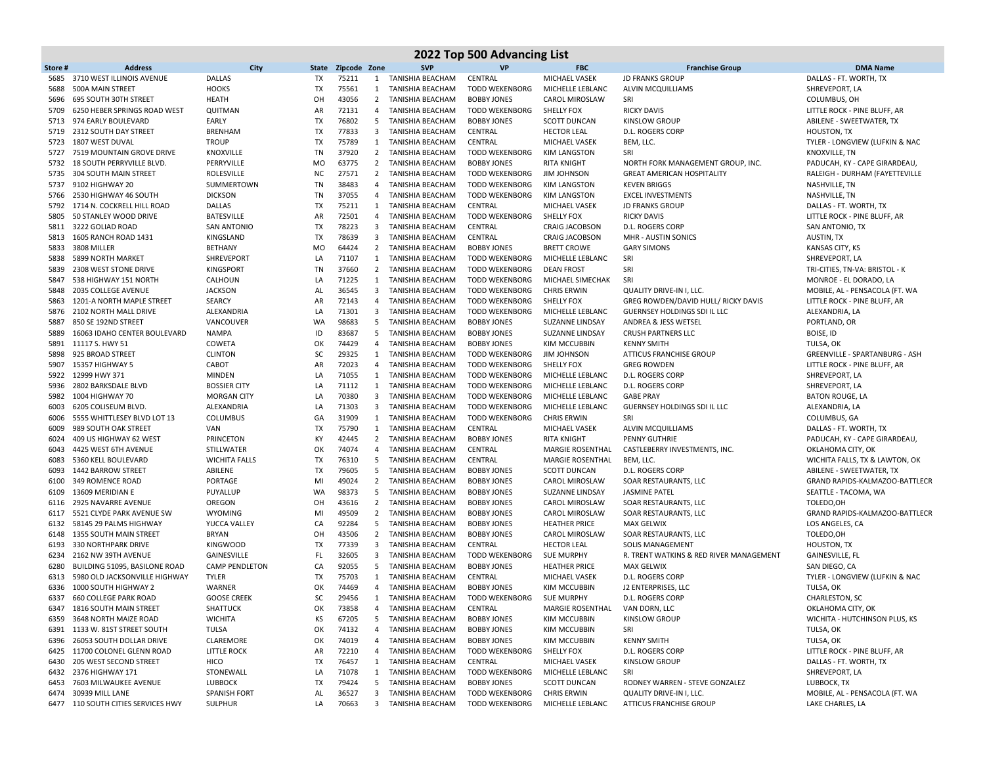|              | 2022 Top 500 Advancing List                              |                                    |           |                |                |                                        |                                  |                                                |                                                    |                                                            |  |  |  |
|--------------|----------------------------------------------------------|------------------------------------|-----------|----------------|----------------|----------------------------------------|----------------------------------|------------------------------------------------|----------------------------------------------------|------------------------------------------------------------|--|--|--|
| Store #      | <b>Address</b>                                           | City                               | State     | Zipcode Zone   |                | <b>SVP</b>                             | <b>VP</b>                        | <b>FBC</b>                                     | <b>Franchise Group</b>                             | <b>DMA Name</b>                                            |  |  |  |
| 5685         | 3710 WEST ILLINOIS AVENUE                                | <b>DALLAS</b>                      | TX        | 75211          | 1              | TANISHIA BEACHAM                       | CENTRAL                          | MICHAEL VASEK                                  | <b>JD FRANKS GROUP</b>                             | DALLAS - FT. WORTH, TX                                     |  |  |  |
| 5688         | 500A MAIN STREET                                         | <b>HOOKS</b>                       | TX        | 75561          | $\mathbf{1}$   | <b>TANISHIA BEACHAM</b>                | <b>TODD WEKENBORG</b>            | MICHELLE LEBLANC                               | <b>ALVIN MCQUILLIAMS</b>                           | SHREVEPORT, LA                                             |  |  |  |
| 5696         | 695 SOUTH 30TH STREET                                    | <b>HEATH</b>                       | OH        | 43056          |                | 2 TANISHIA BEACHAM                     | <b>BOBBY JONES</b>               | CAROL MIROSLAW                                 | SRI                                                | COLUMBUS, OH                                               |  |  |  |
| 5709         | 6250 HEBER SPRINGS ROAD WEST                             | QUITMAN                            | AR        | 72131          | 4              | TANISHIA BEACHAM                       | <b>TODD WEKENBORG</b>            | SHELLY FOX                                     | <b>RICKY DAVIS</b>                                 | LITTLE ROCK - PINE BLUFF, AR                               |  |  |  |
| 5713         | 974 EARLY BOULEVARD                                      | EARLY                              | TX        | 76802          | 5              | TANISHIA BEACHAM                       | <b>BOBBY JONES</b>               | <b>SCOTT DUNCAN</b>                            | KINSLOW GROUP                                      | ABILENE - SWEETWATER, TX                                   |  |  |  |
|              | 5719 2312 SOUTH DAY STREET                               | <b>BRENHAM</b>                     | TX        | 77833          |                | 3 TANISHIA BEACHAM                     | CENTRAL                          | <b>HECTOR LEAL</b>                             | D.L. ROGERS CORP                                   | HOUSTON, TX                                                |  |  |  |
| 5723         | 1807 WEST DUVAL                                          | <b>TROUP</b>                       | TX        | 75789          |                | 1 TANISHIA BEACHAM                     | CENTRAL                          | MICHAEL VASEK                                  | BEM, LLC.                                          | TYLER - LONGVIEW (LUFKIN & NAC                             |  |  |  |
| 5727         | 7519 MOUNTAIN GROVE DRIVE                                | KNOXVILLE                          | TN        | 37920          | $\overline{2}$ | TANISHIA BEACHAM                       | <b>TODD WEKENBORG</b>            | <b>KIM LANGSTON</b>                            | SRI                                                | <b>KNOXVILLE, TN</b>                                       |  |  |  |
| 5732         | 18 SOUTH PERRYVILLE BLVD.                                | PERRYVILLE                         | <b>MO</b> | 63775          |                | 2 TANISHIA BEACHAM                     | <b>BOBBY JONES</b>               | <b>RITA KNIGHT</b>                             | NORTH FORK MANAGEMENT GROUP, INC.                  | PADUCAH, KY - CAPE GIRARDEAU,                              |  |  |  |
| 5735         | 304 SOUTH MAIN STREET                                    | <b>ROLESVILLE</b>                  | <b>NC</b> | 27571          |                | 2 TANISHIA BEACHAM                     | <b>TODD WEKENBORG</b>            | <b>JIM JOHNSON</b>                             | <b>GREAT AMERICAN HOSPITALITY</b>                  | RALEIGH - DURHAM (FAYETTEVILLE                             |  |  |  |
|              | 5737 9102 HIGHWAY 20                                     | SUMMERTOWN                         | TN        | 38483          | 4              | TANISHIA BEACHAM                       | <b>TODD WEKENBORG</b>            | <b>KIM LANGSTON</b>                            | <b>KEVEN BRIGGS</b>                                | NASHVILLE, TN                                              |  |  |  |
| 5766         | 2530 HIGHWAY 46 SOUTH<br>5792 1714 N. COCKRELL HILL ROAD | <b>DICKSON</b>                     | TN<br>TX  | 37055<br>75211 | 1              | 4 TANISHIA BEACHAM<br>TANISHIA BEACHAM | <b>TODD WEKENBORG</b><br>CENTRAL | <b>KIM LANGSTON</b><br>MICHAEL VASEK           | <b>EXCEL INVESTMENTS</b><br><b>JD FRANKS GROUP</b> | NASHVILLE, TN<br>DALLAS - FT. WORTH, TX                    |  |  |  |
| 5805         | 50 STANLEY WOOD DRIVE                                    | <b>DALLAS</b><br><b>BATESVILLE</b> | AR        | 72501          | 4              | <b>TANISHIA BEACHAM</b>                | <b>TODD WEKENBORG</b>            | SHELLY FOX                                     | <b>RICKY DAVIS</b>                                 | LITTLE ROCK - PINE BLUFF, AR                               |  |  |  |
|              | 5811 3222 GOLIAD ROAD                                    | <b>SAN ANTONIO</b>                 | TX        | 78223          |                | 3 TANISHIA BEACHAM                     | CENTRAL                          | <b>CRAIG JACOBSON</b>                          | D.L. ROGERS CORP                                   | SAN ANTONIO, TX                                            |  |  |  |
|              | 5813 1605 RANCH ROAD 1431                                | KINGSLAND                          | TX        | 78639          |                | 3 TANISHIA BEACHAM                     | CENTRAL                          | <b>CRAIG JACOBSON</b>                          | MHR - AUSTIN SONICS                                | AUSTIN, TX                                                 |  |  |  |
| 5833         | 3808 MILLER                                              | <b>BETHANY</b>                     | MO        | 64424          |                | 2 TANISHIA BEACHAM                     | <b>BOBBY JONES</b>               | <b>BRETT CROWE</b>                             | <b>GARY SIMONS</b>                                 | KANSAS CITY, KS                                            |  |  |  |
| 5838         | 5899 NORTH MARKET                                        | SHREVEPORT                         | LA        | 71107          |                | 1 TANISHIA BEACHAM                     | <b>TODD WEKENBORG</b>            | MICHELLE LEBLANC                               | SRI                                                | SHREVEPORT, LA                                             |  |  |  |
| 5839         | 2308 WEST STONE DRIVE                                    | <b>KINGSPORT</b>                   | TN        | 37660          |                | 2 TANISHIA BEACHAM                     | <b>TODD WEKENBORG</b>            | <b>DEAN FROST</b>                              | SRI                                                | TRI-CITIES, TN-VA: BRISTOL - K                             |  |  |  |
| 5847         | 538 HIGHWAY 151 NORTH                                    | CALHOUN                            | LA        | 71225          | 1              | TANISHIA BEACHAM                       | <b>TODD WEKENBORG</b>            | MICHAEL SIMECHAK                               | SRI                                                | MONROE - EL DORADO, LA                                     |  |  |  |
| 5848         | 2035 COLLEGE AVENUE                                      | <b>JACKSON</b>                     | AL        | 36545          |                | 3 TANISHIA BEACHAM                     | <b>TODD WEKENBORG</b>            | <b>CHRIS ERWIN</b>                             | QUALITY DRIVE-IN I, LLC.                           | MOBILE, AL - PENSACOLA (FT. WA                             |  |  |  |
| 5863         | 1201-A NORTH MAPLE STREET                                | <b>SEARCY</b>                      | AR        | 72143          | 4              | TANISHIA BEACHAM                       | <b>TODD WEKENBORG</b>            | <b>SHELLY FOX</b>                              | GREG ROWDEN/DAVID HULL/ RICKY DAVIS                | LITTLE ROCK - PINE BLUFF, AR                               |  |  |  |
| 5876         | 2102 NORTH MALL DRIVE                                    | ALEXANDRIA                         | LA        | 71301          | 3              | TANISHIA BEACHAM                       | <b>TODD WEKENBORG</b>            | MICHELLE LEBLANC                               | <b>GUERNSEY HOLDINGS SDI IL LLC</b>                | ALEXANDRIA, LA                                             |  |  |  |
| 5887         | 850 SE 192ND STREET                                      | VANCOUVER                          | WA        | 98683          | 5              | TANISHIA BEACHAM                       | <b>BOBBY JONES</b>               | SUZANNE LINDSAY                                | ANDREA & JESS WETSEL                               | PORTLAND, OR                                               |  |  |  |
| 5889         | 16063 IDAHO CENTER BOULEVARD                             | <b>NAMPA</b>                       | ID        | 83687          | 5              | TANISHIA BEACHAM                       | <b>BOBBY JONES</b>               | SUZANNE LINDSAY                                | <b>CRUSH PARTNERS LLC</b>                          | BOISE, ID                                                  |  |  |  |
| 5891         | 11117 S. HWY 51                                          | COWETA                             | OK        | 74429          | 4              | TANISHIA BEACHAM                       | <b>BOBBY JONES</b>               | <b>KIM MCCUBBIN</b>                            | <b>KENNY SMITH</b>                                 | TULSA, OK                                                  |  |  |  |
| 5898         | 925 BROAD STREET                                         | <b>CLINTON</b>                     | SC        | 29325          | 1              | TANISHIA BEACHAM                       | <b>TODD WEKENBORG</b>            | <b>JIM JOHNSON</b>                             | <b>ATTICUS FRANCHISE GROUP</b>                     | GREENVILLE - SPARTANBURG - ASH                             |  |  |  |
| 5907         | 15357 HIGHWAY 5                                          | CABOT                              | AR        | 72023          |                | 4 TANISHIA BEACHAM                     | <b>TODD WEKENBORG</b>            | <b>SHELLY FOX</b>                              | <b>GREG ROWDEN</b>                                 | LITTLE ROCK - PINE BLUFF, AR                               |  |  |  |
| 5922         | 12999 HWY 371                                            | MINDEN                             | LA        | 71055          |                | 1 TANISHIA BEACHAM                     | <b>TODD WEKENBORG</b>            | MICHELLE LEBLANC                               | <b>D.L. ROGERS CORP</b>                            | SHREVEPORT, LA                                             |  |  |  |
| 5936         | 2802 BARKSDALE BLVD                                      | <b>BOSSIER CITY</b>                | LA        | 71112          | 1              | TANISHIA BEACHAM                       | <b>TODD WEKENBORG</b>            | MICHELLE LEBLANC                               | D.L. ROGERS CORP                                   | SHREVEPORT, LA                                             |  |  |  |
| 5982         | 1004 HIGHWAY 70                                          | <b>MORGAN CITY</b>                 | LA        | 70380          |                | 3 TANISHIA BEACHAM                     | <b>TODD WEKENBORG</b>            | MICHELLE LEBLANC                               | <b>GABE PRAY</b>                                   | <b>BATON ROUGE, LA</b>                                     |  |  |  |
| 6003         | 6205 COLISEUM BLVD.                                      | ALEXANDRIA                         | LA        | 71303          | 3              | TANISHIA BEACHAM                       | <b>TODD WEKENBORG</b>            | MICHELLE LEBLANC                               | <b>GUERNSEY HOLDINGS SDI IL LLC</b>                | ALEXANDRIA, LA                                             |  |  |  |
| 6006         | 5555 WHITTLESEY BLVD LOT 13                              | COLUMBUS                           | GA        | 31909          |                | 1 TANISHIA BEACHAM                     | <b>TODD WEKENBORG</b>            | <b>CHRIS ERWIN</b>                             | SRI                                                | COLUMBUS, GA                                               |  |  |  |
| 6009         | 989 SOUTH OAK STREET                                     | VAN                                | TX        | 75790          |                | 1 TANISHIA BEACHAM                     | CENTRAL                          | MICHAEL VASEK                                  | ALVIN MCQUILLIAMS                                  | DALLAS - FT. WORTH, TX                                     |  |  |  |
| 6024         | 409 US HIGHWAY 62 WEST                                   | <b>PRINCETON</b>                   | KY        | 42445<br>74074 |                | 2 TANISHIA BEACHAM                     | <b>BOBBY JONES</b>               | <b>RITA KNIGHT</b>                             | <b>PENNY GUTHRIE</b>                               | PADUCAH, KY - CAPE GIRARDEAU,                              |  |  |  |
| 6043         | 4425 WEST 6TH AVENUE                                     | STILLWATER                         | OK<br>TX  | 76310          | 4<br>5         | TANISHIA BEACHAM<br>TANISHIA BEACHAM   | CENTRAL                          | <b>MARGIE ROSENTHAL</b>                        | CASTLEBERRY INVESTMENTS, INC.                      | OKLAHOMA CITY, OK                                          |  |  |  |
| 6083<br>6093 | 5360 KELL BOULEVARD<br>1442 BARROW STREET                | <b>WICHITA FALLS</b><br>ABILENE    | TX        | 79605          | 5              | TANISHIA BEACHAM                       | CENTRAL<br><b>BOBBY JONES</b>    | <b>MARGIE ROSENTHAL</b><br><b>SCOTT DUNCAN</b> | BEM, LLC.<br>D.L. ROGERS CORP                      | WICHITA FALLS, TX & LAWTON, OK<br>ABILENE - SWEETWATER, TX |  |  |  |
| 6100         | <b>349 ROMENCE ROAD</b>                                  | PORTAGE                            | MI        | 49024          | $\overline{2}$ | TANISHIA BEACHAM                       | <b>BOBBY JONES</b>               | CAROL MIROSLAW                                 | SOAR RESTAURANTS, LLC                              | GRAND RAPIDS-KALMAZOO-BATTLECR                             |  |  |  |
| 6109         | 13609 MERIDIAN E                                         | PUYALLUP                           | WA        | 98373          | 5              | TANISHIA BEACHAM                       | <b>BOBBY JONES</b>               | SUZANNE LINDSAY                                | JASMINE PATEL                                      | SEATTLE - TACOMA, WA                                       |  |  |  |
| 6116         | 2925 NAVARRE AVENUE                                      | OREGON                             | OH        | 43616          |                | 2 TANISHIA BEACHAM                     | <b>BOBBY JONES</b>               | CAROL MIROSLAW                                 | SOAR RESTAURANTS, LLC                              | TOLEDO,OH                                                  |  |  |  |
| 6117         | 5521 CLYDE PARK AVENUE SW                                | <b>WYOMING</b>                     | MI        | 49509          |                | 2 TANISHIA BEACHAM                     | <b>BOBBY JONES</b>               | CAROL MIROSLAW                                 | SOAR RESTAURANTS, LLC                              | GRAND RAPIDS-KALMAZOO-BATTLECR                             |  |  |  |
| 6132         | 58145 29 PALMS HIGHWAY                                   | YUCCA VALLEY                       | CA        | 92284          | 5              | TANISHIA BEACHAM                       | <b>BOBBY JONES</b>               | <b>HEATHER PRICE</b>                           | <b>MAX GELWIX</b>                                  | LOS ANGELES, CA                                            |  |  |  |
| 6148         | <b>1355 SOUTH MAIN STREET</b>                            | <b>BRYAN</b>                       | OH        | 43506          | $\overline{2}$ | TANISHIA BEACHAM                       | <b>BOBBY JONES</b>               | <b>CAROL MIROSLAW</b>                          | SOAR RESTAURANTS, LLC                              | TOLEDO,OH                                                  |  |  |  |
| 6193         | 330 NORTHPARK DRIVE                                      | <b>KINGWOOD</b>                    | TX        | 77339          | 3              | TANISHIA BEACHAM                       | CENTRAL                          | <b>HECTOR LEAL</b>                             | <b>SOLIS MANAGEMENT</b>                            | <b>HOUSTON, TX</b>                                         |  |  |  |
| 6234         | 2162 NW 39TH AVENUE                                      | GAINESVILLE                        | FL        | 32605          | 3              | TANISHIA BEACHAM                       | <b>TODD WEKENBORG</b>            | <b>SUE MURPHY</b>                              | R. TRENT WATKINS & RED RIVER MANAGEMENT            | GAINESVILLE, FL                                            |  |  |  |
| 6280         | BUILDING 51095, BASILONE ROAD                            | <b>CAMP PENDLETON</b>              | CA        | 92055          | 5              | TANISHIA BEACHAM                       | <b>BOBBY JONES</b>               | <b>HEATHER PRICE</b>                           | <b>MAX GELWIX</b>                                  | SAN DIEGO, CA                                              |  |  |  |
| 6313         | 5980 OLD JACKSONVILLE HIGHWAY                            | <b>TYLER</b>                       | TX        | 75703          | $\mathbf{1}$   | TANISHIA BEACHAM                       | CENTRAL                          | MICHAEL VASEK                                  | <b>D.L. ROGERS CORP</b>                            | TYLER - LONGVIEW (LUFKIN & NAC                             |  |  |  |
| 6336         | 1000 SOUTH HIGHWAY 2                                     | WARNER                             | OK        | 74469          | 4              | TANISHIA BEACHAM                       | <b>BOBBY JONES</b>               | KIM MCCUBBIN                                   | J2 ENTERPRISES, LLC                                | TULSA, OK                                                  |  |  |  |
| 6337         | <b>660 COLLEGE PARK ROAD</b>                             | <b>GOOSE CREEK</b>                 | SC        | 29456          |                | 1 TANISHIA BEACHAM                     | <b>TODD WEKENBORG</b>            | <b>SUE MURPHY</b>                              | D.L. ROGERS CORP                                   | CHARLESTON, SC                                             |  |  |  |
| 6347         | 1816 SOUTH MAIN STREET                                   | SHATTUCK                           | OK        | 73858          | 4              | TANISHIA BEACHAM                       | CENTRAL                          | MARGIE ROSENTHAL                               | VAN DORN, LLC                                      | OKLAHOMA CITY, OK                                          |  |  |  |
|              | 6359 3648 NORTH MAIZE ROAD                               | <b>WICHITA</b>                     | КS        | 67205          | 5              | TANISHIA BEACHAM                       | <b>BOBBY JONES</b>               | KIM MCCUBBIN                                   | <b>KINSLOW GROUP</b>                               | WICHITA - HUTCHINSON PLUS, KS                              |  |  |  |
|              | 6391 1133 W. 81ST STREET SOUTH                           | TULSA                              | OK        | 74132          |                | 4 TANISHIA BEACHAM                     | <b>BOBBY JONES</b>               | KIM MCCUBBIN                                   | SRI                                                | TULSA, OK                                                  |  |  |  |
|              | 6396 26053 SOUTH DOLLAR DRIVE                            | CLAREMORE                          | OK        | 74019          |                | 4 TANISHIA BEACHAM                     | <b>BOBBY JONES</b>               | KIM MCCUBBIN                                   | <b>KENNY SMITH</b>                                 | TULSA, OK                                                  |  |  |  |
|              | 6425 11700 COLONEL GLENN ROAD                            | <b>LITTLE ROCK</b>                 | AR        | 72210          |                | 4 TANISHIA BEACHAM                     | <b>TODD WEKENBORG</b>            | SHELLY FOX                                     | D.L. ROGERS CORP                                   | LITTLE ROCK - PINE BLUFF, AR                               |  |  |  |
|              | 6430 205 WEST SECOND STREET                              | HICO                               | TX        | 76457          |                | 1 TANISHIA BEACHAM                     | CENTRAL                          | MICHAEL VASEK                                  | <b>KINSLOW GROUP</b>                               | DALLAS - FT. WORTH, TX                                     |  |  |  |
|              | 6432 2376 HIGHWAY 171                                    | STONEWALL                          | LA        | 71078          |                | 1 TANISHIA BEACHAM                     | <b>TODD WEKENBORG</b>            | MICHELLE LEBLANC                               | SRI                                                | SHREVEPORT, LA                                             |  |  |  |
|              | 6453 7603 MILWAUKEE AVENUE                               | <b>LUBBOCK</b>                     | TX        | 79424          | 5              | TANISHIA BEACHAM                       | <b>BOBBY JONES</b>               | <b>SCOTT DUNCAN</b>                            | RODNEY WARREN - STEVE GONZALEZ                     | LUBBOCK, TX                                                |  |  |  |
|              | 6474 30939 MILL LANE                                     | <b>SPANISH FORT</b>                | AL        | 36527          | 3              | TANISHIA BEACHAM                       | <b>TODD WEKENBORG</b>            | <b>CHRIS ERWIN</b>                             | QUALITY DRIVE-IN I, LLC.                           | MOBILE, AL - PENSACOLA (FT. WA                             |  |  |  |
|              | 6477 110 SOUTH CITIES SERVICES HWY                       | <b>SULPHUR</b>                     | LA        | 70663          |                | 3 TANISHIA BEACHAM                     | TODD WEKENBORG                   | MICHELLE LEBLANC                               | <b>ATTICUS FRANCHISE GROUP</b>                     | LAKE CHARLES, LA                                           |  |  |  |